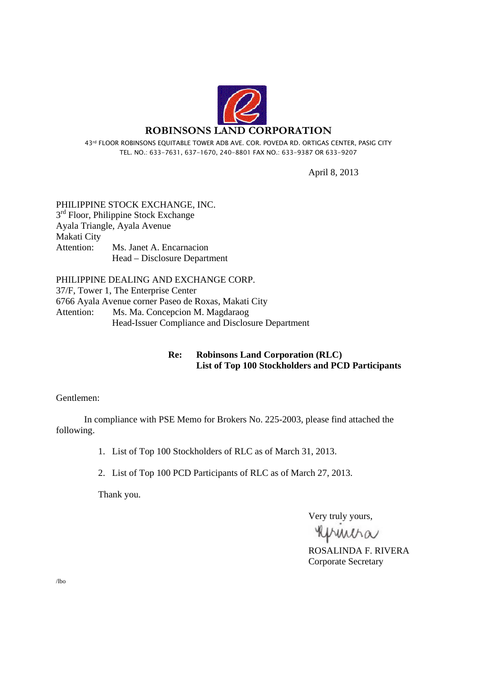

43rd FLOOR ROBINSONS EQUITABLE TOWER ADB AVE. COR. POVEDA RD. ORTIGAS CENTER, PASIG CITY TEL. NO.: 633-7631, 637-1670, 240-8801 FAX NO.: 633-9387 OR 633-9207

April 8, 2013

PHILIPPINE STOCK EXCHANGE, INC.  $3<sup>rd</sup>$  Floor, Philippine Stock Exchange Ayala Triangle, Ayala Avenue Makati City Attention: Ms. Janet A. Encarnacion Head – Disclosure Department

PHILIPPINE DEALING AND EXCHANGE CORP. 37/F, Tower 1, The Enterprise Center 6766 Ayala Avenue corner Paseo de Roxas, Makati City Attention: Ms. Ma. Concepcion M. Magdaraog Head-Issuer Compliance and Disclosure Department

#### **Re: Robinsons Land Corporation (RLC) List of Top 100 Stockholders and PCD Participants**

Gentlemen:

 In compliance with PSE Memo for Brokers No. 225-2003, please find attached the following.

1. List of Top 100 Stockholders of RLC as of March 31, 2013.

2. List of Top 100 PCD Participants of RLC as of March 27, 2013.

Thank you.

Very truly yours,

Mucha

ROSALINDA F. RIVERA Corporate Secretary

/lbo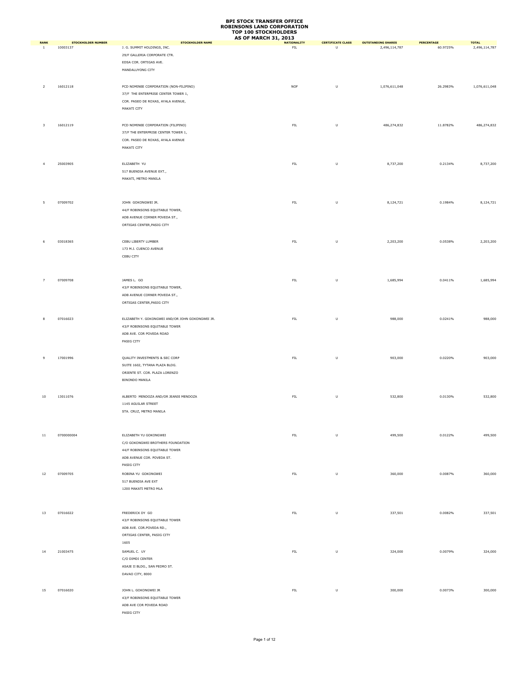|                               |                                       |                                                        | <b>AS OF MARCH 31, 2013</b> |                               |                                            |                               |                               |
|-------------------------------|---------------------------------------|--------------------------------------------------------|-----------------------------|-------------------------------|--------------------------------------------|-------------------------------|-------------------------------|
| <b>RANK</b><br>$\overline{1}$ | <b>STOCKHOLDER NUMBER</b><br>10003137 | <b>STOCKHOLDER NAME</b><br>J. G. SUMMIT HOLDINGS, INC. | <b>NATIONALITY</b><br>FIL   | <b>CERTIFICATE CLASS</b><br>U | <b>OUTSTANDING SHARES</b><br>2,496,114,787 | <b>PERCENTAGE</b><br>60.9725% | <b>TOTAL</b><br>2,496,114,787 |
|                               |                                       |                                                        |                             |                               |                                            |                               |                               |
|                               |                                       | 29/F GALLERIA CORPORATE CTR.                           |                             |                               |                                            |                               |                               |
|                               |                                       | EDSA COR. ORTIGAS AVE.                                 |                             |                               |                                            |                               |                               |
|                               |                                       | MANDALUYONG CITY                                       |                             |                               |                                            |                               |                               |
|                               |                                       |                                                        |                             |                               |                                            |                               |                               |
| $\overline{2}$                | 16012118                              | PCD NOMINEE CORPORATION (NON-FILIPINO)                 | <b>NOF</b>                  | $\sf U$                       | 1,076,611,048                              | 26.2983%                      | 1,076,611,048                 |
|                               |                                       | 37/F THE ENTERPRISE CENTER TOWER 1,                    |                             |                               |                                            |                               |                               |
|                               |                                       | COR. PASEO DE ROXAS, AYALA AVENUE,                     |                             |                               |                                            |                               |                               |
|                               |                                       | MAKATI CITY                                            |                             |                               |                                            |                               |                               |
|                               |                                       |                                                        |                             |                               |                                            |                               |                               |
|                               | 16012119                              | PCD NOMINEE CORPORATION (FILIPINO)                     | ${\sf FIL}$                 | U                             | 486,274,832                                | 11.8782%                      | 486,274,832                   |
| $\overline{\mathbf{3}}$       |                                       |                                                        |                             |                               |                                            |                               |                               |
|                               |                                       | 37/F THE ENTERPRISE CENTER TOWER 1,                    |                             |                               |                                            |                               |                               |
|                               |                                       | COR. PASEO DE ROXAS, AYALA AVENUE                      |                             |                               |                                            |                               |                               |
|                               |                                       | MAKATI CITY                                            |                             |                               |                                            |                               |                               |
|                               |                                       |                                                        |                             |                               |                                            |                               |                               |
|                               | 25003905                              | ELIZABETH YU                                           | FIL                         | U                             | 8,737,200                                  | 0.2134%                       | 8,737,200                     |
|                               |                                       | 517 BUENDIA AVENUE EXT.,                               |                             |                               |                                            |                               |                               |
|                               |                                       | MAKATI, METRO MANILA                                   |                             |                               |                                            |                               |                               |
|                               |                                       |                                                        |                             |                               |                                            |                               |                               |
|                               |                                       |                                                        |                             |                               |                                            |                               |                               |
|                               |                                       |                                                        |                             |                               |                                            |                               |                               |
| -5                            | 07009702                              | JOHN GOKONGWEI JR.                                     | ${\sf FIL}$                 | $\sf U$                       | 8,124,721                                  | 0.1984%                       | 8,124,721                     |
|                               |                                       | 44/F ROBINSONS EQUITABLE TOWER,                        |                             |                               |                                            |                               |                               |
|                               |                                       | ADB AVENUE CORNER POVEDA ST.,                          |                             |                               |                                            |                               |                               |
|                               |                                       | ORTIGAS CENTER, PASIG CITY                             |                             |                               |                                            |                               |                               |
|                               |                                       |                                                        |                             |                               |                                            |                               |                               |
| 6                             | 03018365                              | CEBU LIBERTY LUMBER                                    | FIL                         | U                             | 2,203,200                                  | 0.0538%                       | 2,203,200                     |
|                               |                                       | 173 M.J. CUENCO AVENUE                                 |                             |                               |                                            |                               |                               |
|                               |                                       | CEBU CITY                                              |                             |                               |                                            |                               |                               |
|                               |                                       |                                                        |                             |                               |                                            |                               |                               |
|                               |                                       |                                                        |                             |                               |                                            |                               |                               |
|                               |                                       |                                                        |                             |                               |                                            |                               |                               |
| $\overline{7}$                | 07009708                              | JAMES L. GO                                            | FIL                         | $\sf U$                       | 1,685,994                                  | 0.0411%                       | 1,685,994                     |
|                               |                                       | 43/F ROBINSONS EQUITABLE TOWER,                        |                             |                               |                                            |                               |                               |
|                               |                                       | ADB AVENUE CORNER POVEDA ST.,                          |                             |                               |                                            |                               |                               |
|                               |                                       | ORTIGAS CENTER, PASIG CITY                             |                             |                               |                                            |                               |                               |
|                               |                                       |                                                        |                             |                               |                                            |                               |                               |
|                               | 07016023                              | ELIZABETH Y. GOKONGWEI AND/OR JOHN GOKONGWEI JR.       | ${\sf FIL}$                 |                               |                                            | 0.0241%                       |                               |
| 8                             |                                       |                                                        |                             | U                             | 988,000                                    |                               | 988,000                       |
|                               |                                       | 43/F ROBINSONS EQUITABLE TOWER                         |                             |                               |                                            |                               |                               |
|                               |                                       | ADB AVE. COR POVEDA ROAD                               |                             |                               |                                            |                               |                               |
|                               |                                       | PASIG CITY                                             |                             |                               |                                            |                               |                               |
|                               |                                       |                                                        |                             |                               |                                            |                               |                               |
| 9                             | 17001996                              | QUALITY INVESTMENTS & SEC CORP                         | FIL                         | U                             | 903,000                                    | 0.0220%                       | 903,000                       |
|                               |                                       | SUITE 1602, TYTANA PLAZA BLDG.                         |                             |                               |                                            |                               |                               |
|                               |                                       | ORIENTE ST. COR. PLAZA LORENZO                         |                             |                               |                                            |                               |                               |
|                               |                                       | <b>BINONDO MANILA</b>                                  |                             |                               |                                            |                               |                               |
|                               |                                       |                                                        |                             |                               |                                            |                               |                               |
|                               |                                       |                                                        |                             |                               |                                            |                               |                               |
| 10                            | 13011076                              | ALBERTO MENDOZA AND/OR JEANIE MENDOZA                  | ${\sf FIL}$                 | $\sf U$                       | 532,800                                    | 0.0130%                       | 532,800                       |
|                               |                                       | 1145 AGUILAR STREET                                    |                             |                               |                                            |                               |                               |
|                               |                                       | STA. CRUZ, METRO MANILA                                |                             |                               |                                            |                               |                               |
|                               |                                       |                                                        |                             |                               |                                            |                               |                               |
|                               |                                       |                                                        |                             |                               |                                            |                               |                               |
| 11                            | 0700000004                            | ELIZABETH YU GOKONGWEI                                 | ${\sf FIL}$                 | $\sf U$                       | 499,500                                    | 0.0122%                       | 499,500                       |
|                               |                                       | C/O GOKONGWEI BROTHERS FOUNDATION                      |                             |                               |                                            |                               |                               |
|                               |                                       | 44/F ROBINSONS EQUITABLE TOWER                         |                             |                               |                                            |                               |                               |
|                               |                                       | ADB AVENUE COR. POVEDA ST.                             |                             |                               |                                            |                               |                               |
|                               |                                       |                                                        |                             |                               |                                            |                               |                               |
|                               |                                       | PASIG CITY                                             |                             |                               |                                            |                               |                               |
| 12                            | 07009705                              | ROBINA YU GOKONGWEI                                    | ${\sf FIL}$                 | $\sf U$                       | 360,000                                    | 0.0087%                       | 360,000                       |
|                               |                                       | 517 BUENDIA AVE EXT                                    |                             |                               |                                            |                               |                               |
|                               |                                       | 1200 MAKATI METRO MLA                                  |                             |                               |                                            |                               |                               |
|                               |                                       |                                                        |                             |                               |                                            |                               |                               |
|                               |                                       |                                                        |                             |                               |                                            |                               |                               |
|                               |                                       | FREDERICK DY GO                                        |                             |                               |                                            |                               |                               |
| 13                            | 07016022                              |                                                        | ${\sf FIL}$                 | $\sf U$                       | 337,501                                    | 0.0082%                       | 337,501                       |
|                               |                                       | 43/F ROBINSONS EQUITABLE TOWER                         |                             |                               |                                            |                               |                               |
|                               |                                       | ADB AVE. COR.POVEDA RD.,                               |                             |                               |                                            |                               |                               |
|                               |                                       | ORTIGAS CENTER, PASIG CITY                             |                             |                               |                                            |                               |                               |
|                               |                                       | 1605                                                   |                             |                               |                                            |                               |                               |
| 14                            | 21003475                              | SAMUEL C. UY                                           | FIL                         | U                             | 324,000                                    | 0.0079%                       | 324,000                       |
|                               |                                       | C/O DIMDI CENTER                                       |                             |                               |                                            |                               |                               |
|                               |                                       | ASAJE II BLDG., SAN PEDRO ST.                          |                             |                               |                                            |                               |                               |
|                               |                                       | DAVAO CITY, 8000                                       |                             |                               |                                            |                               |                               |
|                               |                                       |                                                        |                             |                               |                                            |                               |                               |
|                               |                                       |                                                        |                             |                               |                                            |                               |                               |
| 15                            | 07016020                              | JOHN L. GOKONGWEI JR                                   | ${\sf FIL}$                 | $\sf U$                       | 300,000                                    | 0.0073%                       | 300,000                       |
|                               |                                       | 43/F ROBINSONS EQUITABLE TOWER                         |                             |                               |                                            |                               |                               |
|                               |                                       | ADB AVE COR POVEDA ROAD                                |                             |                               |                                            |                               |                               |
|                               |                                       | PASIG CITY                                             |                             |                               |                                            |                               |                               |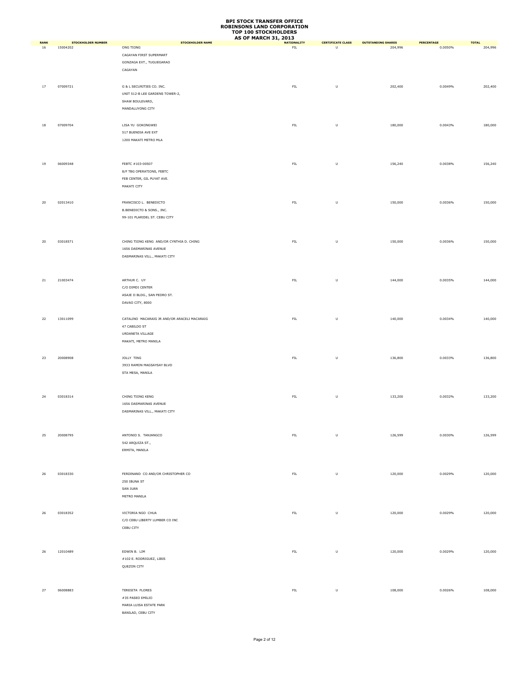|                   |                                       |                                                                                                       | <b>AS OF MARCH 31, 2013</b>      |                                                                                                            |                                      |                       |                         |
|-------------------|---------------------------------------|-------------------------------------------------------------------------------------------------------|----------------------------------|------------------------------------------------------------------------------------------------------------|--------------------------------------|-----------------------|-------------------------|
| <b>RANK</b><br>16 | <b>STOCKHOLDER NUMBER</b><br>15004202 | <b>STOCKHOLDER NAME</b><br>ONG TIONG<br>CAGAYAN FIRST SUPERMART<br>GONZAGA EXT., TUGUEGARAO           | <b>NATIONALITY</b><br><b>FIL</b> | <b>CERTIFICATE CLASS</b><br>$\cup$                                                                         | <b>OUTSTANDING SHARES</b><br>204,996 | PERCENTAGE<br>0.0050% | <b>TOTAL</b><br>204,996 |
| 17                | 07009721                              | CAGAYAN<br>G & L SECURITIES CO. INC.<br>UNIT 512-B LEE GARDENS TOWER-2,                               | ${\sf FIL}$                      | U                                                                                                          | 202,400                              | 0.0049%               | 202,400                 |
| 18                | 07009704                              | SHAW BOULEVARD,<br>MANDALUYONG CITY<br>LISA YU GOKONGWEI<br>517 BUENDIA AVE EXT                       | ${\sf FIL}$                      | U                                                                                                          | 180,000                              | 0.0043%               | 180,000                 |
|                   |                                       | 1200 MAKATI METRO MLA                                                                                 |                                  |                                                                                                            |                                      |                       |                         |
| 19                | 06009348                              | FEBTC #103-00507<br>8/F TBG OPERATIONS, FEBTC<br>FEB CENTER, GIL PUYAT AVE.<br>MAKATI CITY            | ${\sf FIL}$                      | $\mathsf{U}% _{T}=\mathsf{U}_{T}\!\left( a,b\right) ,\ \mathsf{U}_{T}=\mathsf{U}_{T}\!\left( a,b\right) ,$ | 156,240                              | 0.0038%               | 156,240                 |
| 20                | 02013410                              | FRANCISCO L. BENEDICTO<br>B.BENEDICTO & SONS., INC.<br>99-101 PLARIDEL ST. CEBU CITY                  | ${\sf FIL}$                      | $\sf U$                                                                                                    | 150,000                              | 0.0036%               | 150,000                 |
| 20                | 03018571                              | CHING TIONG KENG AND/OR CYNTHIA D. CHING<br>1656 DASMARINAS AVENUE<br>DASMARINAS VILL., MAKATI CITY   | ${\sf FIL}$                      | U                                                                                                          | 150,000                              | 0.0036%               | 150,000                 |
| 21                | 21003474                              | ARTHUR C. UY<br>C/O DIMDI CENTER<br>ASAJE II BLDG., SAN PEDRO ST.                                     | FIL                              | U                                                                                                          | 144,000                              | 0.0035%               | 144,000                 |
| 22                | 13011099                              | DAVAO CITY, 8000<br>CATALINO MACARAIG JR AND/OR ARACELI MACARAIG<br>47 CABILDO ST<br>URDANETA VILLAGE | ${\sf FIL}$                      | U                                                                                                          | 140,000                              | 0.0034%               | 140,000                 |
| 23                | 20008908                              | MAKATI, METRO MANILA<br>JOLLY TING<br>3933 RAMON MAGSAYSAY BLVD<br>STA MESA, MANILA                   | ${\sf FIL}$                      | U                                                                                                          | 136,800                              | 0.0033%               | 136,800                 |
| 24                | 03018314                              | CHING TIONG KENG<br>1656 DASMARINAS AVENUE<br>DASMARINAS VILL., MAKATI CITY                           | ${\sf FIL}$                      | $\sf U$                                                                                                    | 133,200                              | 0.0032%               | 133,200                 |
| 25                | 20008795                              | ANTONIO S. TANJANGCO<br>542 ARQUIZA ST.,<br>ERMITA, MANILA                                            | ${\sf FIL}$                      | $\sf U$                                                                                                    | 126,599                              | 0.0030%               | 126,599                 |
| 26                | 03018330                              | FERDINAND CO AND/OR CHRISTOPHER CO<br>250 IBUNA ST<br>SAN JUAN                                        | ${\sf FIL}$                      | $\sf U$                                                                                                    | 120,000                              | 0.0029%               | 120,000                 |
| 26                | 03018352                              | METRO MANILA<br>VICTORIA NGO CHUA<br>C/O CEBU LIBERTY LUMBER CO INC<br>CEBU CITY                      | ${\sf FIL}$                      | $\sf U$                                                                                                    | 120,000                              | 0.0029%               | 120,000                 |
| 26                | 12010489                              | EDWIN B. LIM<br>#102 E. RODRIGUEZ, LIBIS<br>QUEZON CITY                                               | ${\sf FIL}$                      | $\sf U$                                                                                                    | 120,000                              | 0.0029%               | 120,000                 |
| 27                | 06008883                              | TERESITA FLORES<br>#35 PASEO EMILIO<br>MARIA LUISA ESTATE PARK<br>BANILAD, CEBU CITY                  | ${\sf FIL}$                      | $\sf U$                                                                                                    | 108,000                              | 0.0026%               | 108,000                 |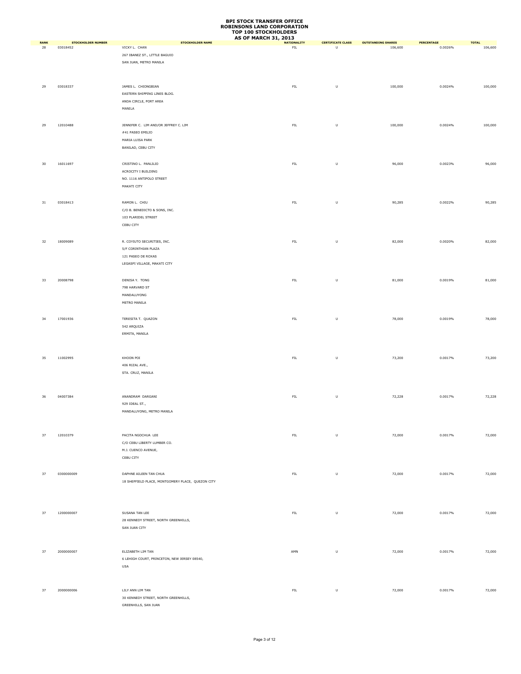|                   |                                       |                                                   | <b>AS OF MARCH 31, 2013</b>       |                                                                                                            |                                      |                              |                         |
|-------------------|---------------------------------------|---------------------------------------------------|-----------------------------------|------------------------------------------------------------------------------------------------------------|--------------------------------------|------------------------------|-------------------------|
| <b>RANK</b><br>28 | <b>STOCKHOLDER NUMBER</b><br>03018452 | <b>STOCKHOLDER NAME</b><br>VICKY L. CHAN          | <b>NATIONALITY</b><br>${\sf FIL}$ | <b>CERTIFICATE CLASS</b><br>U                                                                              | <b>OUTSTANDING SHARES</b><br>106,600 | <b>PERCENTAGE</b><br>0.0026% | <b>TOTAL</b><br>106,600 |
|                   |                                       |                                                   |                                   |                                                                                                            |                                      |                              |                         |
|                   |                                       | 267 IBANEZ ST., LITTLE BAGUIO                     |                                   |                                                                                                            |                                      |                              |                         |
|                   |                                       | SAN JUAN, METRO MANILA                            |                                   |                                                                                                            |                                      |                              |                         |
|                   |                                       |                                                   |                                   |                                                                                                            |                                      |                              |                         |
|                   |                                       |                                                   |                                   |                                                                                                            |                                      |                              |                         |
| 29                | 03018337                              | JAMES L. CHIONGBIAN                               | ${\sf FIL}$                       | $\sf U$                                                                                                    | 100,000                              | 0.0024%                      | 100,000                 |
|                   |                                       | EASTERN SHIPPING LINES BLDG.                      |                                   |                                                                                                            |                                      |                              |                         |
|                   |                                       | ANDA CIRCLE, PORT AREA                            |                                   |                                                                                                            |                                      |                              |                         |
|                   |                                       |                                                   |                                   |                                                                                                            |                                      |                              |                         |
|                   |                                       | MANILA                                            |                                   |                                                                                                            |                                      |                              |                         |
|                   |                                       |                                                   |                                   |                                                                                                            |                                      |                              |                         |
| 29                | 12010488                              | JENNIFER C. LIM AND/OR JEFFREY C. LIM             | ${\sf FIL}$                       | $\sf U$                                                                                                    | 100,000                              | 0.0024%                      | 100,000                 |
|                   |                                       | #41 PASEO EMILIO                                  |                                   |                                                                                                            |                                      |                              |                         |
|                   |                                       | MARIA LUISA PARK                                  |                                   |                                                                                                            |                                      |                              |                         |
|                   |                                       | BANILAD, CEBU CITY                                |                                   |                                                                                                            |                                      |                              |                         |
|                   |                                       |                                                   |                                   |                                                                                                            |                                      |                              |                         |
|                   |                                       |                                                   |                                   |                                                                                                            |                                      |                              |                         |
| 30                | 16011697                              | CRISTINO L. PANLILIO                              | ${\sf FIL}$                       | U                                                                                                          | 96,000                               | 0.0023%                      | 96,000                  |
|                   |                                       | ACROCITY I BUILDING                               |                                   |                                                                                                            |                                      |                              |                         |
|                   |                                       | NO. 1116 ANTIPOLO STREET                          |                                   |                                                                                                            |                                      |                              |                         |
|                   |                                       | MAKATI CITY                                       |                                   |                                                                                                            |                                      |                              |                         |
|                   |                                       |                                                   |                                   |                                                                                                            |                                      |                              |                         |
|                   | 03018413                              |                                                   | ${\sf FIL}$                       | $\sf U$                                                                                                    | 90,285                               | 0.0022%                      |                         |
| 31                |                                       | RAMON L. CHIU                                     |                                   |                                                                                                            |                                      |                              | 90,285                  |
|                   |                                       | C/O B. BENEDICTO & SONS, INC.                     |                                   |                                                                                                            |                                      |                              |                         |
|                   |                                       | 103 PLARIDEL STREET                               |                                   |                                                                                                            |                                      |                              |                         |
|                   |                                       | CEBU CITY                                         |                                   |                                                                                                            |                                      |                              |                         |
|                   |                                       |                                                   |                                   |                                                                                                            |                                      |                              |                         |
| 32                | 18009089                              | R. COYIUTO SECURITIES, INC.                       | ${\sf FIL}$                       | U                                                                                                          | 82,000                               | 0.0020%                      | 82,000                  |
|                   |                                       |                                                   |                                   |                                                                                                            |                                      |                              |                         |
|                   |                                       | 5/F CORINTHIAN PLAZA                              |                                   |                                                                                                            |                                      |                              |                         |
|                   |                                       | 121 PASEO DE ROXAS                                |                                   |                                                                                                            |                                      |                              |                         |
|                   |                                       | LEGASPI VILLAGE, MAKATI CITY                      |                                   |                                                                                                            |                                      |                              |                         |
|                   |                                       |                                                   |                                   |                                                                                                            |                                      |                              |                         |
| 33                | 20008798                              | DENISA Y. TONG                                    | ${\sf FIL}$                       | U                                                                                                          | 81,000                               | 0.0019%                      | 81,000                  |
|                   |                                       | 798 HARVARD ST                                    |                                   |                                                                                                            |                                      |                              |                         |
|                   |                                       |                                                   |                                   |                                                                                                            |                                      |                              |                         |
|                   |                                       | MANDALUYONG                                       |                                   |                                                                                                            |                                      |                              |                         |
|                   |                                       | METRO MANILA                                      |                                   |                                                                                                            |                                      |                              |                         |
|                   |                                       |                                                   |                                   |                                                                                                            |                                      |                              |                         |
| 34                | 17001936                              | TERESITA T. QUAZON                                | ${\sf FIL}$                       | $\sf U$                                                                                                    | 78,000                               | 0.0019%                      | 78,000                  |
|                   |                                       | 542 ARQUIZA                                       |                                   |                                                                                                            |                                      |                              |                         |
|                   |                                       | ERMITA, MANILA                                    |                                   |                                                                                                            |                                      |                              |                         |
|                   |                                       |                                                   |                                   |                                                                                                            |                                      |                              |                         |
|                   |                                       |                                                   |                                   |                                                                                                            |                                      |                              |                         |
|                   |                                       |                                                   |                                   |                                                                                                            |                                      |                              |                         |
| 35                | 11002995                              | KHOON POI                                         | ${\sf FIL}$                       | U                                                                                                          | 73,200                               | 0.0017%                      | 73,200                  |
|                   |                                       | 406 RIZAL AVE.,                                   |                                   |                                                                                                            |                                      |                              |                         |
|                   |                                       | STA. CRUZ, MANILA                                 |                                   |                                                                                                            |                                      |                              |                         |
|                   |                                       |                                                   |                                   |                                                                                                            |                                      |                              |                         |
|                   |                                       |                                                   |                                   |                                                                                                            |                                      |                              |                         |
|                   |                                       |                                                   |                                   |                                                                                                            |                                      |                              |                         |
| 36                | 04007384                              | ANANDRAM DARGANI                                  | ${\sf FIL}$                       | $\sf U$                                                                                                    | 72,228                               | 0.0017%                      | 72,228                  |
|                   |                                       | 929 IDEAL ST.,                                    |                                   |                                                                                                            |                                      |                              |                         |
|                   |                                       | MANDALUYONG, METRO MANILA                         |                                   |                                                                                                            |                                      |                              |                         |
|                   |                                       |                                                   |                                   |                                                                                                            |                                      |                              |                         |
|                   |                                       |                                                   |                                   |                                                                                                            |                                      |                              |                         |
|                   |                                       |                                                   |                                   |                                                                                                            |                                      |                              |                         |
| 37                | 12010379                              | PACITA NGOCHUA LEE                                | ${\sf FIL}$                       | $\mathsf{U}% _{T}=\mathsf{U}_{T}\!\left( a,b\right) ,\ \mathsf{U}_{T}=\mathsf{U}_{T}\!\left( a,b\right) ,$ | 72,000                               | 0.0017%                      | 72,000                  |
|                   |                                       | C/O CEBU LIBERTY LUMBER CO.                       |                                   |                                                                                                            |                                      |                              |                         |
|                   |                                       | M.J. CUENCO AVENUE,                               |                                   |                                                                                                            |                                      |                              |                         |
|                   |                                       | CEBU CITY                                         |                                   |                                                                                                            |                                      |                              |                         |
|                   |                                       |                                                   |                                   |                                                                                                            |                                      |                              |                         |
|                   |                                       |                                                   |                                   |                                                                                                            |                                      |                              |                         |
| 37                | 0300000009                            | DAPHNE AILEEN TAN CHUA                            | ${\sf FIL}$                       | $\sf U$                                                                                                    | 72,000                               | 0.0017%                      | 72,000                  |
|                   |                                       | 18 SHEFFIELD PLACE, MONTGOMERY PLACE, QUEZON CITY |                                   |                                                                                                            |                                      |                              |                         |
|                   |                                       |                                                   |                                   |                                                                                                            |                                      |                              |                         |
|                   |                                       |                                                   |                                   |                                                                                                            |                                      |                              |                         |
|                   |                                       |                                                   |                                   |                                                                                                            |                                      |                              |                         |
| 37                | 1200000007                            | SUSANA TAN LEE                                    | FL                                | $\sf U$                                                                                                    | 72,000                               | 0.0017%                      | 72,000                  |
|                   |                                       | 28 KENNEDY STREET, NORTH GREENHILLS,              |                                   |                                                                                                            |                                      |                              |                         |
|                   |                                       |                                                   |                                   |                                                                                                            |                                      |                              |                         |
|                   |                                       | SAN JUAN CITY                                     |                                   |                                                                                                            |                                      |                              |                         |
|                   |                                       |                                                   |                                   |                                                                                                            |                                      |                              |                         |
|                   |                                       |                                                   |                                   |                                                                                                            |                                      |                              |                         |
| 37                | 2000000007                            | ELIZABETH LIM TAN                                 | AMN                               | $\sf U$                                                                                                    | 72,000                               | 0.0017%                      | 72,000                  |
|                   |                                       | 6 LEHIGH COURT, PRINCETON, NEW JERSEY 08540,      |                                   |                                                                                                            |                                      |                              |                         |
|                   |                                       | USA                                               |                                   |                                                                                                            |                                      |                              |                         |
|                   |                                       |                                                   |                                   |                                                                                                            |                                      |                              |                         |
|                   |                                       |                                                   |                                   |                                                                                                            |                                      |                              |                         |
|                   |                                       |                                                   |                                   |                                                                                                            |                                      |                              |                         |
| 37                | 2000000006                            | LILY ANN LIM TAN                                  | ${\sf FIL}$                       | $\sf U$                                                                                                    | 72,000                               | 0.0017%                      | 72,000                  |
|                   |                                       | 30 KENNEDY STREET, NORTH GREENHILLS,              |                                   |                                                                                                            |                                      |                              |                         |
|                   |                                       | GREENHILLS, SAN JUAN                              |                                   |                                                                                                            |                                      |                              |                         |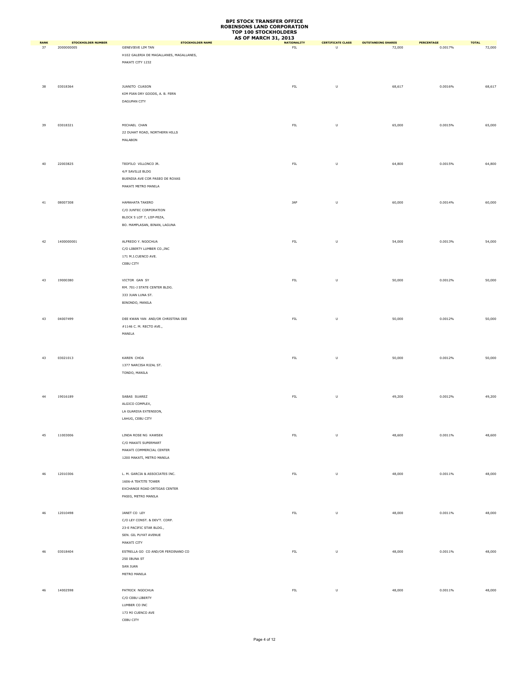|                   |                                         |                                                     | <b>AS OF MARCH 31, 2013</b>       |                               |                                     |                              |                        |
|-------------------|-----------------------------------------|-----------------------------------------------------|-----------------------------------|-------------------------------|-------------------------------------|------------------------------|------------------------|
| <b>RANK</b><br>37 | <b>STOCKHOLDER NUMBER</b><br>2000000005 | <b>STOCKHOLDER NAME</b><br><b>GENEVIEVE LIM TAN</b> | <b>NATIONALITY</b><br>${\sf FIL}$ | <b>CERTIFICATE CLASS</b><br>U | <b>OUTSTANDING SHARES</b><br>72,000 | <b>PERCENTAGE</b><br>0.0017% | <b>TOTAL</b><br>72,000 |
|                   |                                         |                                                     |                                   |                               |                                     |                              |                        |
|                   |                                         | H102 GALERIA DE MAGALLANES, MAGALLANES,             |                                   |                               |                                     |                              |                        |
|                   |                                         | MAKATI CITY 1232                                    |                                   |                               |                                     |                              |                        |
|                   |                                         |                                                     |                                   |                               |                                     |                              |                        |
|                   |                                         |                                                     |                                   |                               |                                     |                              |                        |
| 38                | 03018364                                | JUANITO CUASON                                      | ${\sf FIL}$                       | $\sf U$                       | 68,617                              | 0.0016%                      | 68,617                 |
|                   |                                         | KIM PIAN DRY GOODS, A. B. FERN                      |                                   |                               |                                     |                              |                        |
|                   |                                         | DAGUPAN CITY                                        |                                   |                               |                                     |                              |                        |
|                   |                                         |                                                     |                                   |                               |                                     |                              |                        |
|                   |                                         |                                                     |                                   |                               |                                     |                              |                        |
|                   |                                         |                                                     |                                   |                               |                                     |                              |                        |
| 39                | 03018321                                | MICHAEL CHAN                                        | ${\sf FIL}$                       | $\sf U$                       | 65,000                              | 0.0015%                      | 65,000                 |
|                   |                                         | 22 DUHAT ROAD, NORTHERN HILLS                       |                                   |                               |                                     |                              |                        |
|                   |                                         | MALABON                                             |                                   |                               |                                     |                              |                        |
|                   |                                         |                                                     |                                   |                               |                                     |                              |                        |
|                   |                                         |                                                     |                                   |                               |                                     |                              |                        |
| 40                | 22003825                                | TEOFILO VILLONCO JR.                                | ${\sf FIL}$                       | $\sf U$                       | 64,800                              | 0.0015%                      | 64,800                 |
|                   |                                         | 4/F SAVILLE BLDG                                    |                                   |                               |                                     |                              |                        |
|                   |                                         | BUENDIA AVE COR PASEO DE ROXAS                      |                                   |                               |                                     |                              |                        |
|                   |                                         | MAKATI METRO MANILA                                 |                                   |                               |                                     |                              |                        |
|                   |                                         |                                                     |                                   |                               |                                     |                              |                        |
|                   |                                         |                                                     |                                   |                               |                                     |                              |                        |
| 41                | 08007308                                | HAMAHATA TAKERO                                     | JAP                               | $\sf U$                       | 60,000                              | 0.0014%                      | 60,000                 |
|                   |                                         | C/O JUNTEC CORPORATION                              |                                   |                               |                                     |                              |                        |
|                   |                                         | BLOCK 5 LOT 7, LIIP-PEZA,                           |                                   |                               |                                     |                              |                        |
|                   |                                         | BO. MAMPLASAN, BINAN, LAGUNA                        |                                   |                               |                                     |                              |                        |
|                   |                                         |                                                     |                                   |                               |                                     |                              |                        |
|                   |                                         |                                                     |                                   |                               |                                     |                              |                        |
| 42                | 1400000001                              | ALFREDO Y. NGOCHUA                                  | ${\sf FIL}$                       | U                             | 54,000                              | 0.0013%                      | 54,000                 |
|                   |                                         | C/O LIBERTY LUMBER CO., INC                         |                                   |                               |                                     |                              |                        |
|                   |                                         | 171 M.J.CUENCO AVE.                                 |                                   |                               |                                     |                              |                        |
|                   |                                         | CEBU CITY                                           |                                   |                               |                                     |                              |                        |
|                   |                                         |                                                     |                                   |                               |                                     |                              |                        |
| 43                | 19000380                                | VICTOR GAN SY                                       | ${\sf FIL}$                       | U                             | 50,000                              | 0.0012%                      | 50,000                 |
|                   |                                         | RM. 701-J STATE CENTER BLDG.                        |                                   |                               |                                     |                              |                        |
|                   |                                         |                                                     |                                   |                               |                                     |                              |                        |
|                   |                                         | 333 JUAN LUNA ST.                                   |                                   |                               |                                     |                              |                        |
|                   |                                         | BINONDO, MANILA                                     |                                   |                               |                                     |                              |                        |
|                   |                                         |                                                     |                                   |                               |                                     |                              |                        |
| 43                | 04007499                                | DEE KWAN YAN AND/OR CHRISTINA DEE                   | ${\sf FIL}$                       | $\sf U$                       | 50,000                              | 0.0012%                      | 50,000                 |
|                   |                                         | #1146 C. M. RECTO AVE.,                             |                                   |                               |                                     |                              |                        |
|                   |                                         | MANILA                                              |                                   |                               |                                     |                              |                        |
|                   |                                         |                                                     |                                   |                               |                                     |                              |                        |
|                   |                                         |                                                     |                                   |                               |                                     |                              |                        |
|                   |                                         |                                                     |                                   |                               |                                     |                              |                        |
| 43                | 03021013                                | KAREN CHOA                                          | ${\sf FIL}$                       | $\sf U$                       | 50,000                              | 0.0012%                      | 50,000                 |
|                   |                                         | 1377 NARCISA RIZAL ST.                              |                                   |                               |                                     |                              |                        |
|                   |                                         | TONDO, MANILA                                       |                                   |                               |                                     |                              |                        |
|                   |                                         |                                                     |                                   |                               |                                     |                              |                        |
|                   |                                         |                                                     |                                   |                               |                                     |                              |                        |
| 44                | 19016189                                | SABAS SUAREZ                                        | ${\sf FIL}$                       | $\sf U$                       | 49,200                              | 0.0012%                      | 49,200                 |
|                   |                                         | ALGICO COMPLEX,                                     |                                   |                               |                                     |                              |                        |
|                   |                                         | LA GUARDIA EXTENSION,                               |                                   |                               |                                     |                              |                        |
|                   |                                         |                                                     |                                   |                               |                                     |                              |                        |
|                   |                                         | LAHUG, CEBU CITY                                    |                                   |                               |                                     |                              |                        |
|                   |                                         |                                                     |                                   |                               |                                     |                              |                        |
| 45                | 11003006                                | LINDA ROSE NG KAWSEK                                | ${\sf FIL}$                       | $\sf U$                       | 48,600                              | 0.0011%                      | 48,600                 |
|                   |                                         | C/O MAKATI SUPERMART                                |                                   |                               |                                     |                              |                        |
|                   |                                         | MAKATI COMMERCIAL CENTER                            |                                   |                               |                                     |                              |                        |
|                   |                                         | 1200 MAKATI, METRO MANILA                           |                                   |                               |                                     |                              |                        |
|                   |                                         |                                                     |                                   |                               |                                     |                              |                        |
|                   |                                         |                                                     |                                   |                               |                                     |                              |                        |
| 46                | 12010306                                | L. M. GARCIA & ASSOCIATES INC.                      | ${\sf FIL}$                       | $\cup$                        | 48,000                              | 0.0011%                      | 48,000                 |
|                   |                                         | 1606-A TEKTITE TOWER                                |                                   |                               |                                     |                              |                        |
|                   |                                         | EXCHANGE ROAD ORTIGAS CENTER                        |                                   |                               |                                     |                              |                        |
|                   |                                         | PASIG, METRO MANILA                                 |                                   |                               |                                     |                              |                        |
|                   |                                         |                                                     |                                   |                               |                                     |                              |                        |
| 46                | 12010498                                | JANET CO LEY                                        | ${\sf FIL}$                       | $\sf U$                       | 48,000                              | 0.0011%                      | 48,000                 |
|                   |                                         | C/O LEY CONST. & DEV'T. CORP.                       |                                   |                               |                                     |                              |                        |
|                   |                                         |                                                     |                                   |                               |                                     |                              |                        |
|                   |                                         | 23-E PACIFIC STAR BLDG.,                            |                                   |                               |                                     |                              |                        |
|                   |                                         | SEN. GIL PUYAT AVENUE                               |                                   |                               |                                     |                              |                        |
|                   |                                         | MAKATI CITY                                         |                                   |                               |                                     |                              |                        |
| 46                | 03018404                                | ESTRELLA GO CO AND/OR FERDINAND CO                  | ${\sf FIL}$                       | U                             | 48,000                              | 0.0011%                      | 48,000                 |
|                   |                                         | 250 IBUNA ST                                        |                                   |                               |                                     |                              |                        |
|                   |                                         | SAN JUAN                                            |                                   |                               |                                     |                              |                        |
|                   |                                         | METRO MANILA                                        |                                   |                               |                                     |                              |                        |
|                   |                                         |                                                     |                                   |                               |                                     |                              |                        |
|                   |                                         |                                                     |                                   |                               |                                     |                              |                        |
| 46                | 14002598                                | PATRICK NGOCHUA                                     | ${\sf FIL}$                       | $\sf U$                       | 48,000                              | 0.0011%                      | 48,000                 |
|                   |                                         | C/O CEBU LIBERTY                                    |                                   |                               |                                     |                              |                        |
|                   |                                         | LUMBER CO INC                                       |                                   |                               |                                     |                              |                        |
|                   |                                         | 173 MJ CUENCO AVE                                   |                                   |                               |                                     |                              |                        |
|                   |                                         | CEBU CITY                                           |                                   |                               |                                     |                              |                        |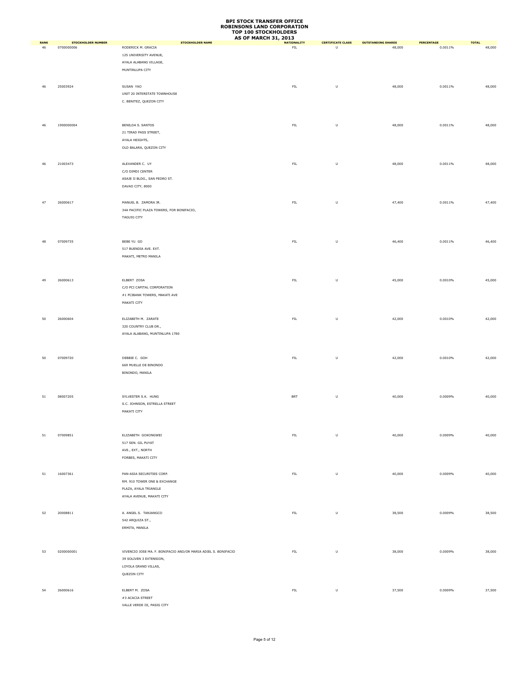|                   |                                         |                                                                | <b>AS OF MARCH 31, 2013</b>      |                               |                                     |                       |                        |
|-------------------|-----------------------------------------|----------------------------------------------------------------|----------------------------------|-------------------------------|-------------------------------------|-----------------------|------------------------|
| <b>RANK</b><br>46 | <b>STOCKHOLDER NUMBER</b><br>0700000006 | <b>STOCKHOLDER NAME</b><br>RODERICK M. GRACIA                  | <b>NATIONALITY</b><br><b>FIL</b> | <b>CERTIFICATE CLASS</b><br>U | <b>OUTSTANDING SHARES</b><br>48,000 | PERCENTAGE<br>0.0011% | <b>TOTAL</b><br>48,000 |
|                   |                                         | 125 UNIVERSITY AVENUE,                                         |                                  |                               |                                     |                       |                        |
|                   |                                         | AYALA ALABANG VILLAGE,                                         |                                  |                               |                                     |                       |                        |
|                   |                                         | MUNTINLUPA CITY                                                |                                  |                               |                                     |                       |                        |
|                   |                                         |                                                                |                                  |                               |                                     |                       |                        |
|                   |                                         |                                                                |                                  |                               |                                     |                       |                        |
| 46                | 25003924                                | SUSAN YAO                                                      | FIL                              | $\sf U$                       | 48,000                              | 0.0011%               | 48,000                 |
|                   |                                         | UNIT 20 INTERSTATE TOWNHOUSE                                   |                                  |                               |                                     |                       |                        |
|                   |                                         | C. BENITEZ, QUEZON CITY                                        |                                  |                               |                                     |                       |                        |
|                   |                                         |                                                                |                                  |                               |                                     |                       |                        |
|                   |                                         |                                                                |                                  |                               |                                     |                       |                        |
| 46                | 1900000004                              | BENILDA S. SANTOS                                              | ${\sf FIL}$                      | $\sf U$                       | 48,000                              | 0.0011%               | 48,000                 |
|                   |                                         | 21 TIRAD PASS STREET,                                          |                                  |                               |                                     |                       |                        |
|                   |                                         | AYALA HEIGHTS,                                                 |                                  |                               |                                     |                       |                        |
|                   |                                         | OLD BALARA, QUEZON CITY                                        |                                  |                               |                                     |                       |                        |
|                   |                                         |                                                                |                                  |                               |                                     |                       |                        |
| 46                | 21003473                                | ALEXANDER C. UY                                                | ${\sf FIL}$                      | $\sf U$                       | 48,000                              | 0.0011%               | 48,000                 |
|                   |                                         | C/O DIMDI CENTER                                               |                                  |                               |                                     |                       |                        |
|                   |                                         | ASAJE II BLDG., SAN PEDRO ST.                                  |                                  |                               |                                     |                       |                        |
|                   |                                         | DAVAO CITY, 8000                                               |                                  |                               |                                     |                       |                        |
|                   |                                         |                                                                |                                  |                               |                                     |                       |                        |
|                   |                                         |                                                                |                                  |                               |                                     |                       |                        |
| 47                | 26000617                                | MANUEL B. ZAMORA JR.                                           | ${\sf FIL}$                      | $\sf U$                       | 47,400                              | 0.0011%               | 47,400                 |
|                   |                                         | 34A PACIFIC PLAZA TOWERS, FOR BONIFACIO,                       |                                  |                               |                                     |                       |                        |
|                   |                                         | <b>TAGUIG CITY</b>                                             |                                  |                               |                                     |                       |                        |
|                   |                                         |                                                                |                                  |                               |                                     |                       |                        |
|                   |                                         |                                                                |                                  |                               |                                     |                       |                        |
| 48                | 07009735                                | BEBE YU GO                                                     | ${\sf FIL}$                      | $\sf U$                       | 46,400                              | 0.0011%               | 46,400                 |
|                   |                                         | 517 BUENDIA AVE. EXT.                                          |                                  |                               |                                     |                       |                        |
|                   |                                         | MAKATI, METRO MANILA                                           |                                  |                               |                                     |                       |                        |
|                   |                                         |                                                                |                                  |                               |                                     |                       |                        |
|                   |                                         |                                                                |                                  |                               |                                     |                       |                        |
| 49                | 26000613                                | ELBERT ZOSA                                                    | ${\sf FIL}$                      | $\sf U$                       | 45,000                              | 0.0010%               | 45,000                 |
|                   |                                         | C/O PCI CAPITAL CORPORATION                                    |                                  |                               |                                     |                       |                        |
|                   |                                         |                                                                |                                  |                               |                                     |                       |                        |
|                   |                                         | #1 PCIBANK TOWERS, MAKATI AVE                                  |                                  |                               |                                     |                       |                        |
|                   |                                         | MAKATI CITY                                                    |                                  |                               |                                     |                       |                        |
|                   |                                         |                                                                |                                  |                               |                                     |                       |                        |
| 50                | 26000604                                | ELIZABETH M. ZARATE                                            | ${\sf FIL}$                      | $\sf U$                       | 42,000                              | 0.0010%               | 42,000                 |
|                   |                                         | 320 COUNTRY CLUB DR.,                                          |                                  |                               |                                     |                       |                        |
|                   |                                         | AYALA ALABANG, MUNTINLUPA 1780                                 |                                  |                               |                                     |                       |                        |
|                   |                                         |                                                                |                                  |                               |                                     |                       |                        |
|                   |                                         |                                                                |                                  |                               |                                     |                       |                        |
| 50                | 07009720                                | DEBBIE C. GOH                                                  | ${\sf FIL}$                      | $\sf U$                       | 42,000                              | 0.0010%               | 42,000                 |
|                   |                                         | 669 MUELLE DE BINONDO                                          |                                  |                               |                                     |                       |                        |
|                   |                                         | BINONDO, MANILA                                                |                                  |                               |                                     |                       |                        |
|                   |                                         |                                                                |                                  |                               |                                     |                       |                        |
|                   |                                         |                                                                |                                  |                               |                                     |                       |                        |
|                   |                                         |                                                                |                                  |                               |                                     |                       |                        |
| 51                | 08007205                                | SYLVESTER S.K. HUNG                                            | BRT                              | $\sf U$                       | 40,000                              | 0.0009%               | 40,000                 |
|                   |                                         | S.C. JOHNSON, ESTRELLA STREET                                  |                                  |                               |                                     |                       |                        |
|                   |                                         | MAKATI CITY                                                    |                                  |                               |                                     |                       |                        |
|                   |                                         |                                                                |                                  |                               |                                     |                       |                        |
|                   |                                         |                                                                |                                  |                               |                                     |                       |                        |
| 51                | 07009851                                | ELIZABETH GOKONGWEI                                            | ${\sf FIL}$                      | $\sf U$                       | 40,000                              | 0.0009%               | 40,000                 |
|                   |                                         | 517 SEN. GIL PUYAT                                             |                                  |                               |                                     |                       |                        |
|                   |                                         | AVE., EXT., NORTH                                              |                                  |                               |                                     |                       |                        |
|                   |                                         | FORBES, MAKATI CITY                                            |                                  |                               |                                     |                       |                        |
|                   |                                         |                                                                |                                  |                               |                                     |                       |                        |
|                   |                                         | PAN-ASIA SECURITIES CORP.                                      |                                  |                               |                                     |                       |                        |
| 51                | 16007361                                |                                                                | ${\sf FIL}$                      | $\sf U$                       | 40,000                              | 0.0009%               | 40,000                 |
|                   |                                         | RM. 910 TOWER ONE & EXCHANGE                                   |                                  |                               |                                     |                       |                        |
|                   |                                         | PLAZA, AYALA TRIANGLE                                          |                                  |                               |                                     |                       |                        |
|                   |                                         | AYALA AVENUE, MAKATI CITY                                      |                                  |                               |                                     |                       |                        |
|                   |                                         |                                                                |                                  |                               |                                     |                       |                        |
| 52                | 20008811                                | A. ANGEL S. TANJANGCO                                          | ${\sf FIL}$                      | $\sf U$                       | 38,500                              | 0.0009%               | 38,500                 |
|                   |                                         | 542 ARQUIZA ST.,                                               |                                  |                               |                                     |                       |                        |
|                   |                                         | ERMITA, MANILA                                                 |                                  |                               |                                     |                       |                        |
|                   |                                         |                                                                |                                  |                               |                                     |                       |                        |
|                   |                                         |                                                                |                                  |                               |                                     |                       |                        |
| 53                | 0200000001                              | VIVENCIO JOSE MA. F. BONIFACIO AND/OR MARIA ADIEL S. BONIFACIO | ${\sf FIL}$                      | $\sf U$                       | 38,000                              | 0.0009%               | 38,000                 |
|                   |                                         | 39 SOLIVEN 3 EXTENSION,                                        |                                  |                               |                                     |                       |                        |
|                   |                                         | LOYOLA GRAND VILLAS,                                           |                                  |                               |                                     |                       |                        |
|                   |                                         | QUEZON CITY                                                    |                                  |                               |                                     |                       |                        |
|                   |                                         |                                                                |                                  |                               |                                     |                       |                        |
|                   |                                         |                                                                |                                  |                               |                                     |                       |                        |
| 54                | 26000616                                | ELBERT M. ZOSA                                                 | ${\sf FIL}$                      | $\sf U$                       | 37,500                              | 0.0009%               | 37,500                 |
|                   |                                         | #3 ACACIA STREET                                               |                                  |                               |                                     |                       |                        |
|                   |                                         | VALLE VERDE III, PASIG CITY                                    |                                  |                               |                                     |                       |                        |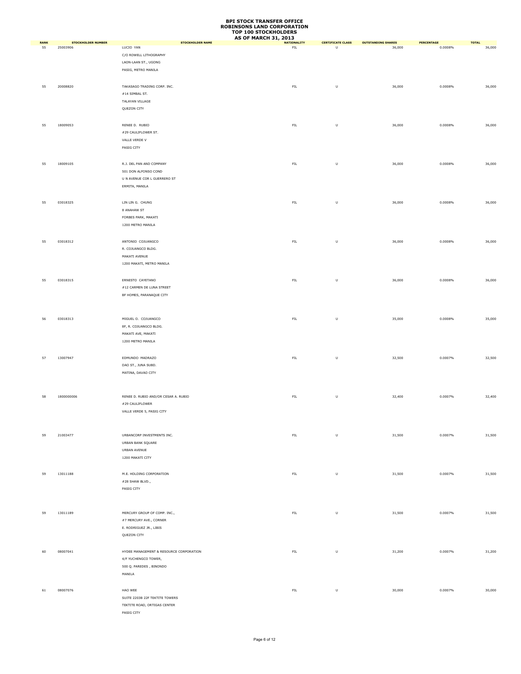|                   |                                       | STOCKHOLDER NAME                        | <b>AS OF MARCH 31, 2013</b> |                                    |                                     | PERCENTAGE |                        |
|-------------------|---------------------------------------|-----------------------------------------|-----------------------------|------------------------------------|-------------------------------------|------------|------------------------|
| <b>RANK</b><br>55 | <b>STOCKHOLDER NUMBER</b><br>25003906 | LUCIO YAN                               | <b>NATIONALITY</b><br>FL    | <b>CERTIFICATE CLASS</b><br>$\cup$ | <b>OUTSTANDING SHARES</b><br>36,000 | 0.0008%    | <b>TOTAL</b><br>36,000 |
|                   |                                       | C/O ROWELL LITHOGRAPHY                  |                             |                                    |                                     |            |                        |
|                   |                                       | LAON-LAAN ST., UGONG                    |                             |                                    |                                     |            |                        |
|                   |                                       | PASIG, METRO MANILA                     |                             |                                    |                                     |            |                        |
|                   |                                       |                                         |                             |                                    |                                     |            |                        |
|                   |                                       |                                         |                             |                                    |                                     |            |                        |
| 55                | 20008820                              | TAKASAGO TRADING CORP. INC.             | ${\sf FIL}$                 | $\sf U$                            | 36,000                              | 0.0008%    | 36,000                 |
|                   |                                       | $\#14$ SIMBAL ST.                       |                             |                                    |                                     |            |                        |
|                   |                                       | TALAYAN VILLAGE                         |                             |                                    |                                     |            |                        |
|                   |                                       | QUEZON CITY                             |                             |                                    |                                     |            |                        |
|                   |                                       |                                         |                             |                                    |                                     |            |                        |
| 55                | 18009053                              | RENEE D. RUBIO                          | ${\sf FIL}$                 | $\sf U$                            | 36,000                              | 0.0008%    | 36,000                 |
|                   |                                       | #29 CAULIFLOWER ST.                     |                             |                                    |                                     |            |                        |
|                   |                                       | VALLE VERDE V                           |                             |                                    |                                     |            |                        |
|                   |                                       | PASIG CITY                              |                             |                                    |                                     |            |                        |
|                   |                                       |                                         |                             |                                    |                                     |            |                        |
| 55                | 18009105                              | R.J. DEL PAN AND COMPANY                | ${\sf FIL}$                 | $\sf U$                            | 36,000                              | 0.0008%    | 36,000                 |
|                   |                                       | 501 DON ALFONSO COND                    |                             |                                    |                                     |            |                        |
|                   |                                       | U N AVENUE COR L GUERRERO ST            |                             |                                    |                                     |            |                        |
|                   |                                       | ERMITA, MANILA                          |                             |                                    |                                     |            |                        |
|                   |                                       |                                         |                             |                                    |                                     |            |                        |
|                   |                                       |                                         |                             |                                    |                                     |            |                        |
| 55                | 03018325                              | LIN LIN G. CHUNG                        | ${\sf FIL}$                 | $\sf U$                            | 36,000                              | 0.0008%    | 36,000                 |
|                   |                                       | 8 ANAHAW ST                             |                             |                                    |                                     |            |                        |
|                   |                                       | FORBES PARK, MAKATI                     |                             |                                    |                                     |            |                        |
|                   |                                       | 1200 METRO MANILA                       |                             |                                    |                                     |            |                        |
|                   |                                       |                                         |                             |                                    |                                     |            |                        |
| 55                | 03018312                              | ANTONIO COJUANGCO                       | FL                          | $\sf U$                            | 36,000                              | 0.0008%    | 36,000                 |
|                   |                                       | R. COJUANGCO BLDG.                      |                             |                                    |                                     |            |                        |
|                   |                                       | MAKATI AVENUE                           |                             |                                    |                                     |            |                        |
|                   |                                       | 1200 MAKATI, METRO MANILA               |                             |                                    |                                     |            |                        |
|                   |                                       |                                         |                             |                                    |                                     |            |                        |
| 55                | 03018315                              | ERNESTO CAYETANO                        | ${\sf FIL}$                 | $\sf U$                            | 36,000                              | 0.0008%    | 36,000                 |
|                   |                                       | #12 CARMEN DE LUNA STREET               |                             |                                    |                                     |            |                        |
|                   |                                       | BF HOMES, PARANAQUE CITY                |                             |                                    |                                     |            |                        |
|                   |                                       |                                         |                             |                                    |                                     |            |                        |
|                   |                                       |                                         |                             |                                    |                                     |            |                        |
|                   |                                       |                                         |                             |                                    |                                     |            |                        |
| 56                | 03018313                              | MIGUEL O. COJUANGCO                     | ${\sf FIL}$                 | $\sf U$                            | 35,000                              | 0.0008%    | 35,000                 |
|                   |                                       | 8F, R. COJUANGCO BLDG.                  |                             |                                    |                                     |            |                        |
|                   |                                       | MAKATI AVE, MAKATI                      |                             |                                    |                                     |            |                        |
|                   |                                       | 1200 METRO MANILA                       |                             |                                    |                                     |            |                        |
|                   |                                       |                                         |                             |                                    |                                     |            |                        |
| 57                | 13007947                              | EDMUNDO MADRAZO                         | ${\sf FIL}$                 | $\sf U$                            | 32,500                              | 0.0007%    | 32,500                 |
|                   |                                       | DAO ST., JUNA SUBD.                     |                             |                                    |                                     |            |                        |
|                   |                                       | MATINA, DAVAO CITY                      |                             |                                    |                                     |            |                        |
|                   |                                       |                                         |                             |                                    |                                     |            |                        |
|                   |                                       |                                         |                             |                                    |                                     |            |                        |
| 58                | 1800000006                            | RENEE D. RUBIO AND/OR CESAR A. RUBIO    | ${\sf FIL}$                 | $\sf U$                            | 32,400                              | 0.0007%    | 32,400                 |
|                   |                                       | #29 CAULIFLOWER                         |                             |                                    |                                     |            |                        |
|                   |                                       | VALLE VERDE 5, PASIG CITY               |                             |                                    |                                     |            |                        |
|                   |                                       |                                         |                             |                                    |                                     |            |                        |
|                   |                                       |                                         |                             |                                    |                                     |            |                        |
|                   |                                       |                                         |                             |                                    |                                     |            |                        |
| 59                | 21003477                              | URBANCORP INVESTMENTS INC.              | FL                          | $\sf U$                            | 31,500                              | 0.0007%    | 31,500                 |
|                   |                                       | URBAN BANK SQUARE                       |                             |                                    |                                     |            |                        |
|                   |                                       | URBAN AVENUE                            |                             |                                    |                                     |            |                        |
|                   |                                       | 1200 MAKATI CITY                        |                             |                                    |                                     |            |                        |
|                   |                                       |                                         |                             |                                    |                                     |            |                        |
| 59                | 13011188                              | M.E. HOLDING CORPORATION                | ${\sf FIL}$                 | $\sf U$                            | 31,500                              | 0.0007%    | 31,500                 |
|                   |                                       | #28 SHAW BLVD.,                         |                             |                                    |                                     |            |                        |
|                   |                                       | PASIG CITY                              |                             |                                    |                                     |            |                        |
|                   |                                       |                                         |                             |                                    |                                     |            |                        |
|                   |                                       |                                         |                             |                                    |                                     |            |                        |
| 59                | 13011189                              | MERCURY GROUP OF COMP. INC.,            | FIL                         | $\sf U$                            | 31,500                              | 0.0007%    | 31,500                 |
|                   |                                       | #7 MERCURY AVE., CORNER                 |                             |                                    |                                     |            |                        |
|                   |                                       | E. RODRIGUEZ JR., LIBIS                 |                             |                                    |                                     |            |                        |
|                   |                                       | QUEZON CITY                             |                             |                                    |                                     |            |                        |
|                   |                                       |                                         |                             |                                    |                                     |            |                        |
|                   |                                       |                                         |                             |                                    |                                     |            |                        |
| 60                | 08007041                              | HYDEE MANAGEMENT & RESOURCE CORPORATION | ${\sf FIL}$                 | $\cup$                             | 31,200                              | 0.0007%    | 31,200                 |
|                   |                                       | 4/F YUCHENGCO TOWER,                    |                             |                                    |                                     |            |                        |
|                   |                                       | 500 Q. PAREDES, BINONDO                 |                             |                                    |                                     |            |                        |
|                   |                                       | MANILA                                  |                             |                                    |                                     |            |                        |
|                   |                                       |                                         |                             |                                    |                                     |            |                        |
| 61                | 08007076                              | HAO WEE                                 | ${\sf FIL}$                 | $\sf U$                            | 30,000                              | 0.0007%    | 30,000                 |
|                   |                                       | SUITE 2203B 22F TEKTITE TOWERS          |                             |                                    |                                     |            |                        |
|                   |                                       | TEKTITE ROAD, ORTIGAS CENTER            |                             |                                    |                                     |            |                        |
|                   |                                       | PASIG CITY                              |                             |                                    |                                     |            |                        |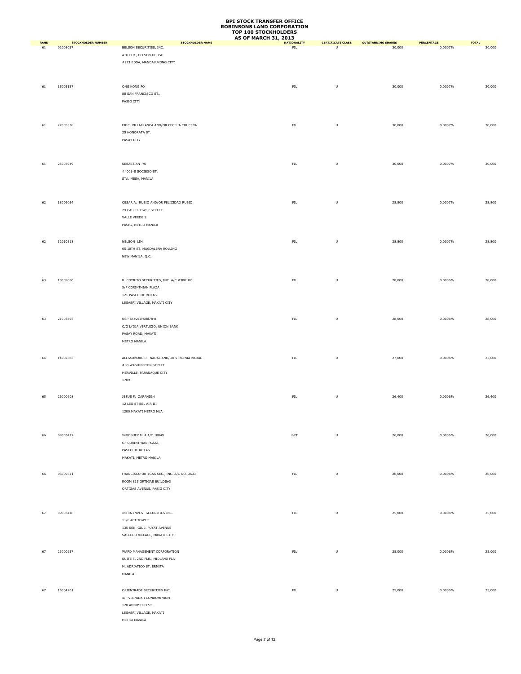|             |                           |                                           | TUE 100 STOCKHOLDLKS<br><b>AS OF MARCH 31, 2013</b> |                          |                           |            |              |
|-------------|---------------------------|-------------------------------------------|-----------------------------------------------------|--------------------------|---------------------------|------------|--------------|
| <b>RANK</b> | <b>STOCKHOLDER NUMBER</b> | <b>STOCKHOLDER NAME</b>                   | <b>NATIONALITY</b>                                  | <b>CERTIFICATE CLASS</b> | <b>OUTSTANDING SHARES</b> | PERCENTAGE | <b>TOTAL</b> |
| 61          | 02008057                  | BELSON SECURITIES, INC.                   | FIL                                                 | U                        | 30,000                    | 0.0007%    | 30,000       |
|             |                           | 4TH FLR., BELSON HOUSE                    |                                                     |                          |                           |            |              |
|             |                           | #271 EDSA, MANDALUYONG CITY               |                                                     |                          |                           |            |              |
|             |                           |                                           |                                                     |                          |                           |            |              |
|             |                           |                                           |                                                     |                          |                           |            |              |
| 61          | 15005157                  | ONG KONG PO                               | ${\sf FIL}$                                         | U                        | 30,000                    | 0.0007%    | 30,000       |
|             |                           | 88 SAN FRANCISCO ST.,                     |                                                     |                          |                           |            |              |
|             |                           | PASIG CITY                                |                                                     |                          |                           |            |              |
|             |                           |                                           |                                                     |                          |                           |            |              |
|             |                           |                                           |                                                     |                          |                           |            |              |
|             |                           |                                           |                                                     |                          |                           |            |              |
| 61          | 22005338                  | ERIC VILLAFRANCA AND/OR CECILIA CRUCENA   | ${\sf FIL}$                                         | $\sf U$                  | 30,000                    | 0.0007%    | 30,000       |
|             |                           | 25 HONORATA ST.                           |                                                     |                          |                           |            |              |
|             |                           | PASAY CITY                                |                                                     |                          |                           |            |              |
|             |                           |                                           |                                                     |                          |                           |            |              |
|             |                           |                                           |                                                     |                          |                           |            |              |
| 61          | 25003949                  | SEBASTIAN YU                              | ${\sf FIL}$                                         | $\sf U$                  | 30,000                    | 0.0007%    | 30,000       |
|             |                           | #4001-S SOCIEGO ST.                       |                                                     |                          |                           |            |              |
|             |                           | STA. MESA, MANILA                         |                                                     |                          |                           |            |              |
|             |                           |                                           |                                                     |                          |                           |            |              |
|             |                           |                                           |                                                     |                          |                           |            |              |
|             |                           |                                           |                                                     |                          |                           |            |              |
| 62          | 18009064                  | CESAR A. RUBIO AND/OR FELICIDAD RUBIO     | ${\sf FIL}$                                         | U                        | 28,800                    | 0.0007%    | 28,800       |
|             |                           | 29 CAULIFLOWER STREET                     |                                                     |                          |                           |            |              |
|             |                           | VALLE VERDE 5                             |                                                     |                          |                           |            |              |
|             |                           | PASIG, METRO MANILA                       |                                                     |                          |                           |            |              |
|             |                           |                                           |                                                     |                          |                           |            |              |
|             |                           |                                           |                                                     |                          |                           |            |              |
| 62          | 12010318                  | NELSON LIM                                | ${\sf FIL}$                                         | $\sf U$                  | 28,800                    | 0.0007%    | 28,800       |
|             |                           | 65 10TH ST, MAGDALENA ROLLING             |                                                     |                          |                           |            |              |
|             |                           | NEW MANILA, Q.C.                          |                                                     |                          |                           |            |              |
|             |                           |                                           |                                                     |                          |                           |            |              |
|             |                           |                                           |                                                     |                          |                           |            |              |
| 63          | 18009060                  | R. COYIUTO SECURITIES, INC. A/C #300102   | ${\sf FIL}$                                         | U                        | 28,000                    | 0.0006%    | 28,000       |
|             |                           | 5/F CORINTHIAN PLAZA                      |                                                     |                          |                           |            |              |
|             |                           | 121 PASEO DE ROXAS                        |                                                     |                          |                           |            |              |
|             |                           |                                           |                                                     |                          |                           |            |              |
|             |                           | LEGASPI VILLAGE, MAKATI CITY              |                                                     |                          |                           |            |              |
|             |                           |                                           |                                                     |                          |                           |            |              |
| 63          | 21003495                  | UBP TA#210-50078-8                        | ${\sf FIL}$                                         | U                        | 28,000                    | 0.0006%    | 28,000       |
|             |                           | C/O LYDIA VERTUCIO, UNION BANK            |                                                     |                          |                           |            |              |
|             |                           | PASAY ROAD, MAKATI                        |                                                     |                          |                           |            |              |
|             |                           | METRO MANILA                              |                                                     |                          |                           |            |              |
|             |                           |                                           |                                                     |                          |                           |            |              |
|             |                           |                                           |                                                     |                          |                           | 0.0006%    |              |
| 64          | 14002583                  | ALESSANDRO R. NADAL AND/OR VIRGINIA NADAL | ${\sf FIL}$                                         | $\sf U$                  | 27,000                    |            | 27,000       |
|             |                           | #83 WASHINGTON STREET                     |                                                     |                          |                           |            |              |
|             |                           | MERVILLE, PARANAQUE CITY                  |                                                     |                          |                           |            |              |
|             |                           | 1709                                      |                                                     |                          |                           |            |              |
|             |                           |                                           |                                                     |                          |                           |            |              |
| 65          | 26000608                  | JESUS F. ZARANDIN                         | ${\sf FIL}$                                         | $\sf U$                  | 26,400                    | 0.0006%    | 26,400       |
|             |                           | 12 LEO ST BEL AIR III                     |                                                     |                          |                           |            |              |
|             |                           | 1200 MAKATI METRO MLA                     |                                                     |                          |                           |            |              |
|             |                           |                                           |                                                     |                          |                           |            |              |
|             |                           |                                           |                                                     |                          |                           |            |              |
|             |                           |                                           |                                                     |                          |                           |            |              |
| 66          | 09003427                  | INDOSUEZ MLA A/C 10849                    | <b>BRT</b>                                          | $\sf U$                  | 26,000                    | 0.0006%    | 26,000       |
|             |                           | GF CORINTHIAN PLAZA                       |                                                     |                          |                           |            |              |
|             |                           | PASEO DE ROXAS                            |                                                     |                          |                           |            |              |
|             |                           | MAKATI, METRO MANILA                      |                                                     |                          |                           |            |              |
|             |                           |                                           |                                                     |                          |                           |            |              |
| 66          | 06009321                  | FRANCISCO ORTIGAS SEC., INC. A/C NO. 3633 | ${\sf FIL}$                                         | $\sf U$                  | 26,000                    | 0.0006%    | 26,000       |
|             |                           |                                           |                                                     |                          |                           |            |              |
|             |                           | ROOM 815 ORTIGAS BUILDING                 |                                                     |                          |                           |            |              |
|             |                           | ORTIGAS AVENUE, PASIG CITY                |                                                     |                          |                           |            |              |
|             |                           |                                           |                                                     |                          |                           |            |              |
|             |                           |                                           |                                                     |                          |                           |            |              |
| 67          | 09003418                  | INTRA-INVEST SECURITIES INC.              | ${\sf FIL}$                                         | $\sf U$                  | 25,000                    | 0.0006%    | 25,000       |
|             |                           | 11/F ACT TOWER                            |                                                     |                          |                           |            |              |
|             |                           | 135 SEN. GIL J. PUYAT AVENUE              |                                                     |                          |                           |            |              |
|             |                           | SALCEDO VILLAGE, MAKATI CITY              |                                                     |                          |                           |            |              |
|             |                           |                                           |                                                     |                          |                           |            |              |
|             |                           |                                           |                                                     |                          |                           |            |              |
| 67          | 23000957                  | WARD MANAGEMENT CORPORATION               | ${\sf FIL}$                                         | U                        | 25,000                    | 0.0006%    | 25,000       |
|             |                           | SUITE 5, 2ND FLR., MIDLAND PLA            |                                                     |                          |                           |            |              |
|             |                           | M. ADRIATICO ST. ERMITA                   |                                                     |                          |                           |            |              |
|             |                           | MANILA                                    |                                                     |                          |                           |            |              |
|             |                           |                                           |                                                     |                          |                           |            |              |
| 67          | 15004201                  | ORIENTRADE SECURITIES INC                 | ${\sf FIL}$                                         | U                        | 25,000                    | 0.0006%    | 25,000       |
|             |                           | 4/F VERNIDA I CONDOMINIUM                 |                                                     |                          |                           |            |              |
|             |                           | 120 AMORSOLO ST                           |                                                     |                          |                           |            |              |
|             |                           |                                           |                                                     |                          |                           |            |              |
|             |                           | LEGASPI VILLAGE, MAKATI                   |                                                     |                          |                           |            |              |
|             |                           | METRO MANILA                              |                                                     |                          |                           |            |              |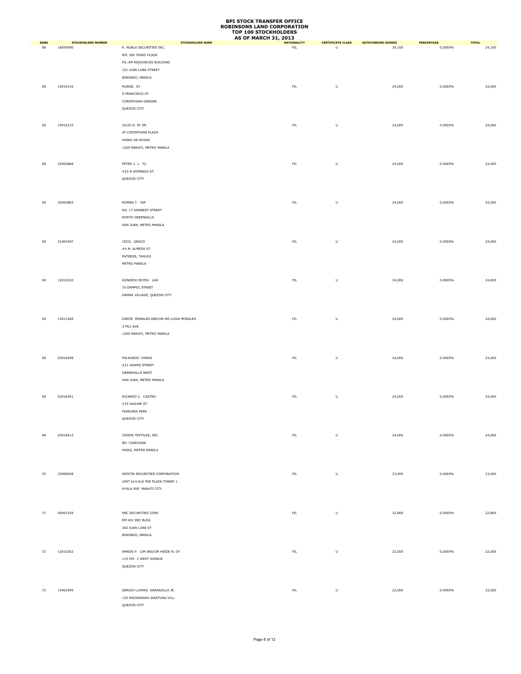|                   |                                       |                                                     | <b>AS OF MARCH 31, 2013</b>       |                                     |                                     |                       |                        |
|-------------------|---------------------------------------|-----------------------------------------------------|-----------------------------------|-------------------------------------|-------------------------------------|-----------------------|------------------------|
| <b>RANK</b><br>68 | <b>STOCKHOLDER NUMBER</b><br>18009090 | <b>STOCKHOLDER NAME</b><br>R. NUBLA SECURITIES INC. | <b>NATIONALITY</b><br>${\sf FIL}$ | <b>CERTIFICATE CLASS</b><br>$\sf U$ | <b>OUTSTANDING SHARES</b><br>24,100 | PERCENTAGE<br>0.0005% | <b>TOTAL</b><br>24,100 |
|                   |                                       |                                                     |                                   |                                     |                                     |                       |                        |
|                   |                                       | RM. 300 THIRD FLOOR                                 |                                   |                                     |                                     |                       |                        |
|                   |                                       | FIL-AM RESOURCES BUILDING                           |                                   |                                     |                                     |                       |                        |
|                   |                                       | 231 JUAN LUNA STREET                                |                                   |                                     |                                     |                       |                        |
|                   |                                       | BINONDO, MANILA                                     |                                   |                                     |                                     |                       |                        |
| 69                | 19016142                              | MURIEL SY                                           | ${\sf FIL}$                       | $\cup$                              | 24,000                              | 0.0005%               | 24,000                 |
|                   |                                       | 9 FRANCISCO ST.                                     |                                   |                                     |                                     |                       |                        |
|                   |                                       |                                                     |                                   |                                     |                                     |                       |                        |
|                   |                                       | CORINTHIAN GARDEN                                   |                                   |                                     |                                     |                       |                        |
|                   |                                       | QUEZON CITY                                         |                                   |                                     |                                     |                       |                        |
|                   |                                       |                                                     |                                   |                                     |                                     |                       |                        |
| 69                | 19016153                              | JULIO O. SY SR.                                     | ${\sf FIL}$                       | $\sf U$                             | 24,000                              | 0.0005%               | 24,000                 |
|                   |                                       | 4F CORINTHIAN PLAZA                                 |                                   |                                     |                                     |                       |                        |
|                   |                                       | PASEO DE ROXAS                                      |                                   |                                     |                                     |                       |                        |
|                   |                                       | 1200 MAKATI, METRO MANILA                           |                                   |                                     |                                     |                       |                        |
|                   |                                       |                                                     |                                   |                                     |                                     |                       |                        |
|                   |                                       |                                                     |                                   |                                     |                                     |                       |                        |
| 69                | 25003868                              | PETER C. L. YU                                      | ${\sf FIL}$                       | $\sf U$                             | 24,000                              | 0.0005%               | 24,000                 |
|                   |                                       | #23 N DOMINGO ST.                                   |                                   |                                     |                                     |                       |                        |
|                   |                                       | QUEZON CITY                                         |                                   |                                     |                                     |                       |                        |
|                   |                                       |                                                     |                                   |                                     |                                     |                       |                        |
|                   |                                       |                                                     |                                   |                                     |                                     |                       |                        |
| 69                | 25003883                              | ROMAN T. YAP                                        | FL                                | $\sf U$                             | 24,000                              | 0.0005%               | 24,000                 |
|                   |                                       | NO. 17 KENNEDY STREET                               |                                   |                                     |                                     |                       |                        |
|                   |                                       |                                                     |                                   |                                     |                                     |                       |                        |
|                   |                                       | NORTH GREENHILLS                                    |                                   |                                     |                                     |                       |                        |
|                   |                                       | SAN JUAN, METRO MANILA                              |                                   |                                     |                                     |                       |                        |
|                   |                                       |                                                     |                                   |                                     |                                     |                       |                        |
| 69                | 21003497                              | CECIL UNGCO                                         | ${\sf FIL}$                       | $\sf U$                             | 24,000                              | 0.0005%               | 24,000                 |
|                   |                                       | #4 M. ALMEDA ST.                                    |                                   |                                     |                                     |                       |                        |
|                   |                                       | PATEROS, TAGUIG                                     |                                   |                                     |                                     |                       |                        |
|                   |                                       | METRO MANILA                                        |                                   |                                     |                                     |                       |                        |
|                   |                                       |                                                     |                                   |                                     |                                     |                       |                        |
|                   |                                       |                                                     |                                   |                                     |                                     |                       |                        |
| 69                | 12010310                              | HONORIO REYES- LAO                                  | ${\sf FIL}$                       | $\sf U$                             | 24,000                              | 0.0005%               | 24,000                 |
|                   |                                       | 10 DAMPOL STREET                                    |                                   |                                     |                                     |                       |                        |
|                   |                                       | DAMAR VILLAGE, QUEZON CITY                          |                                   |                                     |                                     |                       |                        |
|                   |                                       |                                                     |                                   |                                     |                                     |                       |                        |
|                   |                                       |                                                     |                                   |                                     |                                     |                       |                        |
| 69                | 13011069                              | DANTE MORALES AND/OR MA LUISA MORALES               | ${\sf FIL}$                       | $\sf U$                             | 24,000                              | 0.0005%               | 24,000                 |
|                   |                                       | 3 PILI AVE                                          |                                   |                                     |                                     |                       |                        |
|                   |                                       |                                                     |                                   |                                     |                                     |                       |                        |
|                   |                                       | 1200 MAKATI, METRO MANILA                           |                                   |                                     |                                     |                       |                        |
|                   |                                       |                                                     |                                   |                                     |                                     |                       |                        |
|                   |                                       |                                                     |                                   |                                     |                                     |                       |                        |
| 69                | 03018298                              | MILAGROS CHENG                                      | ${\sf FIL}$                       | $\sf U$                             | 24,000                              | 0.0005%               | 24,000                 |
|                   |                                       | #21 ADAMS STREET                                    |                                   |                                     |                                     |                       |                        |
|                   |                                       | <b>GREENHILLS WEST</b>                              |                                   |                                     |                                     |                       |                        |
|                   |                                       | SAN JUAN, METRO MANILA                              |                                   |                                     |                                     |                       |                        |
|                   |                                       |                                                     |                                   |                                     |                                     |                       |                        |
|                   |                                       |                                                     |                                   |                                     |                                     |                       |                        |
| 69                | 03018391                              | RICARDO C. CASTRO                                   | FL                                | $\sf U$                             | 24,000                              | 0.0005%               | 24,000                 |
|                   |                                       | #19 JAGUAR ST.                                      |                                   |                                     |                                     |                       |                        |
|                   |                                       | FAIRVIEW PARK                                       |                                   |                                     |                                     |                       |                        |
|                   |                                       | QUEZON CITY                                         |                                   |                                     |                                     |                       |                        |
|                   |                                       |                                                     |                                   |                                     |                                     |                       |                        |
| 69                | 03018512                              | CRISPA TEXTILES, INC.                               | ${\sf FIL}$                       | $\sf U$                             | 24,000                              | 0.0005%               | 24,000                 |
|                   |                                       | BO. CANIOGAN                                        |                                   |                                     |                                     |                       |                        |
|                   |                                       |                                                     |                                   |                                     |                                     |                       |                        |
|                   |                                       | PASIG, METRO MANILA                                 |                                   |                                     |                                     |                       |                        |
|                   |                                       |                                                     |                                   |                                     |                                     |                       |                        |
|                   |                                       |                                                     |                                   |                                     |                                     |                       |                        |
| 70                | 23000948                              | WESTIN SECURITIES CORPORATION                       | FL                                | $\sf U$                             | 23,400                              | 0.0005%               | 23,400                 |
|                   |                                       | UNIT 614-616 PSE PLAZA TOWER 1                      |                                   |                                     |                                     |                       |                        |
|                   |                                       | AYALA AVE. MAKATI CITY                              |                                   |                                     |                                     |                       |                        |
|                   |                                       |                                                     |                                   |                                     |                                     |                       |                        |
|                   |                                       |                                                     |                                   |                                     |                                     |                       |                        |
|                   |                                       |                                                     |                                   |                                     |                                     |                       |                        |
| $71\,$            | 05003105                              | EBC SECURITIES CORP.                                | ${\sf FIL}$                       | $\cup$                              | 22,800                              | 0.0005%               | 22,800                 |
|                   |                                       | RM 401 EBC BLDG                                     |                                   |                                     |                                     |                       |                        |
|                   |                                       | 262 JUAN LUNA ST                                    |                                   |                                     |                                     |                       |                        |
|                   |                                       | BINONDO, MANILA                                     |                                   |                                     |                                     |                       |                        |
|                   |                                       |                                                     |                                   |                                     |                                     |                       |                        |
|                   |                                       |                                                     |                                   |                                     |                                     |                       |                        |
| 72                | 12010352                              | AMADO P. LIM AND/OR HEIDE N. DY                     | ${\sf FIL}$                       | $\sf U$                             | 22,500                              | 0.0005%               | 22,500                 |
|                   |                                       | 115 INT. C WEST AVENUE                              |                                   |                                     |                                     |                       |                        |
|                   |                                       | QUEZON CITY                                         |                                   |                                     |                                     |                       |                        |
|                   |                                       |                                                     |                                   |                                     |                                     |                       |                        |
|                   |                                       |                                                     |                                   |                                     |                                     |                       |                        |
| 72                | 14002599                              | SERGIO LLAMAS NARANJILLA JR.                        | FL                                | $\sf U$                             | 22,500                              | 0.0005%               | 22,500                 |
|                   |                                       | 135 MAGINHAWA SIKATUNA VILL                         |                                   |                                     |                                     |                       |                        |
|                   |                                       | QUEZON CITY                                         |                                   |                                     |                                     |                       |                        |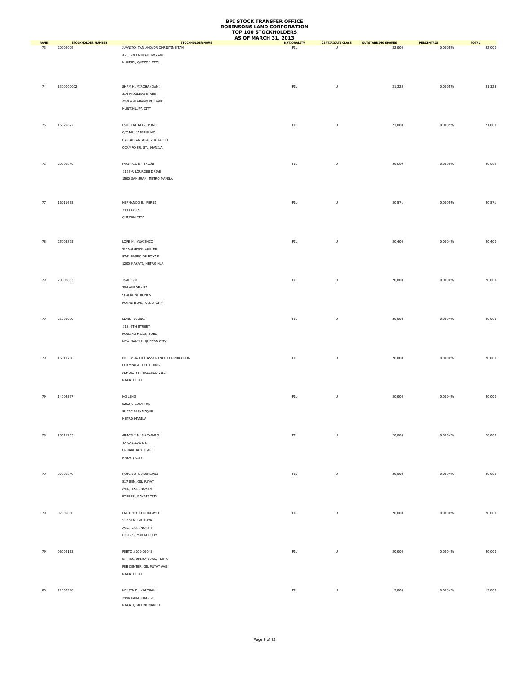|                   |                           |                                                             | <b>AS OF MARCH 31, 2013</b> |                          |                           |            |                        |
|-------------------|---------------------------|-------------------------------------------------------------|-----------------------------|--------------------------|---------------------------|------------|------------------------|
| <b>RANK</b><br>73 | <b>STOCKHOLDER NUMBER</b> | <b>STOCKHOLDER NAME</b><br>JUANITO TAN AND/OR CHRISTINE TAN | <b>NATIONALITY</b>          | <b>CERTIFICATE CLASS</b> | <b>OUTSTANDING SHARES</b> | PERCENTAGE | <b>TOTAL</b><br>22,000 |
|                   | 20009009                  |                                                             | ${\sf FIL}$                 | U                        | 22,000                    | 0.0005%    |                        |
|                   |                           | #23 GREENMEADOWS AVE.                                       |                             |                          |                           |            |                        |
|                   |                           | MURPHY, QUEZON CITY                                         |                             |                          |                           |            |                        |
|                   |                           |                                                             |                             |                          |                           |            |                        |
|                   |                           |                                                             |                             |                          |                           |            |                        |
| 74                | 1300000002                | SHAM H. MIRCHANDANI                                         | ${\sf FIL}$                 | $\sf U$                  | 21,325                    | 0.0005%    | 21,325                 |
|                   |                           | 314 MAKILING STREET                                         |                             |                          |                           |            |                        |
|                   |                           | AYALA ALABANG VILLAGE                                       |                             |                          |                           |            |                        |
|                   |                           |                                                             |                             |                          |                           |            |                        |
|                   |                           | MUNTINLUPA CITY                                             |                             |                          |                           |            |                        |
|                   |                           |                                                             |                             |                          |                           |            |                        |
| 75                | 16029622                  | ESMERALDA G. PUNO                                           | ${\sf FIL}$                 | $\sf U$                  | 21,000                    | 0.0005%    | 21,000                 |
|                   |                           | C/O MR. JAIME PUNO                                          |                             |                          |                           |            |                        |
|                   |                           | DYR-ALCANTARA, 704 PABLO                                    |                             |                          |                           |            |                        |
|                   |                           | OCAMPO SR. ST., MANILA                                      |                             |                          |                           |            |                        |
|                   |                           |                                                             |                             |                          |                           |            |                        |
|                   |                           |                                                             |                             |                          |                           |            |                        |
| 76                | 20008840                  | PACIFICO B. TACUB                                           | ${\sf FIL}$                 | $\sf U$                  | 20,669                    | 0.0005%    | 20,669                 |
|                   |                           | #135-R LOURDES DRIVE                                        |                             |                          |                           |            |                        |
|                   |                           | 1500 SAN JUAN, METRO MANILA                                 |                             |                          |                           |            |                        |
|                   |                           |                                                             |                             |                          |                           |            |                        |
|                   |                           |                                                             |                             |                          |                           |            |                        |
| 77                | 16011655                  | HERNANDO B. PEREZ                                           | ${\sf FIL}$                 | $\sf U$                  | 20,571                    | 0.0005%    | 20,571                 |
|                   |                           |                                                             |                             |                          |                           |            |                        |
|                   |                           | 7 PELAYO ST                                                 |                             |                          |                           |            |                        |
|                   |                           | QUEZON CITY                                                 |                             |                          |                           |            |                        |
|                   |                           |                                                             |                             |                          |                           |            |                        |
|                   |                           |                                                             |                             |                          |                           |            |                        |
| 78                | 25003875                  | LOPE M. YUVIENCO                                            | ${\sf FIL}$                 | U                        | 20,400                    | 0.0004%    | 20,400                 |
|                   |                           | 4/F CITIBANK CENTRE                                         |                             |                          |                           |            |                        |
|                   |                           | 8741 PASEO DE ROXAS                                         |                             |                          |                           |            |                        |
|                   |                           | 1200 MAKATI, METRO MLA                                      |                             |                          |                           |            |                        |
|                   |                           |                                                             |                             |                          |                           |            |                        |
|                   |                           |                                                             |                             |                          |                           |            |                        |
| 79                | 20008883                  | <b>TSAI SZU</b>                                             | ${\sf FIL}$                 | $\sf U$                  | 20,000                    | 0.0004%    | 20,000                 |
|                   |                           | 204 AURORA ST                                               |                             |                          |                           |            |                        |
|                   |                           | SEAFRONT HOMES                                              |                             |                          |                           |            |                        |
|                   |                           | ROXAS BLVD, PASAY CITY                                      |                             |                          |                           |            |                        |
|                   |                           |                                                             |                             |                          |                           |            |                        |
|                   |                           |                                                             |                             |                          |                           |            |                        |
| 79                | 25003939                  | ELVIS YOUNG                                                 | ${\sf FIL}$                 | $\sf U$                  | 20,000                    | 0.0004%    | 20,000                 |
|                   |                           | $\#18,$ 9TH STREET                                          |                             |                          |                           |            |                        |
|                   |                           | ROLLING HILLS, SUBD.                                        |                             |                          |                           |            |                        |
|                   |                           | NEW MANILA, QUEZON CITY                                     |                             |                          |                           |            |                        |
|                   |                           |                                                             |                             |                          |                           |            |                        |
|                   |                           |                                                             |                             |                          |                           |            |                        |
| 79                | 16011750                  | PHIL ASIA LIFE ASSURANCE CORPORATION                        | ${\sf FIL}$                 | $\sf U$                  | 20,000                    | 0.0004%    | 20,000                 |
|                   |                           | CHAMPACA II BUILDING                                        |                             |                          |                           |            |                        |
|                   |                           | ALFARO ST., SALCEDO VILL.                                   |                             |                          |                           |            |                        |
|                   |                           | MAKATI CITY                                                 |                             |                          |                           |            |                        |
|                   |                           |                                                             |                             |                          |                           |            |                        |
| 79                | 14002597                  | NG LENG                                                     | ${\sf FIL}$                 | $\sf U$                  | 20,000                    | 0.0004%    | 20,000                 |
|                   |                           | 8252-C SUCAT RD                                             |                             |                          |                           |            |                        |
|                   |                           | SUCAT PARANAQUE                                             |                             |                          |                           |            |                        |
|                   |                           |                                                             |                             |                          |                           |            |                        |
|                   |                           | METRO MANILA                                                |                             |                          |                           |            |                        |
|                   |                           |                                                             |                             |                          |                           |            |                        |
| 79                | 13011265                  | ARACELI A. MACARAIG                                         | ${\sf FIL}$                 | $\sf U$                  | 20,000                    | 0.0004%    | 20,000                 |
|                   |                           | 47 CABILDO ST.,                                             |                             |                          |                           |            |                        |
|                   |                           | URDANETA VILLAGE                                            |                             |                          |                           |            |                        |
|                   |                           | MAKATI CITY                                                 |                             |                          |                           |            |                        |
|                   |                           |                                                             |                             |                          |                           |            |                        |
|                   |                           |                                                             |                             |                          |                           |            |                        |
| 79                | 07009849                  | HOPE YU GOKONGWEI                                           | ${\sf FIL}$                 | $\sf U$                  | 20,000                    | 0.0004%    | 20,000                 |
|                   |                           | 517 SEN. GIL PUYAT                                          |                             |                          |                           |            |                        |
|                   |                           | AVE., EXT., NORTH                                           |                             |                          |                           |            |                        |
|                   |                           | FORBES, MAKATI CITY                                         |                             |                          |                           |            |                        |
|                   |                           |                                                             |                             |                          |                           |            |                        |
|                   |                           |                                                             |                             |                          |                           |            |                        |
| 79                | 07009850                  | FAITH YU GOKONGWEI                                          | ${\sf FIL}$                 | $\sf U$                  | 20,000                    | 0.0004%    | 20,000                 |
|                   |                           | 517 SEN. GIL PUYAT                                          |                             |                          |                           |            |                        |
|                   |                           | AVE., EXT., NORTH                                           |                             |                          |                           |            |                        |
|                   |                           | FORBES, MAKATI CITY                                         |                             |                          |                           |            |                        |
|                   |                           |                                                             |                             |                          |                           |            |                        |
| 79                | 06009153                  | FEBTC #202-00043                                            | ${\sf FIL}$                 | $\sf U$                  | 20,000                    | 0.0004%    | 20,000                 |
|                   |                           |                                                             |                             |                          |                           |            |                        |
|                   |                           | 8/F TBG OPERATIONS, FEBTC                                   |                             |                          |                           |            |                        |
|                   |                           | FEB CENTER, GIL PUYAT AVE.                                  |                             |                          |                           |            |                        |
|                   |                           | MAKATI CITY                                                 |                             |                          |                           |            |                        |
|                   |                           |                                                             |                             |                          |                           |            |                        |
| 80                | 11002998                  | NENITA D. KAPCHAN                                           | ${\sf FIL}$                 | $\sf U$                  | 19,800                    | 0.0004%    | 19,800                 |
|                   |                           | 2994 KAKARONG ST.                                           |                             |                          |                           |            |                        |
|                   |                           | MAKATI, METRO MANILA                                        |                             |                          |                           |            |                        |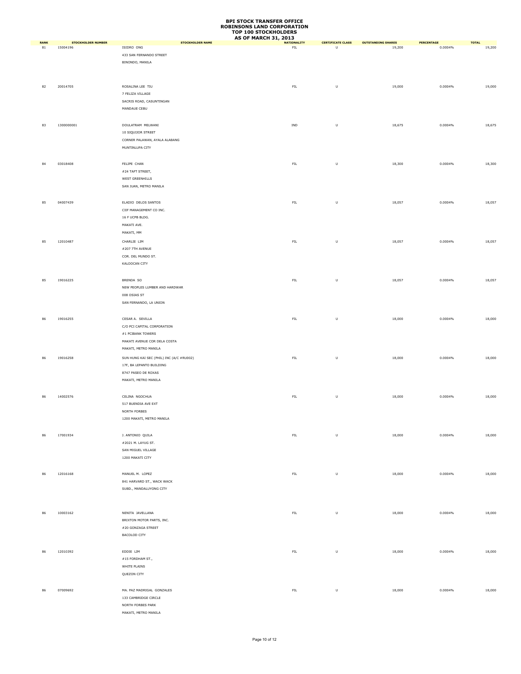|             |                           |                                          | <b>AS OF MARCH 31, 2013</b> |                          |                           |            |                        |
|-------------|---------------------------|------------------------------------------|-----------------------------|--------------------------|---------------------------|------------|------------------------|
| <b>RANK</b> | <b>STOCKHOLDER NUMBER</b> | <b>STOCKHOLDER NAME</b><br>ISIDRO ONG    | <b>NATIONALITY</b>          | <b>CERTIFICATE CLASS</b> | <b>OUTSTANDING SHARES</b> | PERCENTAGE | <b>TOTAL</b><br>19,200 |
| 81          | 15004196                  |                                          | ${\sf FIL}$                 | U                        | 19,200                    | 0.0004%    |                        |
|             |                           | 433 SAN FERNANDO STREET                  |                             |                          |                           |            |                        |
|             |                           | BINONDO, MANILA                          |                             |                          |                           |            |                        |
|             |                           |                                          |                             |                          |                           |            |                        |
|             |                           |                                          |                             |                          |                           |            |                        |
| 82          | 20014705                  | ROSALINA LEE TIU                         | ${\sf FIL}$                 | $\sf U$                  | 19,000                    | 0.0004%    | 19,000                 |
|             |                           | 7 FELIZA VILLAGE                         |                             |                          |                           |            |                        |
|             |                           | SACRIS ROAD, CASUNTINGAN                 |                             |                          |                           |            |                        |
|             |                           | MANDAUE CEBU                             |                             |                          |                           |            |                        |
|             |                           |                                          |                             |                          |                           |            |                        |
|             |                           |                                          |                             |                          |                           |            |                        |
| 83          | 1300000001                | DOULATRAM MELWANI                        | IND                         | $\sf U$                  | 18,675                    | 0.0004%    | 18,675                 |
|             |                           | 10 SIQUIJOR STREET                       |                             |                          |                           |            |                        |
|             |                           | CORNER PALAWAN, AYALA ALABANG            |                             |                          |                           |            |                        |
|             |                           | MUNTINLUPA CITY                          |                             |                          |                           |            |                        |
|             |                           |                                          |                             |                          |                           |            |                        |
|             |                           |                                          |                             |                          |                           |            |                        |
| 84          | 03018408                  | FELIPE CHAN                              | ${\sf FIL}$                 | $\sf U$                  | 18,300                    | 0.0004%    | 18,300                 |
|             |                           | #24 TAFT STREET,                         |                             |                          |                           |            |                        |
|             |                           | WEST GREENHILLS                          |                             |                          |                           |            |                        |
|             |                           | SAN JUAN, METRO MANILA                   |                             |                          |                           |            |                        |
|             |                           |                                          |                             |                          |                           |            |                        |
| 85          | 04007439                  | ELADIO DELOS SANTOS                      | ${\sf FIL}$                 | $\sf U$                  | 18,057                    | 0.0004%    | 18,057                 |
|             |                           | CIIF MANAGEMENT CO INC.                  |                             |                          |                           |            |                        |
|             |                           |                                          |                             |                          |                           |            |                        |
|             |                           | 16 F UCPB BLDG.                          |                             |                          |                           |            |                        |
|             |                           | MAKATI AVE.                              |                             |                          |                           |            |                        |
|             |                           | MAKATI, MM                               |                             |                          |                           |            |                        |
| 85          | 12010487                  | CHARLIE LIM                              | ${\sf FIL}$                 | U                        | 18,057                    | 0.0004%    | 18,057                 |
|             |                           | #207 7TH AVENUE                          |                             |                          |                           |            |                        |
|             |                           | COR. DEL MUNDO ST.                       |                             |                          |                           |            |                        |
|             |                           | KALOOCAN CITY                            |                             |                          |                           |            |                        |
|             |                           |                                          |                             |                          |                           |            |                        |
|             |                           |                                          |                             |                          |                           |            |                        |
| 85          | 19016225                  | BRENDA SO                                | ${\sf FIL}$                 | $\sf U$                  | 18,057                    | 0.0004%    | 18,057                 |
|             |                           | NEW PEOPLES LUMBER AND HARDWAR           |                             |                          |                           |            |                        |
|             |                           | 008 OSIAS ST                             |                             |                          |                           |            |                        |
|             |                           | SAN FERNANDO, LA UNION                   |                             |                          |                           |            |                        |
|             |                           |                                          |                             |                          |                           |            |                        |
|             |                           |                                          |                             |                          |                           |            |                        |
| 86          | 19016255                  | CESAR A. SEVILLA                         | ${\sf FIL}$                 | $\sf U$                  | 18,000                    | 0.0004%    | 18,000                 |
|             |                           | C/O PCI CAPITAL CORPORATION              |                             |                          |                           |            |                        |
|             |                           | #1 PCIBANK TOWERS                        |                             |                          |                           |            |                        |
|             |                           | MAKATI AVENUE COR DELA COSTA             |                             |                          |                           |            |                        |
|             |                           | MAKATI, METRO MANILA                     |                             |                          |                           |            |                        |
|             |                           |                                          |                             |                          |                           |            |                        |
| 86          | 19016258                  | SUN HUNG KAI SEC (PHIL) INC (A/C #RU002) | ${\sf FIL}$                 | $\sf U$                  | 18,000                    | 0.0004%    | 18,000                 |
|             |                           | 17F, BA LEPANTO BUILDING                 |                             |                          |                           |            |                        |
|             |                           | 8747 PASEO DE ROXAS                      |                             |                          |                           |            |                        |
|             |                           | MAKATI, METRO MANILA                     |                             |                          |                           |            |                        |
|             |                           |                                          |                             |                          |                           |            |                        |
| 86          | 14002576                  | CELINA NGOCHUA                           | ${\sf FIL}$                 | $\sf U$                  | 18,000                    | 0.0004%    | 18,000                 |
|             |                           | 517 BUENDIA AVE EXT                      |                             |                          |                           |            |                        |
|             |                           | NORTH FORBES                             |                             |                          |                           |            |                        |
|             |                           |                                          |                             |                          |                           |            |                        |
|             |                           | 1200 MAKATI, METRO MANILA                |                             |                          |                           |            |                        |
|             |                           |                                          |                             |                          |                           |            |                        |
| 86          | 17001934                  | J. ANTONIO QUILA                         | ${\sf FIL}$                 | $\sf U$                  | 18,000                    | 0.0004%    | 18,000                 |
|             |                           | #2021 M. LAYUG ST.                       |                             |                          |                           |            |                        |
|             |                           | SAN MIGUEL VILLAGE                       |                             |                          |                           |            |                        |
|             |                           | 1200 MAKATI CITY                         |                             |                          |                           |            |                        |
|             |                           |                                          |                             |                          |                           |            |                        |
|             |                           |                                          |                             |                          |                           |            |                        |
| 86          | 12016168                  | MANUEL M. LOPEZ                          | ${\sf FIL}$                 | $\sf U$                  | 18,000                    | 0.0004%    | 18,000                 |
|             |                           | 841 HARVARD ST., WACK WACK               |                             |                          |                           |            |                        |
|             |                           | SUBD., MANDALUYONG CITY                  |                             |                          |                           |            |                        |
|             |                           |                                          |                             |                          |                           |            |                        |
|             |                           |                                          |                             |                          |                           |            |                        |
| 86          | 10003162                  | NENITA JAVELLANA                         | ${\sf FIL}$                 | $\sf U$                  | 18,000                    | 0.0004%    | 18,000                 |
|             |                           | BRIXTON MOTOR PARTS, INC.                |                             |                          |                           |            |                        |
|             |                           |                                          |                             |                          |                           |            |                        |
|             |                           | #20 GONZAGA STREET                       |                             |                          |                           |            |                        |
|             |                           | BACOLOD CITY                             |                             |                          |                           |            |                        |
|             |                           |                                          |                             |                          |                           |            |                        |
| 86          | 12010392                  | EDDIE LIM                                | ${\sf FIL}$                 | $\sf U$                  | 18,000                    | 0.0004%    | 18,000                 |
|             |                           | $\#15$ FORDHAM ST.,                      |                             |                          |                           |            |                        |
|             |                           | WHITE PLAINS                             |                             |                          |                           |            |                        |
|             |                           | QUEZON CITY                              |                             |                          |                           |            |                        |
|             |                           |                                          |                             |                          |                           |            |                        |
|             |                           |                                          |                             |                          |                           |            |                        |
| 86          | 07009692                  | MA. PAZ MADRIGAL GONZALES                | ${\sf FIL}$                 | $\sf U$                  | 18,000                    | 0.0004%    | 18,000                 |
|             |                           | 133 CAMBRIDGE CIRCLE                     |                             |                          |                           |            |                        |
|             |                           | NORTH FORBES PARK                        |                             |                          |                           |            |                        |
|             |                           | MAKATI, METRO MANILA                     |                             |                          |                           |            |                        |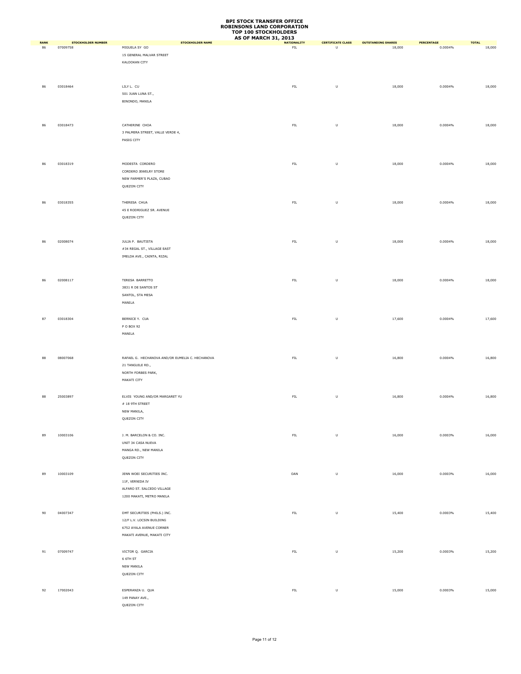|             |                           |                                                 | <b>AS OF MARCH 31, 2013</b> |                                                                                                            |                           |            |              |
|-------------|---------------------------|-------------------------------------------------|-----------------------------|------------------------------------------------------------------------------------------------------------|---------------------------|------------|--------------|
| <b>RANK</b> | <b>STOCKHOLDER NUMBER</b> | <b>STOCKHOLDER NAME</b>                         | <b>NATIONALITY</b>          | <b>CERTIFICATE CLASS</b>                                                                                   | <b>OUTSTANDING SHARES</b> | PERCENTAGE | <b>TOTAL</b> |
| 86          | 07009758                  | MIGUELA SY GO                                   | ${\sf FIL}$                 | $\overline{U}$                                                                                             | 18,000                    | 0.0004%    | 18,000       |
|             |                           | 15 GENERAL MALVAR STREET                        |                             |                                                                                                            |                           |            |              |
|             |                           | KALOOKAN CITY                                   |                             |                                                                                                            |                           |            |              |
|             |                           |                                                 |                             |                                                                                                            |                           |            |              |
|             |                           |                                                 |                             |                                                                                                            |                           |            |              |
| 86          | 03018464                  | LILY L. CU                                      | ${\sf FIL}$                 | $\sf U$                                                                                                    | 18,000                    | 0.0004%    | 18,000       |
|             |                           | 501 JUAN LUNA ST.,                              |                             |                                                                                                            |                           |            |              |
|             |                           | BINONDO, MANILA                                 |                             |                                                                                                            |                           |            |              |
|             |                           |                                                 |                             |                                                                                                            |                           |            |              |
|             |                           |                                                 |                             |                                                                                                            |                           |            |              |
|             |                           |                                                 |                             |                                                                                                            |                           |            |              |
| 86          | 03018473                  | CATHERINE CHOA                                  | ${\sf FIL}$                 | $\sf U$                                                                                                    | 18,000                    | 0.0004%    | 18,000       |
|             |                           | 3 PALMERA STREET, VALLE VERDE 4,                |                             |                                                                                                            |                           |            |              |
|             |                           | PASIG CITY                                      |                             |                                                                                                            |                           |            |              |
|             |                           |                                                 |                             |                                                                                                            |                           |            |              |
|             |                           |                                                 |                             |                                                                                                            |                           |            |              |
|             |                           |                                                 |                             |                                                                                                            |                           |            |              |
| 86          | 03018319                  | MODESTA CORDERO                                 | ${\sf FIL}$                 | $\mathsf{U}% _{T}=\mathsf{U}_{T}\!\left( a,b\right) ,\ \mathsf{U}_{T}=\mathsf{U}_{T}\!\left( a,b\right) ,$ | 18,000                    | 0.0004%    | 18,000       |
|             |                           | CORDERO JEWELRY STORE                           |                             |                                                                                                            |                           |            |              |
|             |                           | NEW FARMER'S PLAZA, CUBAO                       |                             |                                                                                                            |                           |            |              |
|             |                           | QUEZON CITY                                     |                             |                                                                                                            |                           |            |              |
|             |                           |                                                 |                             |                                                                                                            |                           |            |              |
| 86          | 03018355                  | THERESA CHUA                                    | ${\sf FIL}$                 | $\sf U$                                                                                                    | 18,000                    | 0.0004%    | 18,000       |
|             |                           |                                                 |                             |                                                                                                            |                           |            |              |
|             |                           | 45 E RODRIGUEZ SR. AVENUE                       |                             |                                                                                                            |                           |            |              |
|             |                           | QUEZON CITY                                     |                             |                                                                                                            |                           |            |              |
|             |                           |                                                 |                             |                                                                                                            |                           |            |              |
|             |                           |                                                 |                             |                                                                                                            |                           |            |              |
| 86          | 02008074                  | JULIA P. BAUTISTA                               | ${\sf FIL}$                 | $\sf U$                                                                                                    | 18,000                    | 0.0004%    | 18,000       |
|             |                           | #34 REGAL ST., VILLAGE EAST                     |                             |                                                                                                            |                           |            |              |
|             |                           | IMELDA AVE., CAINTA, RIZAL                      |                             |                                                                                                            |                           |            |              |
|             |                           |                                                 |                             |                                                                                                            |                           |            |              |
|             |                           |                                                 |                             |                                                                                                            |                           |            |              |
|             |                           |                                                 |                             |                                                                                                            |                           |            |              |
| 86          | 02008117                  | TERESA BARRETTO                                 | ${\sf FIL}$                 | $\sf U$                                                                                                    | 18,000                    | 0.0004%    | 18,000       |
|             |                           | 3831 R DE SANTOS ST                             |                             |                                                                                                            |                           |            |              |
|             |                           | SANTOL, STA MESA                                |                             |                                                                                                            |                           |            |              |
|             |                           | MANILA                                          |                             |                                                                                                            |                           |            |              |
|             |                           |                                                 |                             |                                                                                                            |                           |            |              |
|             |                           |                                                 |                             |                                                                                                            |                           |            |              |
| 87          | 03018304                  | BERNICE Y. CUA                                  | ${\sf FIL}$                 | U                                                                                                          | 17,600                    | 0.0004%    | 17,600       |
|             |                           | P O BOX 92                                      |                             |                                                                                                            |                           |            |              |
|             |                           | MANILA                                          |                             |                                                                                                            |                           |            |              |
|             |                           |                                                 |                             |                                                                                                            |                           |            |              |
|             |                           |                                                 |                             |                                                                                                            |                           |            |              |
| 88          | 08007068                  | RAFAEL G. HECHANOVA AND/OR EUMELIA C. HECHANOVA | ${\sf FIL}$                 | U                                                                                                          | 16,800                    | 0.0004%    | 16,800       |
|             |                           | 21 TANGUILE RD.,                                |                             |                                                                                                            |                           |            |              |
|             |                           |                                                 |                             |                                                                                                            |                           |            |              |
|             |                           | NORTH FORBES PARK,                              |                             |                                                                                                            |                           |            |              |
|             |                           | MAKATI CITY                                     |                             |                                                                                                            |                           |            |              |
|             |                           |                                                 |                             |                                                                                                            |                           |            |              |
| 88          | 25003897                  | ELVIS YOUNG AND/OR MARGARET YU                  | ${\sf FIL}$                 | $\sf U$                                                                                                    | 16,800                    | 0.0004%    | 16,800       |
|             |                           | $\#$ 18 9TH STREET                              |                             |                                                                                                            |                           |            |              |
|             |                           | NEW MANILA,                                     |                             |                                                                                                            |                           |            |              |
|             |                           | QUEZON CITY                                     |                             |                                                                                                            |                           |            |              |
|             |                           |                                                 |                             |                                                                                                            |                           |            |              |
|             |                           |                                                 |                             |                                                                                                            |                           |            |              |
| 89          | 10003106                  | J. M. BARCELON & CO. INC.                       | ${\sf FIL}$                 | $\sf U$                                                                                                    | 16,000                    | 0.0003%    | 16,000       |
|             |                           | UNIT 34 CASA NUEVA                              |                             |                                                                                                            |                           |            |              |
|             |                           | MANGA RD., NEW MANILA                           |                             |                                                                                                            |                           |            |              |
|             |                           | QUEZON CITY                                     |                             |                                                                                                            |                           |            |              |
|             |                           |                                                 |                             |                                                                                                            |                           |            |              |
|             | 10003109                  | JENN WOEI SECURITIES INC.                       | OAN                         | $\sf U$                                                                                                    |                           | 0.0003%    | 16,000       |
| 89          |                           |                                                 |                             |                                                                                                            | 16,000                    |            |              |
|             |                           | 11F, VERNIDA IV                                 |                             |                                                                                                            |                           |            |              |
|             |                           | ALFARO ST. SALCEDO VILLAGE                      |                             |                                                                                                            |                           |            |              |
|             |                           | 1200 MAKATI, METRO MANILA                       |                             |                                                                                                            |                           |            |              |
|             |                           |                                                 |                             |                                                                                                            |                           |            |              |
| 90          | 04007347                  | DMT SECURITIES (PHILS.) INC.                    | ${\sf FIL}$                 | $\sf U$                                                                                                    | 15,400                    | 0.0003%    | 15,400       |
|             |                           | 12/F L.V. LOCSIN BUILDING                       |                             |                                                                                                            |                           |            |              |
|             |                           | 6752 AYALA AVENUE CORNER                        |                             |                                                                                                            |                           |            |              |
|             |                           |                                                 |                             |                                                                                                            |                           |            |              |
|             |                           | MAKATI AVENUE, MAKATI CITY                      |                             |                                                                                                            |                           |            |              |
|             |                           |                                                 |                             |                                                                                                            |                           |            |              |
| 91          | 07009747                  | VICTOR Q. GARCIA                                | ${\sf FIL}$                 | U                                                                                                          | 15,200                    | 0.0003%    | 15,200       |
|             |                           | 6 6TH ST                                        |                             |                                                                                                            |                           |            |              |
|             |                           | NEW MANILA                                      |                             |                                                                                                            |                           |            |              |
|             |                           | QUEZON CITY                                     |                             |                                                                                                            |                           |            |              |
|             |                           |                                                 |                             |                                                                                                            |                           |            |              |
|             |                           |                                                 |                             |                                                                                                            |                           |            |              |
| 92          | 17002043                  | ESPERANZA U. QUA                                | ${\sf FIL}$                 | $\sf U$                                                                                                    | 15,000                    | 0.0003%    | 15,000       |
|             |                           | 149 PANAY AVE.,                                 |                             |                                                                                                            |                           |            |              |
|             |                           | QUEZON CITY                                     |                             |                                                                                                            |                           |            |              |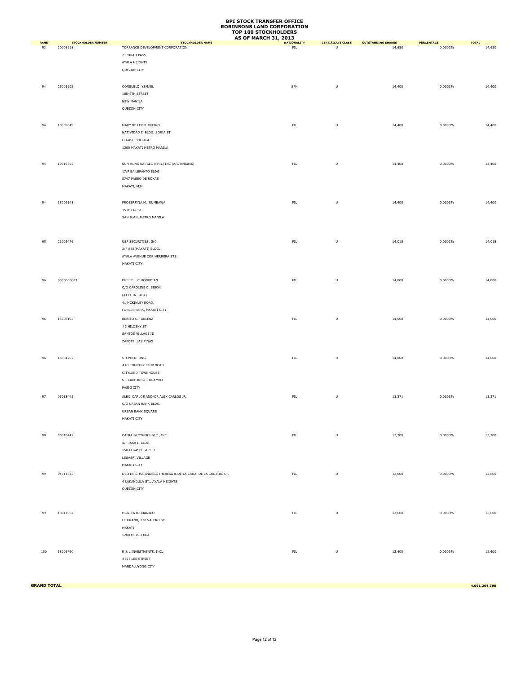|             |                           |                                                            | <b>AS OF MARCH 31, 2013</b> |                          |                           |            |              |
|-------------|---------------------------|------------------------------------------------------------|-----------------------------|--------------------------|---------------------------|------------|--------------|
| <b>RANK</b> | <b>STOCKHOLDER NUMBER</b> | <b>STOCKHOLDER NAME</b>                                    | <b>NATIONALITY</b>          | <b>CERTIFICATE CLASS</b> | <b>OUTSTANDING SHARES</b> | PERCENTAGE | <b>TOTAL</b> |
| 93          | 20008918                  | TORRANCE DEVELOPMENT CORPORATION                           | ${\sf FIL}$                 | U                        | 14,650                    | 0.0003%    | 14,650       |
|             |                           | 21 TIRAD PASS                                              |                             |                          |                           |            |              |
|             |                           | AYALA HEIGHTS                                              |                             |                          |                           |            |              |
|             |                           | QUEZON CITY                                                |                             |                          |                           |            |              |
|             |                           |                                                            |                             |                          |                           |            |              |
|             |                           |                                                            |                             |                          |                           |            |              |
| 94          | 25003902                  | CONSUELO YSMAEL                                            | SPN                         | $\sf U$                  | 14,400                    | 0.0003%    | 14,400       |
|             |                           | 100-4TH STREET                                             |                             |                          |                           |            |              |
|             |                           |                                                            |                             |                          |                           |            |              |
|             |                           | NEW MANILA                                                 |                             |                          |                           |            |              |
|             |                           | QUEZON CITY                                                |                             |                          |                           |            |              |
|             |                           |                                                            |                             |                          |                           |            |              |
| 94          | 18009049                  | MARY DE LEON RUFINO                                        | ${\sf FIL}$                 | $\sf U$                  |                           | 0.0003%    | 14,400       |
|             |                           |                                                            |                             |                          | 14,400                    |            |              |
|             |                           | NATIVIDAD II BLDG, SORIA ST                                |                             |                          |                           |            |              |
|             |                           | LEGASPI VILLAGE                                            |                             |                          |                           |            |              |
|             |                           | 1200 MAKATI METRO MANILA                                   |                             |                          |                           |            |              |
|             |                           |                                                            |                             |                          |                           |            |              |
|             |                           |                                                            |                             |                          |                           |            |              |
| 94          | 19016303                  | SUN HUNG KAI SEC (PHIL) INC (A/C #MA046)                   | ${\sf FIL}$                 | U                        | 14,400                    | 0.0003%    | 14,400       |
|             |                           | 17/F BA LEPANTO BLDG                                       |                             |                          |                           |            |              |
|             |                           | 8747 PASEO DE ROXAS                                        |                             |                          |                           |            |              |
|             |                           | MAKATI, M.M.                                               |                             |                          |                           |            |              |
|             |                           |                                                            |                             |                          |                           |            |              |
|             |                           |                                                            |                             |                          |                           |            |              |
| 94          | 18009148                  | PROSERFINA M. RUMBAWA                                      | ${\sf FIL}$                 | $\sf U$                  | 14,400                    | 0.0003%    | 14,400       |
|             |                           | 35 RIZAL ST                                                |                             |                          |                           |            |              |
|             |                           |                                                            |                             |                          |                           |            |              |
|             |                           | SAN JUAN, METRO MANILA                                     |                             |                          |                           |            |              |
|             |                           |                                                            |                             |                          |                           |            |              |
|             |                           |                                                            |                             |                          |                           |            |              |
|             |                           |                                                            |                             |                          |                           |            |              |
| 95          | 21003476                  | UBP SECURITIES, INC.                                       | ${\sf FIL}$                 | U                        | 14,018                    | 0.0003%    | 14,018       |
|             |                           | 3/F SSS(MAKATI) BLDG.                                      |                             |                          |                           |            |              |
|             |                           | AYALA AVENUE COR HERRERA STS.                              |                             |                          |                           |            |              |
|             |                           |                                                            |                             |                          |                           |            |              |
|             |                           | MAKATI CITY                                                |                             |                          |                           |            |              |
|             |                           |                                                            |                             |                          |                           |            |              |
| 96          | 0300000003                | PHILIP L. CHIONGBIAN                                       | ${\sf FIL}$                 | U                        | 14,000                    | 0.0003%    | 14,000       |
|             |                           |                                                            |                             |                          |                           |            |              |
|             |                           | C/O CAROLINE C. SISON                                      |                             |                          |                           |            |              |
|             |                           | (ATTY-IN-FACT)                                             |                             |                          |                           |            |              |
|             |                           | 41 MCKINLEY ROAD,                                          |                             |                          |                           |            |              |
|             |                           | FORBES PARK, MAKATI CITY                                   |                             |                          |                           |            |              |
|             |                           |                                                            |                             |                          |                           |            |              |
| 96          | 15005163                  | BENITO G. OBLENA                                           | ${\sf FIL}$                 | $\sf U$                  | 14,000                    | 0.0003%    | 14,000       |
|             |                           | #2 HILOSKY ST.                                             |                             |                          |                           |            |              |
|             |                           | SANTOS VILLAGE III                                         |                             |                          |                           |            |              |
|             |                           | ZAPOTE, LAS PINAS                                          |                             |                          |                           |            |              |
|             |                           |                                                            |                             |                          |                           |            |              |
|             |                           |                                                            |                             |                          |                           |            |              |
| 96          | 15004257                  | STEPHEN ONG                                                | ${\sf FIL}$                 | U                        | 14,000                    | 0.0003%    | 14,000       |
|             |                           | #40 COUNTRY CLUB ROAD                                      |                             |                          |                           |            |              |
|             |                           |                                                            |                             |                          |                           |            |              |
|             |                           | CITYLAND TOWNHOUSE                                         |                             |                          |                           |            |              |
|             |                           | ST. MARTIN ST., ORAMBO                                     |                             |                          |                           |            |              |
|             |                           | PASIG CITY                                                 |                             |                          |                           |            |              |
|             |                           |                                                            |                             |                          |                           |            |              |
| 97          | 03018445                  | ALEX CARLOS AND/OR ALEX CARLOS JR.                         | ${\sf FIL}$                 | $\sf U$                  | 13,371                    | 0.0003%    | 13,371       |
|             |                           | C/O URBAN BANK BLDG.                                       |                             |                          |                           |            |              |
|             |                           | URBAN BANK SQUARE                                          |                             |                          |                           |            |              |
|             |                           | MAKATI CITY                                                |                             |                          |                           |            |              |
|             |                           |                                                            |                             |                          |                           |            |              |
|             |                           |                                                            |                             |                          |                           |            |              |
| 98          | 03018442                  | CAFRA BROTHERS SEC., INC.                                  | ${\sf FIL}$                 | $\sf U$                  | 13,200                    | 0.0003%    | 13,200       |
|             |                           | 4/F JAKA II BLDG.                                          |                             |                          |                           |            |              |
|             |                           | 150 LEGASPI STREET                                         |                             |                          |                           |            |              |
|             |                           |                                                            |                             |                          |                           |            |              |
|             |                           | LEGASPI VILLAGE                                            |                             |                          |                           |            |              |
|             |                           | MAKATI CITY                                                |                             |                          |                           |            |              |
|             | 04011823                  | DELFIN S. MA.ANDREA THERESA K.DE LA CRUZ DE LA CRUZ JR. OR | FL                          | $\sf U$                  |                           | 0.0003%    |              |
| 99          |                           |                                                            |                             |                          | 12,600                    |            | 12,600       |
|             |                           | 4 LAKANDULA ST., AYALA HEIGHTS                             |                             |                          |                           |            |              |
|             |                           | QUEZON CITY                                                |                             |                          |                           |            |              |
|             |                           |                                                            |                             |                          |                           |            |              |
|             |                           |                                                            |                             |                          |                           |            |              |
|             |                           |                                                            |                             |                          |                           |            |              |
| 99          | 13011067                  | MONICA B. MANALO                                           | ${\sf FIL}$                 | $\sf U$                  | 12,600                    | 0.0003%    | 12,600       |
|             |                           | LE GRAND, 130 VALERO ST,                                   |                             |                          |                           |            |              |
|             |                           |                                                            |                             |                          |                           |            |              |
|             |                           | MAKATI                                                     |                             |                          |                           |            |              |
|             |                           | 1200 METRO MLA                                             |                             |                          |                           |            |              |
|             |                           |                                                            |                             |                          |                           |            |              |
|             |                           |                                                            |                             |                          |                           |            |              |
| 100         | 18005790                  | R & L INVESTMENTS, INC.                                    | ${\sf FIL}$                 | $\sf U$                  | 12,400                    | 0.0003%    | 12,400       |
|             |                           | #675 LEE STREET                                            |                             |                          |                           |            |              |
|             |                           | MANDALUYONG CITY                                           |                             |                          |                           |            |              |
|             |                           |                                                            |                             |                          |                           |            |              |
|             |                           |                                                            |                             |                          |                           |            |              |

**GRAND TOTAL 4,091,204,398**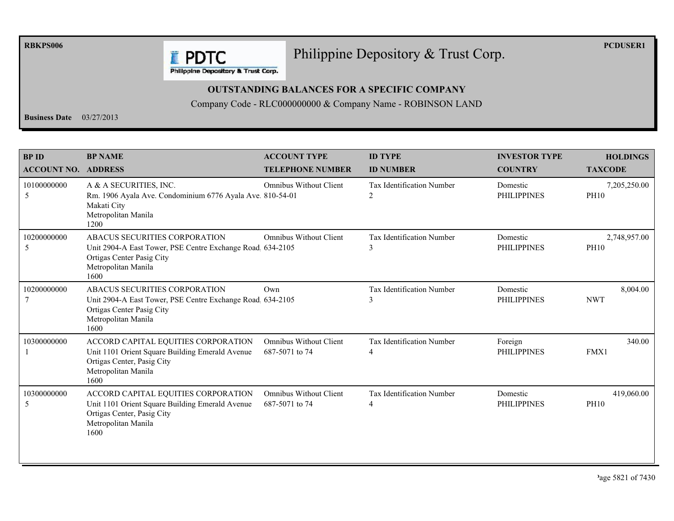**RBKPS006** 

#### Philippine Depository & Trust Corp.

**PCDUSER1** 

**E** PDTC Philippine Depository & Trust Corp.

#### **OUTSTANDING BALANCES FOR A SPECIFIC COMPANY**

Company Code - RLC000000000 & Company Name - ROBINSON LAND

**Business Date**  $03/27/2013$ 

| <b>BPID</b><br><b>ACCOUNT NO.</b> | <b>BP NAME</b><br><b>ADDRESS</b>                                                                                                                       | <b>ACCOUNT TYPE</b><br><b>TELEPHONE NUMBER</b>  | <b>ID TYPE</b><br><b>ID NUMBER</b>    | <b>INVESTOR TYPE</b><br><b>COUNTRY</b> | <b>HOLDINGS</b><br><b>TAXCODE</b> |
|-----------------------------------|--------------------------------------------------------------------------------------------------------------------------------------------------------|-------------------------------------------------|---------------------------------------|----------------------------------------|-----------------------------------|
| 10100000000<br>5                  | A & A SECURITIES, INC.<br>Rm. 1906 Ayala Ave. Condominium 6776 Ayala Ave. 810-54-01<br>Makati City<br>Metropolitan Manila<br>1200                      | <b>Omnibus Without Client</b>                   | <b>Tax Identification Number</b><br>2 | Domestic<br><b>PHILIPPINES</b>         | 7,205,250.00<br><b>PH10</b>       |
| 10200000000<br>5                  | ABACUS SECURITIES CORPORATION<br>Unit 2904-A East Tower, PSE Centre Exchange Road 634-2105<br>Ortigas Center Pasig City<br>Metropolitan Manila<br>1600 | <b>Omnibus Without Client</b>                   | Tax Identification Number<br>3        | Domestic<br><b>PHILIPPINES</b>         | 2,748,957.00<br><b>PH10</b>       |
| 10200000000                       | ABACUS SECURITIES CORPORATION<br>Unit 2904-A East Tower, PSE Centre Exchange Road 634-2105<br>Ortigas Center Pasig City<br>Metropolitan Manila<br>1600 | Own                                             | <b>Tax Identification Number</b><br>3 | Domestic<br><b>PHILIPPINES</b>         | 8,004.00<br><b>NWT</b>            |
| 10300000000                       | ACCORD CAPITAL EQUITIES CORPORATION<br>Unit 1101 Orient Square Building Emerald Avenue<br>Ortigas Center, Pasig City<br>Metropolitan Manila<br>1600    | <b>Omnibus Without Client</b><br>687-5071 to 74 | Tax Identification Number<br>4        | Foreign<br><b>PHILIPPINES</b>          | 340.00<br>FMX1                    |
| 10300000000<br>5                  | ACCORD CAPITAL EQUITIES CORPORATION<br>Unit 1101 Orient Square Building Emerald Avenue<br>Ortigas Center, Pasig City<br>Metropolitan Manila<br>1600    | <b>Omnibus Without Client</b><br>687-5071 to 74 | Tax Identification Number<br>4        | Domestic<br><b>PHILIPPINES</b>         | 419,060.00<br><b>PH10</b>         |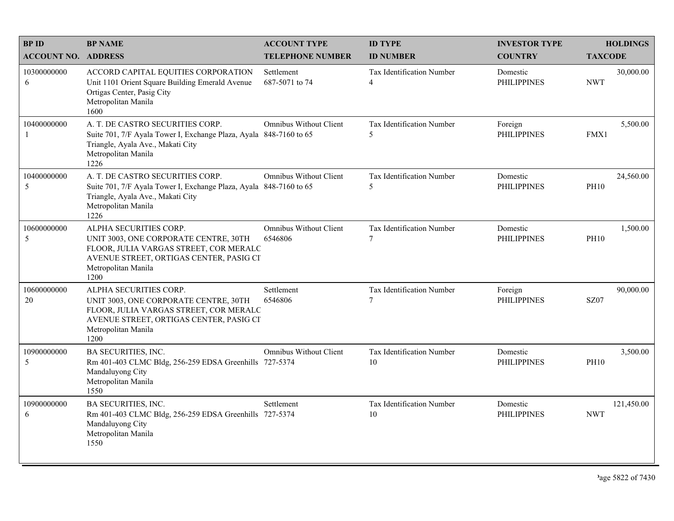| <b>BPID</b>                | <b>BP NAME</b>                                                                                                                                                                      | <b>ACCOUNT TYPE</b>                      | <b>ID TYPE</b>                              | <b>INVESTOR TYPE</b>           | <b>HOLDINGS</b>          |
|----------------------------|-------------------------------------------------------------------------------------------------------------------------------------------------------------------------------------|------------------------------------------|---------------------------------------------|--------------------------------|--------------------------|
| <b>ACCOUNT NO. ADDRESS</b> |                                                                                                                                                                                     | <b>TELEPHONE NUMBER</b>                  | <b>ID NUMBER</b>                            | <b>COUNTRY</b>                 | <b>TAXCODE</b>           |
| 10300000000<br>6           | ACCORD CAPITAL EQUITIES CORPORATION<br>Unit 1101 Orient Square Building Emerald Avenue<br>Ortigas Center, Pasig City<br>Metropolitan Manila<br>1600                                 | Settlement<br>687-5071 to 74             | Tax Identification Number<br>$\overline{4}$ | Domestic<br><b>PHILIPPINES</b> | 30,000.00<br><b>NWT</b>  |
| 10400000000<br>-1          | A. T. DE CASTRO SECURITIES CORP.<br>Suite 701, 7/F Ayala Tower I, Exchange Plaza, Ayala 848-7160 to 65<br>Triangle, Ayala Ave., Makati City<br>Metropolitan Manila<br>1226          | Omnibus Without Client                   | Tax Identification Number<br>5              | Foreign<br><b>PHILIPPINES</b>  | 5,500.00<br>FMX1         |
| 10400000000<br>5           | A. T. DE CASTRO SECURITIES CORP.<br>Suite 701, 7/F Ayala Tower I, Exchange Plaza, Ayala 848-7160 to 65<br>Triangle, Ayala Ave., Makati City<br>Metropolitan Manila<br>1226          | <b>Omnibus Without Client</b>            | Tax Identification Number<br>5              | Domestic<br><b>PHILIPPINES</b> | 24,560.00<br><b>PH10</b> |
| 10600000000<br>5           | ALPHA SECURITIES CORP.<br>UNIT 3003, ONE CORPORATE CENTRE, 30TH<br>FLOOR, JULIA VARGAS STREET, COR MERALC<br>AVENUE STREET, ORTIGAS CENTER, PASIG CI<br>Metropolitan Manila<br>1200 | <b>Omnibus Without Client</b><br>6546806 | Tax Identification Number<br>$\overline{7}$ | Domestic<br><b>PHILIPPINES</b> | 1,500.00<br><b>PH10</b>  |
| 10600000000<br>20          | ALPHA SECURITIES CORP.<br>UNIT 3003, ONE CORPORATE CENTRE, 30TH<br>FLOOR, JULIA VARGAS STREET, COR MERALC<br>AVENUE STREET, ORTIGAS CENTER, PASIG CI<br>Metropolitan Manila<br>1200 | Settlement<br>6546806                    | Tax Identification Number<br>7              | Foreign<br><b>PHILIPPINES</b>  | 90,000.00<br>SZ07        |
| 10900000000<br>5           | BA SECURITIES, INC.<br>Rm 401-403 CLMC Bldg, 256-259 EDSA Greenhills 727-5374<br>Mandaluyong City<br>Metropolitan Manila<br>1550                                                    | Omnibus Without Client                   | Tax Identification Number<br>10             | Domestic<br><b>PHILIPPINES</b> | 3,500.00<br><b>PH10</b>  |
| 10900000000<br>6           | <b>BA SECURITIES, INC.</b><br>Rm 401-403 CLMC Bldg, 256-259 EDSA Greenhills 727-5374<br>Mandaluyong City<br>Metropolitan Manila<br>1550                                             | Settlement                               | Tax Identification Number<br>10             | Domestic<br><b>PHILIPPINES</b> | 121,450.00<br><b>NWT</b> |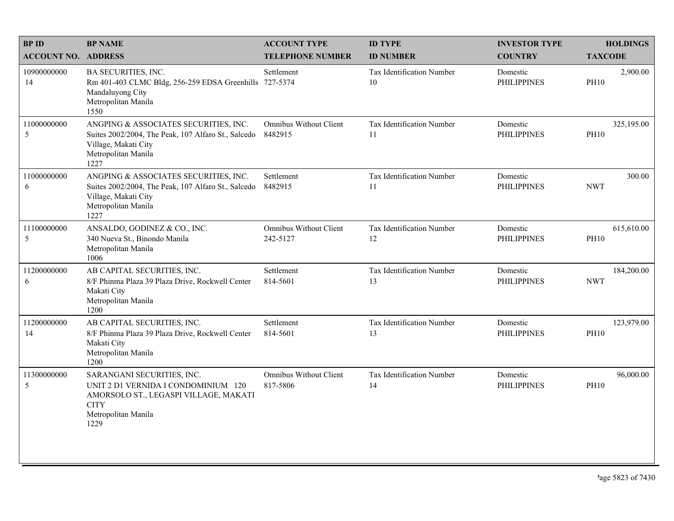| <b>BPID</b>                   | <b>BP NAME</b>                                                                                                                                           | <b>ACCOUNT TYPE</b>                | <b>ID TYPE</b>                         | <b>INVESTOR TYPE</b>           | <b>HOLDINGS</b>           |
|-------------------------------|----------------------------------------------------------------------------------------------------------------------------------------------------------|------------------------------------|----------------------------------------|--------------------------------|---------------------------|
| <b>ACCOUNT NO. ADDRESS</b>    |                                                                                                                                                          | <b>TELEPHONE NUMBER</b>            | <b>ID NUMBER</b>                       | <b>COUNTRY</b>                 | <b>TAXCODE</b>            |
| 10900000000<br>14             | BA SECURITIES, INC.<br>Rm 401-403 CLMC Bldg, 256-259 EDSA Greenhills 727-5374<br>Mandaluyong City<br>Metropolitan Manila<br>1550                         | Settlement                         | <b>Tax Identification Number</b><br>10 | Domestic<br><b>PHILIPPINES</b> | 2,900.00<br><b>PH10</b>   |
| 11000000000<br>5              | ANGPING & ASSOCIATES SECURITIES, INC.<br>Suites 2002/2004, The Peak, 107 Alfaro St., Salcedo<br>Village, Makati City<br>Metropolitan Manila<br>1227      | Omnibus Without Client<br>8482915  | <b>Tax Identification Number</b><br>11 | Domestic<br><b>PHILIPPINES</b> | 325,195.00<br><b>PH10</b> |
| 11000000000<br>6              | ANGPING & ASSOCIATES SECURITIES, INC.<br>Suites 2002/2004, The Peak, 107 Alfaro St., Salcedo<br>Village, Makati City<br>Metropolitan Manila<br>1227      | Settlement<br>8482915              | Tax Identification Number<br>11        | Domestic<br><b>PHILIPPINES</b> | 300.00<br><b>NWT</b>      |
| 11100000000<br>$\overline{5}$ | ANSALDO, GODINEZ & CO., INC.<br>340 Nueva St., Binondo Manila<br>Metropolitan Manila<br>1006                                                             | Omnibus Without Client<br>242-5127 | Tax Identification Number<br>12        | Domestic<br><b>PHILIPPINES</b> | 615,610.00<br><b>PH10</b> |
| 11200000000<br>6              | AB CAPITAL SECURITIES, INC.<br>8/F Phinma Plaza 39 Plaza Drive, Rockwell Center<br>Makati City<br>Metropolitan Manila<br>1200                            | Settlement<br>814-5601             | Tax Identification Number<br>13        | Domestic<br><b>PHILIPPINES</b> | 184,200.00<br><b>NWT</b>  |
| 11200000000<br>14             | AB CAPITAL SECURITIES, INC.<br>8/F Phinma Plaza 39 Plaza Drive, Rockwell Center<br>Makati City<br>Metropolitan Manila<br>1200                            | Settlement<br>814-5601             | Tax Identification Number<br>13        | Domestic<br><b>PHILIPPINES</b> | 123,979.00<br><b>PH10</b> |
| 11300000000<br>5              | SARANGANI SECURITIES, INC.<br>UNIT 2 D1 VERNIDA I CONDOMINIUM 120<br>AMORSOLO ST., LEGASPI VILLAGE, MAKATI<br><b>CITY</b><br>Metropolitan Manila<br>1229 | Omnibus Without Client<br>817-5806 | Tax Identification Number<br>14        | Domestic<br><b>PHILIPPINES</b> | 96,000.00<br><b>PH10</b>  |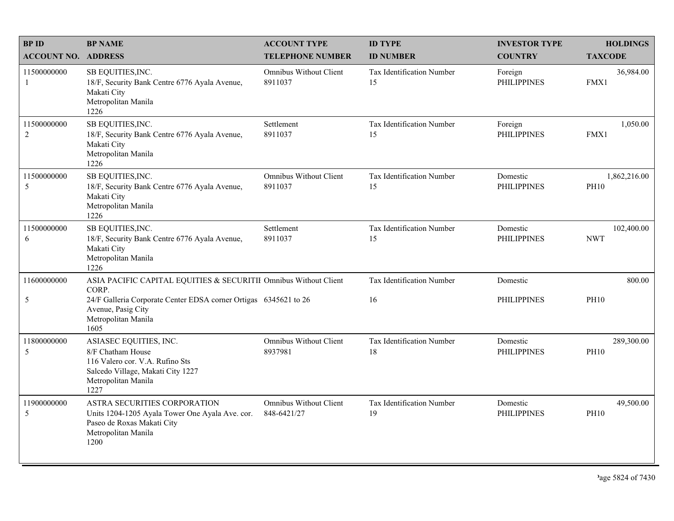| <b>BPID</b>                   | <b>BP NAME</b>                                                                                                                                     | <b>ACCOUNT TYPE</b>                      | <b>ID TYPE</b>                  | <b>INVESTOR TYPE</b>           | <b>HOLDINGS</b>             |
|-------------------------------|----------------------------------------------------------------------------------------------------------------------------------------------------|------------------------------------------|---------------------------------|--------------------------------|-----------------------------|
| <b>ACCOUNT NO. ADDRESS</b>    |                                                                                                                                                    | <b>TELEPHONE NUMBER</b>                  | <b>ID NUMBER</b>                | <b>COUNTRY</b>                 | <b>TAXCODE</b>              |
| 11500000000<br>1              | SB EQUITIES, INC.<br>18/F, Security Bank Centre 6776 Ayala Avenue,<br>Makati City<br>Metropolitan Manila<br>1226                                   | Omnibus Without Client<br>8911037        | Tax Identification Number<br>15 | Foreign<br><b>PHILIPPINES</b>  | 36,984.00<br>FMX1           |
| 11500000000<br>$\overline{c}$ | SB EQUITIES, INC.<br>18/F, Security Bank Centre 6776 Ayala Avenue,<br>Makati City<br>Metropolitan Manila<br>1226                                   | Settlement<br>8911037                    | Tax Identification Number<br>15 | Foreign<br><b>PHILIPPINES</b>  | 1,050.00<br>FMX1            |
| 11500000000<br>5              | SB EQUITIES, INC.<br>18/F, Security Bank Centre 6776 Ayala Avenue,<br>Makati City<br>Metropolitan Manila<br>1226                                   | <b>Omnibus Without Client</b><br>8911037 | Tax Identification Number<br>15 | Domestic<br><b>PHILIPPINES</b> | 1,862,216.00<br><b>PH10</b> |
| 11500000000<br>6              | SB EQUITIES, INC.<br>18/F, Security Bank Centre 6776 Ayala Avenue,<br>Makati City<br>Metropolitan Manila<br>1226                                   | Settlement<br>8911037                    | Tax Identification Number<br>15 | Domestic<br><b>PHILIPPINES</b> | 102,400.00<br><b>NWT</b>    |
| 11600000000                   | ASIA PACIFIC CAPITAL EQUITIES & SECURITII Omnibus Without Client<br>CORP.                                                                          |                                          | Tax Identification Number       | Domestic                       | 800.00                      |
| 5                             | 24/F Galleria Corporate Center EDSA corner Ortigas 6345621 to 26<br>Avenue, Pasig City<br>Metropolitan Manila<br>1605                              |                                          | 16                              | <b>PHILIPPINES</b>             | <b>PH10</b>                 |
| 11800000000<br>5              | ASIASEC EQUITIES, INC.<br>8/F Chatham House<br>116 Valero cor. V.A. Rufino Sts<br>Salcedo Village, Makati City 1227<br>Metropolitan Manila<br>1227 | <b>Omnibus Without Client</b><br>8937981 | Tax Identification Number<br>18 | Domestic<br><b>PHILIPPINES</b> | 289,300.00<br><b>PH10</b>   |
| 11900000000<br>5              | ASTRA SECURITIES CORPORATION<br>Units 1204-1205 Ayala Tower One Ayala Ave. cor.<br>Paseo de Roxas Makati City<br>Metropolitan Manila<br>1200       | Omnibus Without Client<br>848-6421/27    | Tax Identification Number<br>19 | Domestic<br><b>PHILIPPINES</b> | 49,500.00<br><b>PH10</b>    |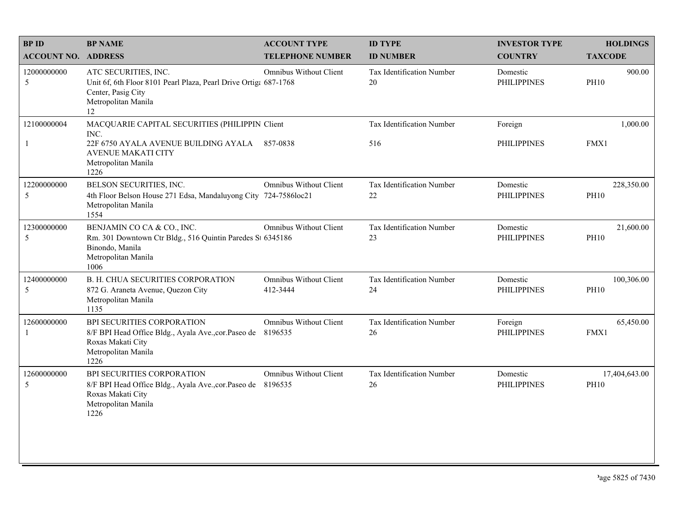| <b>BPID</b>                 | <b>BP NAME</b>                                                                                                                                                      | <b>ACCOUNT TYPE</b>                | <b>ID TYPE</b>                         | <b>INVESTOR TYPE</b>           | <b>HOLDINGS</b>              |
|-----------------------------|---------------------------------------------------------------------------------------------------------------------------------------------------------------------|------------------------------------|----------------------------------------|--------------------------------|------------------------------|
| <b>ACCOUNT NO. ADDRESS</b>  |                                                                                                                                                                     | <b>TELEPHONE NUMBER</b>            | <b>ID NUMBER</b>                       | <b>COUNTRY</b>                 | <b>TAXCODE</b>               |
| 12000000000<br>5            | ATC SECURITIES, INC.<br>Unit 6f, 6th Floor 8101 Pearl Plaza, Pearl Drive Ortiga 687-1768<br>Center, Pasig City<br>Metropolitan Manila<br>12                         | Omnibus Without Client             | <b>Tax Identification Number</b><br>20 | Domestic<br><b>PHILIPPINES</b> | 900.00<br><b>PH10</b>        |
| 12100000004<br>$\mathbf{1}$ | MACQUARIE CAPITAL SECURITIES (PHILIPPIN Client<br>INC.<br>22F 6750 AYALA AVENUE BUILDING AYALA 857-0838<br><b>AVENUE MAKATI CITY</b><br>Metropolitan Manila<br>1226 |                                    | Tax Identification Number<br>516       | Foreign<br><b>PHILIPPINES</b>  | 1,000.00<br>FMX1             |
| 12200000000<br>5            | BELSON SECURITIES, INC.<br>4th Floor Belson House 271 Edsa, Mandaluyong City 724-7586loc21<br>Metropolitan Manila<br>1554                                           | <b>Omnibus Without Client</b>      | <b>Tax Identification Number</b><br>22 | Domestic<br><b>PHILIPPINES</b> | 228,350.00<br><b>PH10</b>    |
| 12300000000<br>5            | BENJAMIN CO CA & CO., INC.<br>Rm. 301 Downtown Ctr Bldg., 516 Quintin Paredes St 6345186<br>Binondo, Manila<br>Metropolitan Manila<br>1006                          | Omnibus Without Client             | Tax Identification Number<br>23        | Domestic<br><b>PHILIPPINES</b> | 21,600.00<br><b>PH10</b>     |
| 12400000000<br>5            | B. H. CHUA SECURITIES CORPORATION<br>872 G. Araneta Avenue, Quezon City<br>Metropolitan Manila<br>1135                                                              | Omnibus Without Client<br>412-3444 | Tax Identification Number<br>24        | Domestic<br><b>PHILIPPINES</b> | 100,306.00<br><b>PH10</b>    |
| 12600000000<br>$\mathbf{1}$ | BPI SECURITIES CORPORATION<br>8/F BPI Head Office Bldg., Ayala Ave., cor. Paseo de<br>Roxas Makati City<br>Metropolitan Manila<br>1226                              | Omnibus Without Client<br>8196535  | Tax Identification Number<br>26        | Foreign<br><b>PHILIPPINES</b>  | 65,450.00<br>FMX1            |
| 12600000000<br>5            | BPI SECURITIES CORPORATION<br>8/F BPI Head Office Bldg., Ayala Ave., cor. Paseo de 8196535<br>Roxas Makati City<br>Metropolitan Manila<br>1226                      | <b>Omnibus Without Client</b>      | Tax Identification Number<br>26        | Domestic<br><b>PHILIPPINES</b> | 17,404,643.00<br><b>PH10</b> |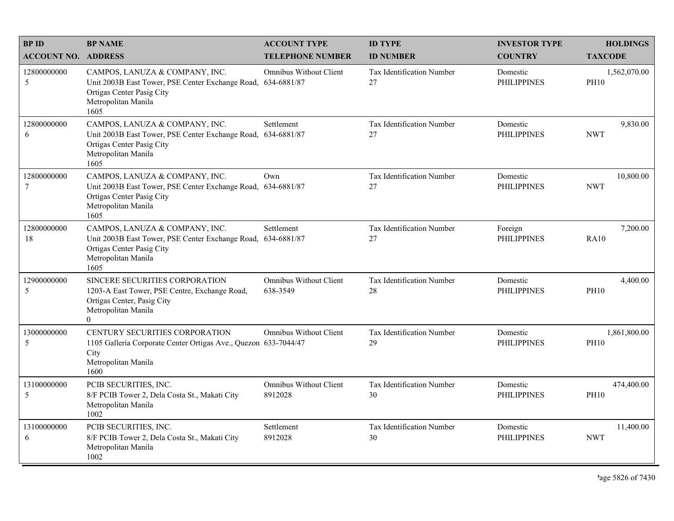| <b>BPID</b>                | <b>BP NAME</b>                                                                                                                                             | <b>ACCOUNT TYPE</b>                      | <b>ID TYPE</b>                         | <b>INVESTOR TYPE</b>           | <b>HOLDINGS</b>             |
|----------------------------|------------------------------------------------------------------------------------------------------------------------------------------------------------|------------------------------------------|----------------------------------------|--------------------------------|-----------------------------|
| <b>ACCOUNT NO. ADDRESS</b> |                                                                                                                                                            | <b>TELEPHONE NUMBER</b>                  | <b>ID NUMBER</b>                       | <b>COUNTRY</b>                 | <b>TAXCODE</b>              |
| 12800000000<br>5           | CAMPOS, LANUZA & COMPANY, INC.<br>Unit 2003B East Tower, PSE Center Exchange Road, 634-6881/87<br>Ortigas Center Pasig City<br>Metropolitan Manila<br>1605 | <b>Omnibus Without Client</b>            | <b>Tax Identification Number</b><br>27 | Domestic<br><b>PHILIPPINES</b> | 1,562,070.00<br><b>PH10</b> |
| 12800000000<br>6           | CAMPOS, LANUZA & COMPANY, INC.<br>Unit 2003B East Tower, PSE Center Exchange Road, 634-6881/87<br>Ortigas Center Pasig City<br>Metropolitan Manila<br>1605 | Settlement                               | Tax Identification Number<br>27        | Domestic<br><b>PHILIPPINES</b> | 9,830.00<br><b>NWT</b>      |
| 12800000000<br>7           | CAMPOS, LANUZA & COMPANY, INC.<br>Unit 2003B East Tower, PSE Center Exchange Road, 634-6881/87<br>Ortigas Center Pasig City<br>Metropolitan Manila<br>1605 | Own                                      | Tax Identification Number<br>27        | Domestic<br><b>PHILIPPINES</b> | 10,800.00<br><b>NWT</b>     |
| 12800000000<br>18          | CAMPOS, LANUZA & COMPANY, INC.<br>Unit 2003B East Tower, PSE Center Exchange Road, 634-6881/87<br>Ortigas Center Pasig City<br>Metropolitan Manila<br>1605 | Settlement                               | Tax Identification Number<br>27        | Foreign<br><b>PHILIPPINES</b>  | 7,200.00<br><b>RA10</b>     |
| 12900000000<br>5           | SINCERE SECURITIES CORPORATION<br>1203-A East Tower, PSE Centre, Exchange Road,<br>Ortigas Center, Pasig City<br>Metropolitan Manila<br>$\theta$           | Omnibus Without Client<br>638-3549       | Tax Identification Number<br>28        | Domestic<br><b>PHILIPPINES</b> | 4,400.00<br><b>PH10</b>     |
| 13000000000<br>5           | <b>CENTURY SECURITIES CORPORATION</b><br>1105 Galleria Corporate Center Ortigas Ave., Quezon 633-7044/47<br>City<br>Metropolitan Manila<br>1600            | <b>Omnibus Without Client</b>            | Tax Identification Number<br>29        | Domestic<br><b>PHILIPPINES</b> | 1,861,800.00<br><b>PH10</b> |
| 13100000000<br>5           | PCIB SECURITIES, INC.<br>8/F PCIB Tower 2, Dela Costa St., Makati City<br>Metropolitan Manila<br>1002                                                      | <b>Omnibus Without Client</b><br>8912028 | Tax Identification Number<br>30        | Domestic<br><b>PHILIPPINES</b> | 474,400.00<br><b>PH10</b>   |
| 13100000000<br>6           | PCIB SECURITIES, INC.<br>8/F PCIB Tower 2, Dela Costa St., Makati City<br>Metropolitan Manila<br>1002                                                      | Settlement<br>8912028                    | Tax Identification Number<br>30        | Domestic<br><b>PHILIPPINES</b> | 11,400.00<br><b>NWT</b>     |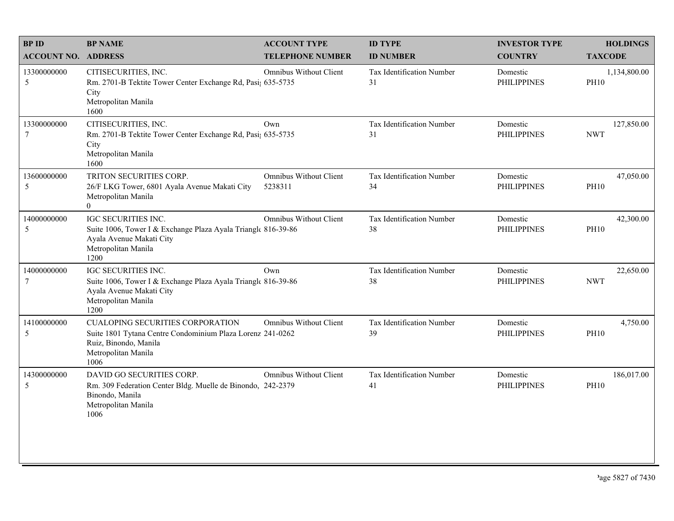| <b>BPID</b>                    | <b>BP NAME</b>                                                                                                                                                | <b>ACCOUNT TYPE</b>                      | <b>ID TYPE</b>                  | <b>INVESTOR TYPE</b>           | <b>HOLDINGS</b>             |
|--------------------------------|---------------------------------------------------------------------------------------------------------------------------------------------------------------|------------------------------------------|---------------------------------|--------------------------------|-----------------------------|
| <b>ACCOUNT NO. ADDRESS</b>     |                                                                                                                                                               | <b>TELEPHONE NUMBER</b>                  | <b>ID NUMBER</b>                | <b>COUNTRY</b>                 | <b>TAXCODE</b>              |
| 13300000000<br>5               | CITISECURITIES, INC.<br>Rm. 2701-B Tektite Tower Center Exchange Rd, Pasi; 635-5735<br>City<br>Metropolitan Manila<br>1600                                    | Omnibus Without Client                   | Tax Identification Number<br>31 | Domestic<br><b>PHILIPPINES</b> | 1,134,800.00<br><b>PH10</b> |
| 13300000000<br>$7\phantom{.0}$ | CITISECURITIES, INC.<br>Rm. 2701-B Tektite Tower Center Exchange Rd, Pasi; 635-5735<br>City<br>Metropolitan Manila<br>1600                                    | Own                                      | Tax Identification Number<br>31 | Domestic<br><b>PHILIPPINES</b> | 127,850.00<br><b>NWT</b>    |
| 13600000000<br>5               | TRITON SECURITIES CORP.<br>26/F LKG Tower, 6801 Ayala Avenue Makati City<br>Metropolitan Manila<br>$\theta$                                                   | <b>Omnibus Without Client</b><br>5238311 | Tax Identification Number<br>34 | Domestic<br><b>PHILIPPINES</b> | 47,050.00<br><b>PH10</b>    |
| 14000000000<br>5               | <b>IGC SECURITIES INC.</b><br>Suite 1006, Tower I & Exchange Plaza Ayala Triangle 816-39-86<br>Ayala Avenue Makati City<br>Metropolitan Manila<br>1200        | <b>Omnibus Without Client</b>            | Tax Identification Number<br>38 | Domestic<br><b>PHILIPPINES</b> | 42,300.00<br><b>PH10</b>    |
| 14000000000<br>$\tau$          | IGC SECURITIES INC.<br>Suite 1006, Tower I & Exchange Plaza Ayala Triangle 816-39-86<br>Ayala Avenue Makati City<br>Metropolitan Manila<br>1200               | Own                                      | Tax Identification Number<br>38 | Domestic<br><b>PHILIPPINES</b> | 22,650.00<br><b>NWT</b>     |
| 14100000000<br>5               | <b>CUALOPING SECURITIES CORPORATION</b><br>Suite 1801 Tytana Centre Condominium Plaza Lorenz 241-0262<br>Ruiz, Binondo, Manila<br>Metropolitan Manila<br>1006 | Omnibus Without Client                   | Tax Identification Number<br>39 | Domestic<br><b>PHILIPPINES</b> | 4,750.00<br><b>PH10</b>     |
| 14300000000<br>5               | DAVID GO SECURITIES CORP.<br>Rm. 309 Federation Center Bldg. Muelle de Binondo, 242-2379<br>Binondo, Manila<br>Metropolitan Manila<br>1006                    | Omnibus Without Client                   | Tax Identification Number<br>41 | Domestic<br><b>PHILIPPINES</b> | 186,017.00<br><b>PH10</b>   |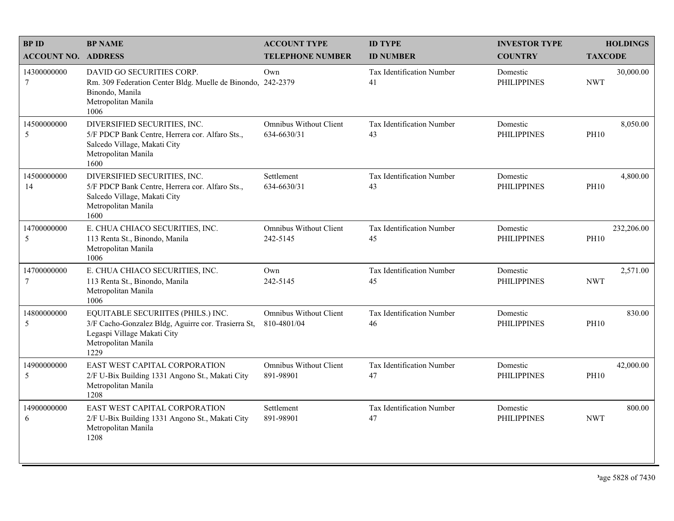| <b>BPID</b>                | <b>BP NAME</b>                                                                                                                                          | <b>ACCOUNT TYPE</b>                          | <b>ID TYPE</b>                  | <b>INVESTOR TYPE</b>           | <b>HOLDINGS</b>           |
|----------------------------|---------------------------------------------------------------------------------------------------------------------------------------------------------|----------------------------------------------|---------------------------------|--------------------------------|---------------------------|
| <b>ACCOUNT NO. ADDRESS</b> |                                                                                                                                                         | <b>TELEPHONE NUMBER</b>                      | <b>ID NUMBER</b>                | <b>COUNTRY</b>                 | <b>TAXCODE</b>            |
| 14300000000<br>7           | DAVID GO SECURITIES CORP.<br>Rm. 309 Federation Center Bldg. Muelle de Binondo, 242-2379<br>Binondo, Manila<br>Metropolitan Manila<br>1006              | Own                                          | Tax Identification Number<br>41 | Domestic<br><b>PHILIPPINES</b> | 30,000.00<br><b>NWT</b>   |
| 14500000000<br>5           | DIVERSIFIED SECURITIES, INC.<br>5/F PDCP Bank Centre, Herrera cor. Alfaro Sts.,<br>Salcedo Village, Makati City<br>Metropolitan Manila<br>1600          | <b>Omnibus Without Client</b><br>634-6630/31 | Tax Identification Number<br>43 | Domestic<br><b>PHILIPPINES</b> | 8,050.00<br><b>PH10</b>   |
| 14500000000<br>14          | DIVERSIFIED SECURITIES, INC.<br>5/F PDCP Bank Centre, Herrera cor. Alfaro Sts.,<br>Salcedo Village, Makati City<br>Metropolitan Manila<br>1600          | Settlement<br>634-6630/31                    | Tax Identification Number<br>43 | Domestic<br><b>PHILIPPINES</b> | 4,800.00<br><b>PH10</b>   |
| 14700000000<br>5           | E. CHUA CHIACO SECURITIES, INC.<br>113 Renta St., Binondo, Manila<br>Metropolitan Manila<br>1006                                                        | <b>Omnibus Without Client</b><br>242-5145    | Tax Identification Number<br>45 | Domestic<br><b>PHILIPPINES</b> | 232,206.00<br><b>PH10</b> |
| 14700000000<br>7           | E. CHUA CHIACO SECURITIES, INC.<br>113 Renta St., Binondo, Manila<br>Metropolitan Manila<br>1006                                                        | Own<br>242-5145                              | Tax Identification Number<br>45 | Domestic<br><b>PHILIPPINES</b> | 2,571.00<br><b>NWT</b>    |
| 14800000000<br>5           | EQUITABLE SECURIITES (PHILS.) INC.<br>3/F Cacho-Gonzalez Bldg, Aguirre cor. Trasierra St,<br>Legaspi Village Makati City<br>Metropolitan Manila<br>1229 | <b>Omnibus Without Client</b><br>810-4801/04 | Tax Identification Number<br>46 | Domestic<br><b>PHILIPPINES</b> | 830.00<br><b>PH10</b>     |
| 14900000000<br>5           | EAST WEST CAPITAL CORPORATION<br>2/F U-Bix Building 1331 Angono St., Makati City<br>Metropolitan Manila<br>1208                                         | <b>Omnibus Without Client</b><br>891-98901   | Tax Identification Number<br>47 | Domestic<br><b>PHILIPPINES</b> | 42,000.00<br><b>PH10</b>  |
| 14900000000<br>6           | EAST WEST CAPITAL CORPORATION<br>2/F U-Bix Building 1331 Angono St., Makati City<br>Metropolitan Manila<br>1208                                         | Settlement<br>891-98901                      | Tax Identification Number<br>47 | Domestic<br><b>PHILIPPINES</b> | 800.00<br><b>NWT</b>      |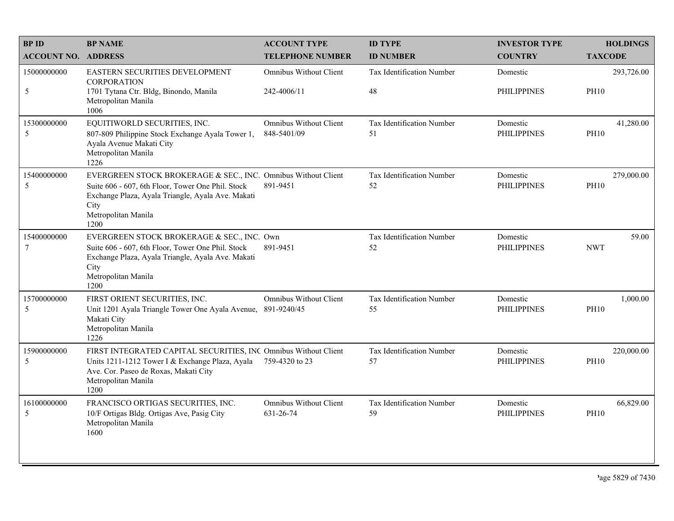| <b>BPID</b>                | <b>BP NAME</b>                                                                                                                                                                                                 | <b>ACCOUNT TYPE</b>                          | <b>ID TYPE</b>                         | <b>INVESTOR TYPE</b>           | <b>HOLDINGS</b>           |
|----------------------------|----------------------------------------------------------------------------------------------------------------------------------------------------------------------------------------------------------------|----------------------------------------------|----------------------------------------|--------------------------------|---------------------------|
| <b>ACCOUNT NO. ADDRESS</b> |                                                                                                                                                                                                                | <b>TELEPHONE NUMBER</b>                      | <b>ID NUMBER</b>                       | <b>COUNTRY</b>                 | <b>TAXCODE</b>            |
| 15000000000                | EASTERN SECURITIES DEVELOPMENT<br><b>CORPORATION</b>                                                                                                                                                           | Omnibus Without Client                       | Tax Identification Number              | Domestic                       | 293,726.00                |
| $\sqrt{5}$                 | 1701 Tytana Ctr. Bldg, Binondo, Manila<br>Metropolitan Manila<br>1006                                                                                                                                          | 242-4006/11                                  | 48                                     | <b>PHILIPPINES</b>             | <b>PH10</b>               |
| 15300000000<br>5           | EQUITIWORLD SECURITIES, INC.<br>807-809 Philippine Stock Exchange Ayala Tower 1,<br>Ayala Avenue Makati City<br>Metropolitan Manila<br>1226                                                                    | <b>Omnibus Without Client</b><br>848-5401/09 | <b>Tax Identification Number</b><br>51 | Domestic<br><b>PHILIPPINES</b> | 41,280.00<br><b>PH10</b>  |
| 15400000000<br>5           | EVERGREEN STOCK BROKERAGE & SEC., INC. Omnibus Without Client<br>Suite 606 - 607, 6th Floor, Tower One Phil. Stock<br>Exchange Plaza, Ayala Triangle, Ayala Ave. Makati<br>City<br>Metropolitan Manila<br>1200 | 891-9451                                     | Tax Identification Number<br>52        | Domestic<br><b>PHILIPPINES</b> | 279,000.00<br><b>PH10</b> |
| 15400000000<br>$\tau$      | EVERGREEN STOCK BROKERAGE & SEC., INC. Own<br>Suite 606 - 607, 6th Floor, Tower One Phil. Stock<br>Exchange Plaza, Ayala Triangle, Ayala Ave. Makati<br>City<br>Metropolitan Manila<br>1200                    | 891-9451                                     | Tax Identification Number<br>52        | Domestic<br><b>PHILIPPINES</b> | 59.00<br><b>NWT</b>       |
| 15700000000<br>5           | FIRST ORIENT SECURITIES, INC.<br>Unit 1201 Ayala Triangle Tower One Ayala Avenue, 891-9240/45<br>Makati City<br>Metropolitan Manila<br>1226                                                                    | <b>Omnibus Without Client</b>                | Tax Identification Number<br>55        | Domestic<br><b>PHILIPPINES</b> | 1,000.00<br><b>PH10</b>   |
| 15900000000<br>5           | FIRST INTEGRATED CAPITAL SECURITIES, INC Omnibus Without Client<br>Units 1211-1212 Tower I & Exchange Plaza, Ayala<br>Ave. Cor. Paseo de Roxas, Makati City<br>Metropolitan Manila<br>1200                     | 759-4320 to 23                               | Tax Identification Number<br>57        | Domestic<br><b>PHILIPPINES</b> | 220,000.00<br><b>PH10</b> |
| 16100000000<br>5           | FRANCISCO ORTIGAS SECURITIES, INC.<br>10/F Ortigas Bldg. Ortigas Ave, Pasig City<br>Metropolitan Manila<br>1600                                                                                                | Omnibus Without Client<br>631-26-74          | Tax Identification Number<br>59        | Domestic<br><b>PHILIPPINES</b> | 66,829.00<br><b>PH10</b>  |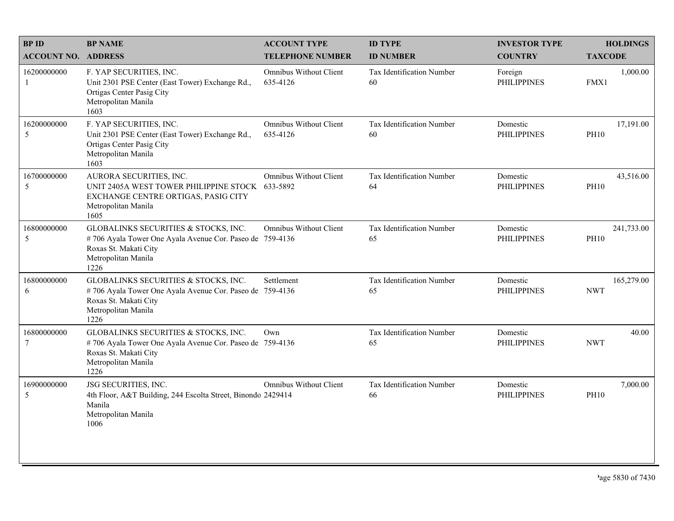| <b>BPID</b>                   | <b>BP NAME</b>                                                                                                                                           | <b>ACCOUNT TYPE</b>                       | <b>ID TYPE</b>                  | <b>INVESTOR TYPE</b>           | <b>HOLDINGS</b>           |
|-------------------------------|----------------------------------------------------------------------------------------------------------------------------------------------------------|-------------------------------------------|---------------------------------|--------------------------------|---------------------------|
| <b>ACCOUNT NO. ADDRESS</b>    |                                                                                                                                                          | <b>TELEPHONE NUMBER</b>                   | <b>ID NUMBER</b>                | <b>COUNTRY</b>                 | <b>TAXCODE</b>            |
| 16200000000<br>1              | F. YAP SECURITIES, INC.<br>Unit 2301 PSE Center (East Tower) Exchange Rd.,<br>Ortigas Center Pasig City<br>Metropolitan Manila<br>1603                   | <b>Omnibus Without Client</b><br>635-4126 | Tax Identification Number<br>60 | Foreign<br><b>PHILIPPINES</b>  | 1,000.00<br>FMX1          |
| 16200000000<br>5              | F. YAP SECURITIES, INC.<br>Unit 2301 PSE Center (East Tower) Exchange Rd.,<br>Ortigas Center Pasig City<br>Metropolitan Manila<br>1603                   | <b>Omnibus Without Client</b><br>635-4126 | Tax Identification Number<br>60 | Domestic<br><b>PHILIPPINES</b> | 17,191.00<br><b>PH10</b>  |
| 16700000000<br>5              | AURORA SECURITIES, INC.<br>UNIT 2405A WEST TOWER PHILIPPINE STOCK 633-5892<br>EXCHANGE CENTRE ORTIGAS, PASIG CITY<br>Metropolitan Manila<br>1605         | <b>Omnibus Without Client</b>             | Tax Identification Number<br>64 | Domestic<br><b>PHILIPPINES</b> | 43,516.00<br><b>PH10</b>  |
| 16800000000<br>5              | GLOBALINKS SECURITIES & STOCKS, INC.<br>#706 Ayala Tower One Ayala Avenue Cor. Paseo de 759-4136<br>Roxas St. Makati City<br>Metropolitan Manila<br>1226 | Omnibus Without Client                    | Tax Identification Number<br>65 | Domestic<br><b>PHILIPPINES</b> | 241,733.00<br><b>PH10</b> |
| 16800000000<br>6              | GLOBALINKS SECURITIES & STOCKS, INC.<br>#706 Ayala Tower One Ayala Avenue Cor. Paseo de 759-4136<br>Roxas St. Makati City<br>Metropolitan Manila<br>1226 | Settlement                                | Tax Identification Number<br>65 | Domestic<br><b>PHILIPPINES</b> | 165,279.00<br><b>NWT</b>  |
| 16800000000<br>$\overline{7}$ | GLOBALINKS SECURITIES & STOCKS, INC.<br>#706 Ayala Tower One Ayala Avenue Cor. Paseo de 759-4136<br>Roxas St. Makati City<br>Metropolitan Manila<br>1226 | Own                                       | Tax Identification Number<br>65 | Domestic<br><b>PHILIPPINES</b> | 40.00<br><b>NWT</b>       |
| 16900000000<br>5              | JSG SECURITIES, INC.<br>4th Floor, A&T Building, 244 Escolta Street, Binondo 2429414<br>Manila<br>Metropolitan Manila<br>1006                            | <b>Omnibus Without Client</b>             | Tax Identification Number<br>66 | Domestic<br><b>PHILIPPINES</b> | 7,000.00<br><b>PH10</b>   |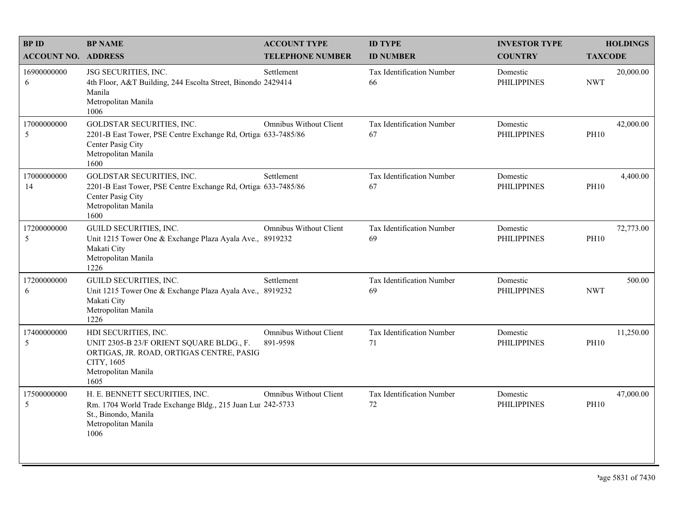| <b>BPID</b>                | <b>BP NAME</b>                                                                                                                                            | <b>ACCOUNT TYPE</b>                       | <b>ID TYPE</b>                  | <b>INVESTOR TYPE</b>           | <b>HOLDINGS</b>          |
|----------------------------|-----------------------------------------------------------------------------------------------------------------------------------------------------------|-------------------------------------------|---------------------------------|--------------------------------|--------------------------|
| <b>ACCOUNT NO. ADDRESS</b> |                                                                                                                                                           | <b>TELEPHONE NUMBER</b>                   | <b>ID NUMBER</b>                | <b>COUNTRY</b>                 | <b>TAXCODE</b>           |
| 16900000000<br>6           | JSG SECURITIES, INC.<br>4th Floor, A&T Building, 244 Escolta Street, Binondo 2429414<br>Manila<br>Metropolitan Manila<br>1006                             | Settlement                                | Tax Identification Number<br>66 | Domestic<br><b>PHILIPPINES</b> | 20,000.00<br><b>NWT</b>  |
| 17000000000<br>5           | GOLDSTAR SECURITIES, INC.<br>2201-B East Tower, PSE Centre Exchange Rd, Ortiga 633-7485/86<br>Center Pasig City<br>Metropolitan Manila<br>1600            | <b>Omnibus Without Client</b>             | Tax Identification Number<br>67 | Domestic<br><b>PHILIPPINES</b> | 42,000.00<br><b>PH10</b> |
| 17000000000<br>14          | GOLDSTAR SECURITIES, INC.<br>2201-B East Tower, PSE Centre Exchange Rd, Ortiga 633-7485/86<br>Center Pasig City<br>Metropolitan Manila<br>1600            | Settlement                                | Tax Identification Number<br>67 | Domestic<br><b>PHILIPPINES</b> | 4,400.00<br><b>PH10</b>  |
| 17200000000<br>5           | <b>GUILD SECURITIES, INC.</b><br>Unit 1215 Tower One & Exchange Plaza Ayala Ave., 8919232<br>Makati City<br>Metropolitan Manila<br>1226                   | <b>Omnibus Without Client</b>             | Tax Identification Number<br>69 | Domestic<br><b>PHILIPPINES</b> | 72,773.00<br><b>PH10</b> |
| 17200000000<br>6           | <b>GUILD SECURITIES, INC.</b><br>Unit 1215 Tower One & Exchange Plaza Ayala Ave., 8919232<br>Makati City<br>Metropolitan Manila<br>1226                   | Settlement                                | Tax Identification Number<br>69 | Domestic<br><b>PHILIPPINES</b> | 500.00<br><b>NWT</b>     |
| 17400000000<br>5           | HDI SECURITIES, INC.<br>UNIT 2305-B 23/F ORIENT SQUARE BLDG., F.<br>ORTIGAS, JR. ROAD, ORTIGAS CENTRE, PASIG<br>CITY, 1605<br>Metropolitan Manila<br>1605 | <b>Omnibus Without Client</b><br>891-9598 | Tax Identification Number<br>71 | Domestic<br><b>PHILIPPINES</b> | 11,250.00<br><b>PH10</b> |
| 17500000000<br>5           | H. E. BENNETT SECURITIES, INC.<br>Rm. 1704 World Trade Exchange Bldg., 215 Juan Lur 242-5733<br>St., Binondo, Manila<br>Metropolitan Manila<br>1006       | <b>Omnibus Without Client</b>             | Tax Identification Number<br>72 | Domestic<br><b>PHILIPPINES</b> | 47,000.00<br><b>PH10</b> |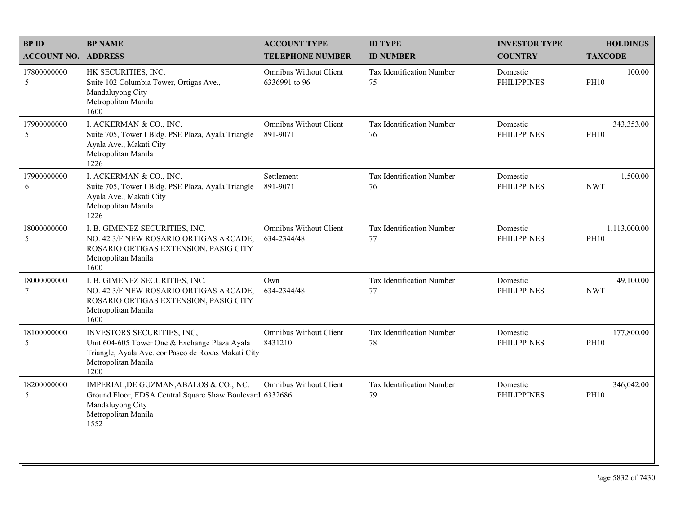| <b>BPID</b>                    | <b>BP NAME</b>                                                                                                                                                    | <b>ACCOUNT TYPE</b>                            | <b>ID TYPE</b>                  | <b>INVESTOR TYPE</b>           | <b>HOLDINGS</b>             |
|--------------------------------|-------------------------------------------------------------------------------------------------------------------------------------------------------------------|------------------------------------------------|---------------------------------|--------------------------------|-----------------------------|
| <b>ACCOUNT NO. ADDRESS</b>     |                                                                                                                                                                   | <b>TELEPHONE NUMBER</b>                        | <b>ID NUMBER</b>                | <b>COUNTRY</b>                 | <b>TAXCODE</b>              |
| 17800000000<br>5               | HK SECURITIES, INC.<br>Suite 102 Columbia Tower, Ortigas Ave.,<br>Mandaluyong City<br>Metropolitan Manila<br>1600                                                 | <b>Omnibus Without Client</b><br>6336991 to 96 | Tax Identification Number<br>75 | Domestic<br><b>PHILIPPINES</b> | 100.00<br><b>PH10</b>       |
| 17900000000<br>5               | I. ACKERMAN & CO., INC.<br>Suite 705, Tower I Bldg. PSE Plaza, Ayala Triangle<br>Ayala Ave., Makati City<br>Metropolitan Manila<br>1226                           | <b>Omnibus Without Client</b><br>891-9071      | Tax Identification Number<br>76 | Domestic<br><b>PHILIPPINES</b> | 343,353.00<br><b>PH10</b>   |
| 17900000000<br>6               | I. ACKERMAN & CO., INC.<br>Suite 705, Tower I Bldg. PSE Plaza, Ayala Triangle<br>Ayala Ave., Makati City<br>Metropolitan Manila<br>1226                           | Settlement<br>891-9071                         | Tax Identification Number<br>76 | Domestic<br><b>PHILIPPINES</b> | 1,500.00<br><b>NWT</b>      |
| 18000000000<br>5               | I. B. GIMENEZ SECURITIES, INC.<br>NO. 42 3/F NEW ROSARIO ORTIGAS ARCADE,<br>ROSARIO ORTIGAS EXTENSION, PASIG CITY<br>Metropolitan Manila<br>1600                  | <b>Omnibus Without Client</b><br>634-2344/48   | Tax Identification Number<br>77 | Domestic<br><b>PHILIPPINES</b> | 1,113,000.00<br><b>PH10</b> |
| 18000000000<br>$7\phantom{.0}$ | I. B. GIMENEZ SECURITIES, INC.<br>NO. 42 3/F NEW ROSARIO ORTIGAS ARCADE,<br>ROSARIO ORTIGAS EXTENSION, PASIG CITY<br>Metropolitan Manila<br>1600                  | Own<br>634-2344/48                             | Tax Identification Number<br>77 | Domestic<br><b>PHILIPPINES</b> | 49,100.00<br><b>NWT</b>     |
| 18100000000<br>$\mathfrak{S}$  | INVESTORS SECURITIES, INC,<br>Unit 604-605 Tower One & Exchange Plaza Ayala<br>Triangle, Ayala Ave. cor Paseo de Roxas Makati City<br>Metropolitan Manila<br>1200 | <b>Omnibus Without Client</b><br>8431210       | Tax Identification Number<br>78 | Domestic<br><b>PHILIPPINES</b> | 177,800.00<br><b>PH10</b>   |
| 18200000000<br>5               | IMPERIAL, DE GUZMAN, ABALOS & CO., INC.<br>Ground Floor, EDSA Central Square Shaw Boulevard 6332686<br>Mandaluyong City<br>Metropolitan Manila<br>1552            | <b>Omnibus Without Client</b>                  | Tax Identification Number<br>79 | Domestic<br><b>PHILIPPINES</b> | 346,042.00<br><b>PH10</b>   |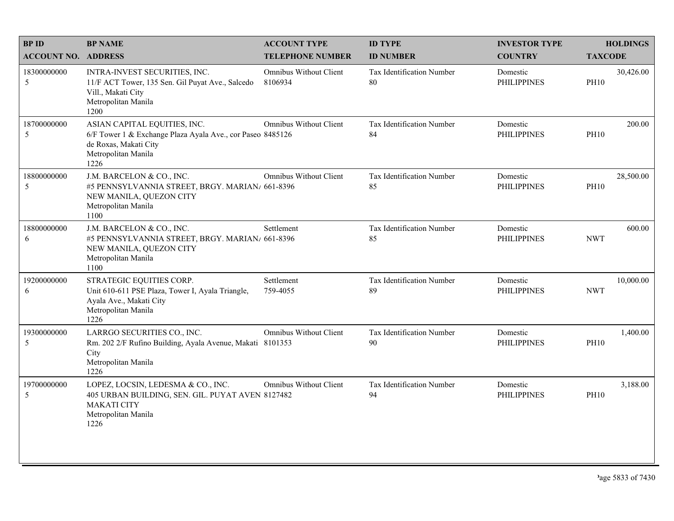| <b>BPID</b>                | <b>BP NAME</b>                                                                                                                                     | <b>ACCOUNT TYPE</b>               | <b>ID TYPE</b>                         | <b>INVESTOR TYPE</b>           | <b>HOLDINGS</b>          |
|----------------------------|----------------------------------------------------------------------------------------------------------------------------------------------------|-----------------------------------|----------------------------------------|--------------------------------|--------------------------|
| <b>ACCOUNT NO. ADDRESS</b> |                                                                                                                                                    | <b>TELEPHONE NUMBER</b>           | <b>ID NUMBER</b>                       | <b>COUNTRY</b>                 | <b>TAXCODE</b>           |
| 18300000000<br>5           | INTRA-INVEST SECURITIES, INC.<br>11/F ACT Tower, 135 Sen. Gil Puyat Ave., Salcedo<br>Vill., Makati City<br>Metropolitan Manila<br>1200             | Omnibus Without Client<br>8106934 | <b>Tax Identification Number</b><br>80 | Domestic<br><b>PHILIPPINES</b> | 30,426.00<br><b>PH10</b> |
| 18700000000<br>5           | ASIAN CAPITAL EQUITIES, INC.<br>6/F Tower 1 & Exchange Plaza Ayala Ave., cor Paseo 8485126<br>de Roxas, Makati City<br>Metropolitan Manila<br>1226 | <b>Omnibus Without Client</b>     | Tax Identification Number<br>84        | Domestic<br><b>PHILIPPINES</b> | 200.00<br><b>PH10</b>    |
| 18800000000<br>5           | J.M. BARCELON & CO., INC.<br>#5 PENNSYLVANNIA STREET, BRGY. MARIAN/ 661-8396<br>NEW MANILA, QUEZON CITY<br>Metropolitan Manila<br>1100             | <b>Omnibus Without Client</b>     | Tax Identification Number<br>85        | Domestic<br><b>PHILIPPINES</b> | 28,500.00<br><b>PH10</b> |
| 18800000000<br>6           | J.M. BARCELON & CO., INC.<br>#5 PENNSYLVANNIA STREET, BRGY. MARIAN/ 661-8396<br>NEW MANILA, QUEZON CITY<br>Metropolitan Manila<br>1100             | Settlement                        | Tax Identification Number<br>85        | Domestic<br><b>PHILIPPINES</b> | 600.00<br><b>NWT</b>     |
| 19200000000<br>6           | STRATEGIC EQUITIES CORP.<br>Unit 610-611 PSE Plaza, Tower I, Ayala Triangle,<br>Ayala Ave., Makati City<br>Metropolitan Manila<br>1226             | Settlement<br>759-4055            | Tax Identification Number<br>89        | Domestic<br><b>PHILIPPINES</b> | 10,000.00<br><b>NWT</b>  |
| 19300000000<br>5           | LARRGO SECURITIES CO., INC.<br>Rm. 202 2/F Rufino Building, Ayala Avenue, Makati 8101353<br>City<br>Metropolitan Manila<br>1226                    | Omnibus Without Client            | <b>Tax Identification Number</b><br>90 | Domestic<br><b>PHILIPPINES</b> | 1,400.00<br><b>PH10</b>  |
| 19700000000<br>5           | LOPEZ, LOCSIN, LEDESMA & CO., INC.<br>405 URBAN BUILDING, SEN. GIL. PUYAT AVEN 8127482<br><b>MAKATI CITY</b><br>Metropolitan Manila<br>1226        | <b>Omnibus Without Client</b>     | Tax Identification Number<br>94        | Domestic<br><b>PHILIPPINES</b> | 3,188.00<br><b>PH10</b>  |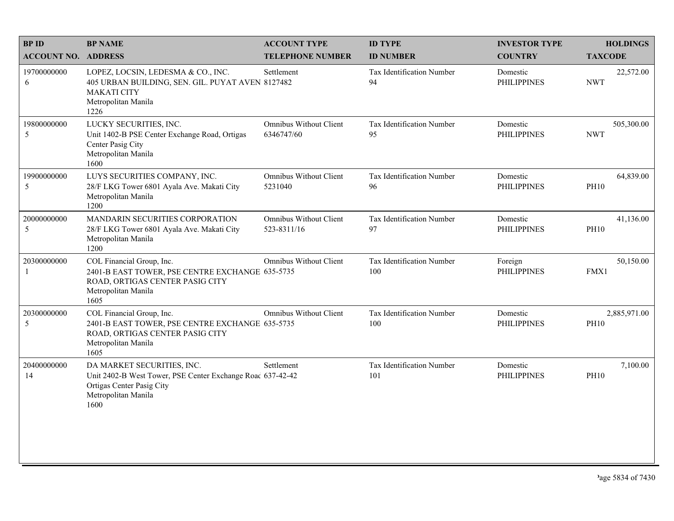| <b>BPID</b>                | <b>BP NAME</b>                                                                                                                                       | <b>ACCOUNT TYPE</b>                          | <b>ID TYPE</b>                   | <b>INVESTOR TYPE</b>           | <b>HOLDINGS</b>             |
|----------------------------|------------------------------------------------------------------------------------------------------------------------------------------------------|----------------------------------------------|----------------------------------|--------------------------------|-----------------------------|
| <b>ACCOUNT NO. ADDRESS</b> |                                                                                                                                                      | <b>TELEPHONE NUMBER</b>                      | <b>ID NUMBER</b>                 | <b>COUNTRY</b>                 | <b>TAXCODE</b>              |
| 19700000000<br>6           | LOPEZ, LOCSIN, LEDESMA & CO., INC.<br>405 URBAN BUILDING, SEN. GIL. PUYAT AVEN 8127482<br><b>MAKATI CITY</b><br>Metropolitan Manila<br>1226          | Settlement                                   | Tax Identification Number<br>94  | Domestic<br><b>PHILIPPINES</b> | 22,572.00<br><b>NWT</b>     |
| 19800000000<br>5           | LUCKY SECURITIES, INC.<br>Unit 1402-B PSE Center Exchange Road, Ortigas<br>Center Pasig City<br>Metropolitan Manila<br>1600                          | Omnibus Without Client<br>6346747/60         | Tax Identification Number<br>95  | Domestic<br><b>PHILIPPINES</b> | 505,300.00<br><b>NWT</b>    |
| 19900000000<br>5           | LUYS SECURITIES COMPANY, INC.<br>28/F LKG Tower 6801 Ayala Ave. Makati City<br>Metropolitan Manila<br>1200                                           | Omnibus Without Client<br>5231040            | Tax Identification Number<br>96  | Domestic<br><b>PHILIPPINES</b> | 64,839.00<br><b>PH10</b>    |
| 20000000000<br>5           | MANDARIN SECURITIES CORPORATION<br>28/F LKG Tower 6801 Ayala Ave. Makati City<br>Metropolitan Manila<br>1200                                         | <b>Omnibus Without Client</b><br>523-8311/16 | Tax Identification Number<br>97  | Domestic<br><b>PHILIPPINES</b> | 41,136.00<br><b>PH10</b>    |
| 20300000000<br>1           | COL Financial Group, Inc.<br>2401-B EAST TOWER, PSE CENTRE EXCHANGE 635-5735<br>ROAD, ORTIGAS CENTER PASIG CITY<br>Metropolitan Manila<br>1605       | <b>Omnibus Without Client</b>                | Tax Identification Number<br>100 | Foreign<br><b>PHILIPPINES</b>  | 50,150.00<br>FMX1           |
| 20300000000<br>5           | COL Financial Group, Inc.<br>2401-B EAST TOWER, PSE CENTRE EXCHANGE 635-5735<br>ROAD, ORTIGAS CENTER PASIG CITY<br>Metropolitan Manila<br>1605       | Omnibus Without Client                       | Tax Identification Number<br>100 | Domestic<br><b>PHILIPPINES</b> | 2,885,971.00<br><b>PH10</b> |
| 20400000000<br>14          | DA MARKET SECURITIES, INC.<br>Unit 2402-B West Tower, PSE Center Exchange Road 637-42-42<br>Ortigas Center Pasig City<br>Metropolitan Manila<br>1600 | Settlement                                   | Tax Identification Number<br>101 | Domestic<br><b>PHILIPPINES</b> | 7,100.00<br><b>PH10</b>     |
|                            |                                                                                                                                                      |                                              |                                  |                                |                             |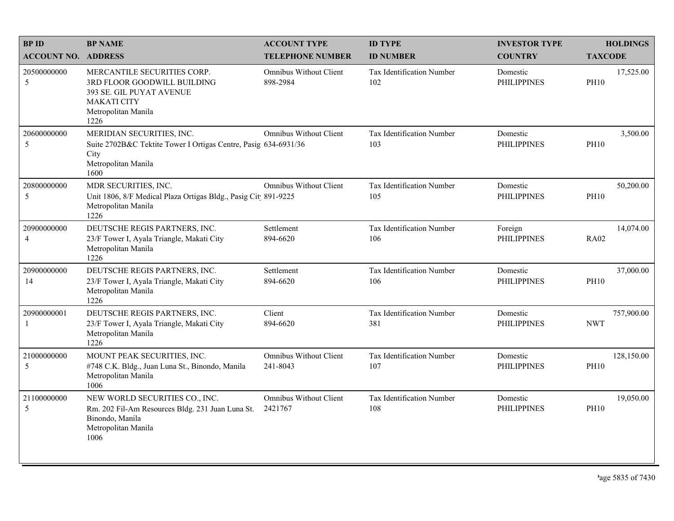| <b>BPID</b>                   | <b>BP NAME</b>                                                                                                                              | <b>ACCOUNT TYPE</b>                       | <b>ID TYPE</b>                   | <b>INVESTOR TYPE</b>           | <b>HOLDINGS</b>           |
|-------------------------------|---------------------------------------------------------------------------------------------------------------------------------------------|-------------------------------------------|----------------------------------|--------------------------------|---------------------------|
| <b>ACCOUNT NO. ADDRESS</b>    |                                                                                                                                             | <b>TELEPHONE NUMBER</b>                   | <b>ID NUMBER</b>                 | <b>COUNTRY</b>                 | <b>TAXCODE</b>            |
| 20500000000<br>5              | MERCANTILE SECURITIES CORP.<br>3RD FLOOR GOODWILL BUILDING<br>393 SE. GIL PUYAT AVENUE<br><b>MAKATI CITY</b><br>Metropolitan Manila<br>1226 | <b>Omnibus Without Client</b><br>898-2984 | Tax Identification Number<br>102 | Domestic<br><b>PHILIPPINES</b> | 17,525.00<br><b>PH10</b>  |
| 20600000000<br>5              | MERIDIAN SECURITIES, INC.<br>Suite 2702B&C Tektite Tower I Ortigas Centre, Pasig 634-6931/36<br>City<br>Metropolitan Manila<br>1600         | <b>Omnibus Without Client</b>             | Tax Identification Number<br>103 | Domestic<br><b>PHILIPPINES</b> | 3,500.00<br><b>PH10</b>   |
| 20800000000<br>5              | MDR SECURITIES, INC.<br>Unit 1806, 8/F Medical Plaza Ortigas Bldg., Pasig Cit 891-9225<br>Metropolitan Manila<br>1226                       | Omnibus Without Client                    | Tax Identification Number<br>105 | Domestic<br><b>PHILIPPINES</b> | 50,200.00<br><b>PH10</b>  |
| 20900000000<br>$\overline{4}$ | DEUTSCHE REGIS PARTNERS, INC.<br>23/F Tower I, Ayala Triangle, Makati City<br>Metropolitan Manila<br>1226                                   | Settlement<br>894-6620                    | Tax Identification Number<br>106 | Foreign<br><b>PHILIPPINES</b>  | 14,074.00<br><b>RA02</b>  |
| 20900000000<br>14             | DEUTSCHE REGIS PARTNERS, INC.<br>23/F Tower I, Ayala Triangle, Makati City<br>Metropolitan Manila<br>1226                                   | Settlement<br>894-6620                    | Tax Identification Number<br>106 | Domestic<br><b>PHILIPPINES</b> | 37,000.00<br><b>PH10</b>  |
| 20900000001<br>-1             | DEUTSCHE REGIS PARTNERS, INC.<br>23/F Tower I, Ayala Triangle, Makati City<br>Metropolitan Manila<br>1226                                   | Client<br>894-6620                        | Tax Identification Number<br>381 | Domestic<br><b>PHILIPPINES</b> | 757,900.00<br><b>NWT</b>  |
| 21000000000<br>5              | MOUNT PEAK SECURITIES, INC.<br>#748 C.K. Bldg., Juan Luna St., Binondo, Manila<br>Metropolitan Manila<br>1006                               | <b>Omnibus Without Client</b><br>241-8043 | Tax Identification Number<br>107 | Domestic<br><b>PHILIPPINES</b> | 128,150.00<br><b>PH10</b> |
| 21100000000<br>5              | NEW WORLD SECURITIES CO., INC.<br>Rm. 202 Fil-Am Resources Bldg. 231 Juan Luna St.<br>Binondo, Manila<br>Metropolitan Manila<br>1006        | <b>Omnibus Without Client</b><br>2421767  | Tax Identification Number<br>108 | Domestic<br><b>PHILIPPINES</b> | 19,050.00<br><b>PH10</b>  |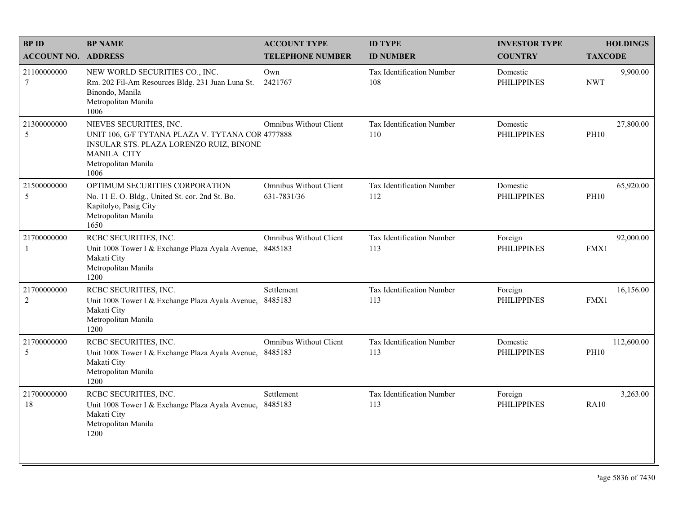| <b>BPID</b>                   | <b>BP NAME</b>                                                                                                                                                              | <b>ACCOUNT TYPE</b>                          | <b>ID TYPE</b>                   | <b>INVESTOR TYPE</b>           | <b>HOLDINGS</b>           |
|-------------------------------|-----------------------------------------------------------------------------------------------------------------------------------------------------------------------------|----------------------------------------------|----------------------------------|--------------------------------|---------------------------|
| <b>ACCOUNT NO. ADDRESS</b>    |                                                                                                                                                                             | <b>TELEPHONE NUMBER</b>                      | <b>ID NUMBER</b>                 | <b>COUNTRY</b>                 | <b>TAXCODE</b>            |
| 21100000000<br>7              | NEW WORLD SECURITIES CO., INC.<br>Rm. 202 Fil-Am Resources Bldg. 231 Juan Luna St.<br>Binondo, Manila<br>Metropolitan Manila<br>1006                                        | Own<br>2421767                               | Tax Identification Number<br>108 | Domestic<br><b>PHILIPPINES</b> | 9,900.00<br><b>NWT</b>    |
| 21300000000<br>5              | NIEVES SECURITIES, INC.<br>UNIT 106, G/F TYTANA PLAZA V. TYTANA COR 4777888<br>INSULAR STS. PLAZA LORENZO RUIZ, BINONE<br><b>MANILA CITY</b><br>Metropolitan Manila<br>1006 | <b>Omnibus Without Client</b>                | Tax Identification Number<br>110 | Domestic<br><b>PHILIPPINES</b> | 27,800.00<br><b>PH10</b>  |
| 21500000000<br>5              | OPTIMUM SECURITIES CORPORATION<br>No. 11 E. O. Bldg., United St. cor. 2nd St. Bo.<br>Kapitolyo, Pasig City<br>Metropolitan Manila<br>1650                                   | <b>Omnibus Without Client</b><br>631-7831/36 | Tax Identification Number<br>112 | Domestic<br><b>PHILIPPINES</b> | 65,920.00<br><b>PH10</b>  |
| 21700000000<br>1              | RCBC SECURITIES, INC.<br>Unit 1008 Tower I & Exchange Plaza Ayala Avenue, 8485183<br>Makati City<br>Metropolitan Manila<br>1200                                             | Omnibus Without Client                       | Tax Identification Number<br>113 | Foreign<br><b>PHILIPPINES</b>  | 92,000.00<br>FMX1         |
| 21700000000<br>$\overline{c}$ | RCBC SECURITIES, INC.<br>Unit 1008 Tower I & Exchange Plaza Ayala Avenue,<br>Makati City<br>Metropolitan Manila<br>1200                                                     | Settlement<br>8485183                        | Tax Identification Number<br>113 | Foreign<br><b>PHILIPPINES</b>  | 16,156.00<br>FMX1         |
| 21700000000<br>5              | RCBC SECURITIES, INC.<br>Unit 1008 Tower I & Exchange Plaza Ayala Avenue, 8485183<br>Makati City<br>Metropolitan Manila<br>1200                                             | <b>Omnibus Without Client</b>                | Tax Identification Number<br>113 | Domestic<br><b>PHILIPPINES</b> | 112,600.00<br><b>PH10</b> |
| 21700000000<br>18             | RCBC SECURITIES, INC.<br>Unit 1008 Tower I & Exchange Plaza Ayala Avenue, 8485183<br>Makati City<br>Metropolitan Manila<br>1200                                             | Settlement                                   | Tax Identification Number<br>113 | Foreign<br><b>PHILIPPINES</b>  | 3,263.00<br><b>RA10</b>   |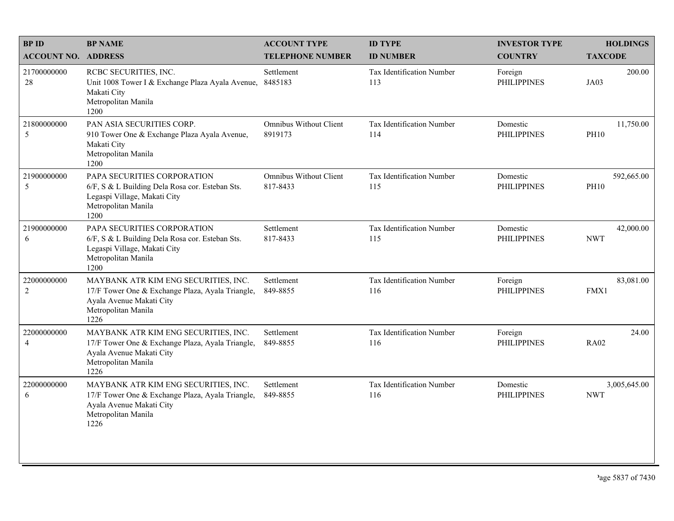| <b>BPID</b>                   | <b>BP NAME</b>                                                                                                                                      | <b>ACCOUNT TYPE</b>                       | <b>ID TYPE</b>                   | <b>INVESTOR TYPE</b>           | <b>HOLDINGS</b>            |
|-------------------------------|-----------------------------------------------------------------------------------------------------------------------------------------------------|-------------------------------------------|----------------------------------|--------------------------------|----------------------------|
| <b>ACCOUNT NO. ADDRESS</b>    |                                                                                                                                                     | <b>TELEPHONE NUMBER</b>                   | <b>ID NUMBER</b>                 | <b>COUNTRY</b>                 | <b>TAXCODE</b>             |
| 21700000000<br>28             | RCBC SECURITIES, INC.<br>Unit 1008 Tower I & Exchange Plaza Ayala Avenue,<br>Makati City<br>Metropolitan Manila<br>1200                             | Settlement<br>8485183                     | Tax Identification Number<br>113 | Foreign<br><b>PHILIPPINES</b>  | 200.00<br>JA03             |
| 21800000000<br>5              | PAN ASIA SECURITIES CORP.<br>910 Tower One & Exchange Plaza Ayala Avenue,<br>Makati City<br>Metropolitan Manila<br>1200                             | <b>Omnibus Without Client</b><br>8919173  | Tax Identification Number<br>114 | Domestic<br><b>PHILIPPINES</b> | 11,750.00<br><b>PH10</b>   |
| 21900000000<br>5              | PAPA SECURITIES CORPORATION<br>6/F, S & L Building Dela Rosa cor. Esteban Sts.<br>Legaspi Village, Makati City<br>Metropolitan Manila<br>1200       | <b>Omnibus Without Client</b><br>817-8433 | Tax Identification Number<br>115 | Domestic<br><b>PHILIPPINES</b> | 592,665.00<br><b>PH10</b>  |
| 21900000000<br>6              | PAPA SECURITIES CORPORATION<br>6/F, S & L Building Dela Rosa cor. Esteban Sts.<br>Legaspi Village, Makati City<br>Metropolitan Manila<br>1200       | Settlement<br>817-8433                    | Tax Identification Number<br>115 | Domestic<br><b>PHILIPPINES</b> | 42,000.00<br><b>NWT</b>    |
| 22000000000<br>2              | MAYBANK ATR KIM ENG SECURITIES, INC.<br>17/F Tower One & Exchange Plaza, Ayala Triangle,<br>Ayala Avenue Makati City<br>Metropolitan Manila<br>1226 | Settlement<br>849-8855                    | Tax Identification Number<br>116 | Foreign<br><b>PHILIPPINES</b>  | 83,081.00<br>FMX1          |
| 22000000000<br>$\overline{4}$ | MAYBANK ATR KIM ENG SECURITIES, INC.<br>17/F Tower One & Exchange Plaza, Ayala Triangle,<br>Ayala Avenue Makati City<br>Metropolitan Manila<br>1226 | Settlement<br>849-8855                    | Tax Identification Number<br>116 | Foreign<br><b>PHILIPPINES</b>  | 24.00<br><b>RA02</b>       |
| 22000000000<br>6              | MAYBANK ATR KIM ENG SECURITIES, INC.<br>17/F Tower One & Exchange Plaza, Ayala Triangle,<br>Ayala Avenue Makati City<br>Metropolitan Manila<br>1226 | Settlement<br>849-8855                    | Tax Identification Number<br>116 | Domestic<br><b>PHILIPPINES</b> | 3,005,645.00<br><b>NWT</b> |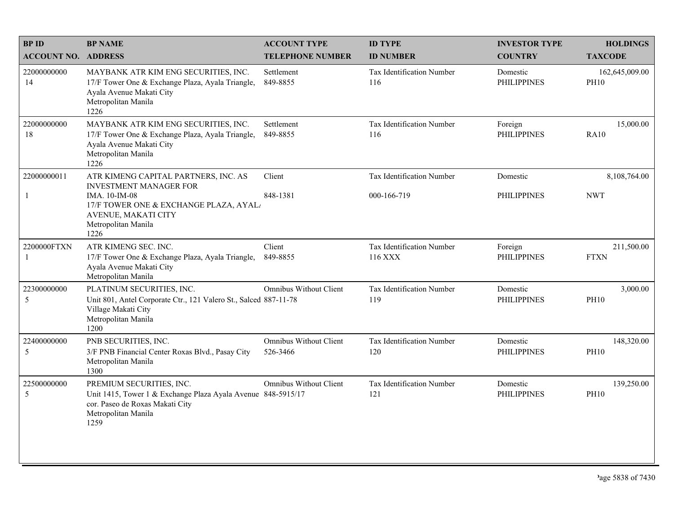| <b>BPID</b>                | <b>BP NAME</b>                                                                                                                                             | <b>ACCOUNT TYPE</b>                | <b>ID TYPE</b>                              | <b>INVESTOR TYPE</b>           | <b>HOLDINGS</b>               |
|----------------------------|------------------------------------------------------------------------------------------------------------------------------------------------------------|------------------------------------|---------------------------------------------|--------------------------------|-------------------------------|
| <b>ACCOUNT NO. ADDRESS</b> |                                                                                                                                                            | <b>TELEPHONE NUMBER</b>            | <b>ID NUMBER</b>                            | <b>COUNTRY</b>                 | <b>TAXCODE</b>                |
| 22000000000<br>14          | MAYBANK ATR KIM ENG SECURITIES, INC.<br>17/F Tower One & Exchange Plaza, Ayala Triangle,<br>Ayala Avenue Makati City<br>Metropolitan Manila<br>1226        | Settlement<br>849-8855             | <b>Tax Identification Number</b><br>116     | Domestic<br><b>PHILIPPINES</b> | 162,645,009.00<br><b>PH10</b> |
| 22000000000<br>18          | MAYBANK ATR KIM ENG SECURITIES, INC.<br>17/F Tower One & Exchange Plaza, Ayala Triangle,<br>Ayala Avenue Makati City<br>Metropolitan Manila<br>1226        | Settlement<br>849-8855             | <b>Tax Identification Number</b><br>116     | Foreign<br><b>PHILIPPINES</b>  | 15,000.00<br><b>RA10</b>      |
| 22000000011                | ATR KIMENG CAPITAL PARTNERS, INC. AS                                                                                                                       | Client                             | Tax Identification Number                   | Domestic                       | 8,108,764.00                  |
| $\mathbf{1}$               | INVESTMENT MANAGER FOR<br>IMA. 10-IM-08<br>17/F TOWER ONE & EXCHANGE PLAZA, AYAL/<br>AVENUE, MAKATI CITY<br>Metropolitan Manila<br>1226                    | 848-1381                           | 000-166-719                                 | <b>PHILIPPINES</b>             | <b>NWT</b>                    |
| 2200000FTXN<br>-1          | ATR KIMENG SEC. INC.<br>17/F Tower One & Exchange Plaza, Ayala Triangle,<br>Ayala Avenue Makati City<br>Metropolitan Manila                                | Client<br>849-8855                 | <b>Tax Identification Number</b><br>116 XXX | Foreign<br><b>PHILIPPINES</b>  | 211,500.00<br><b>FTXN</b>     |
| 22300000000<br>5           | PLATINUM SECURITIES, INC.<br>Unit 801, Antel Corporate Ctr., 121 Valero St., Salced 887-11-78<br>Village Makati City<br>Metropolitan Manila<br>1200        | <b>Omnibus Without Client</b>      | Tax Identification Number<br>119            | Domestic<br><b>PHILIPPINES</b> | 3,000.00<br><b>PH10</b>       |
| 22400000000<br>5           | PNB SECURITIES, INC.<br>3/F PNB Financial Center Roxas Blvd., Pasay City<br>Metropolitan Manila<br>1300                                                    | Omnibus Without Client<br>526-3466 | Tax Identification Number<br>120            | Domestic<br><b>PHILIPPINES</b> | 148,320.00<br><b>PH10</b>     |
| 22500000000<br>5           | PREMIUM SECURITIES, INC.<br>Unit 1415, Tower 1 & Exchange Plaza Ayala Avenue 848-5915/17<br>cor. Paseo de Roxas Makati City<br>Metropolitan Manila<br>1259 | <b>Omnibus Without Client</b>      | Tax Identification Number<br>121            | Domestic<br><b>PHILIPPINES</b> | 139,250.00<br><b>PH10</b>     |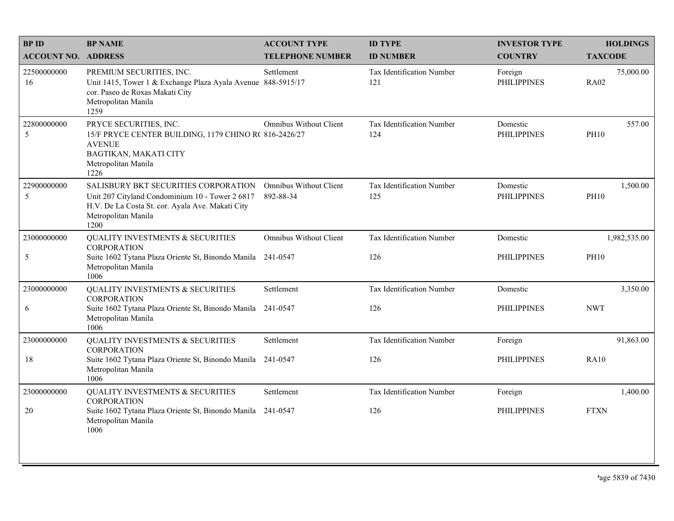| <b>BP ID</b>               | <b>BP NAME</b>                                                                                                                                                             | <b>ACCOUNT TYPE</b>                        | <b>ID TYPE</b>                   | <b>INVESTOR TYPE</b>           | <b>HOLDINGS</b>          |
|----------------------------|----------------------------------------------------------------------------------------------------------------------------------------------------------------------------|--------------------------------------------|----------------------------------|--------------------------------|--------------------------|
| <b>ACCOUNT NO. ADDRESS</b> |                                                                                                                                                                            | <b>TELEPHONE NUMBER</b>                    | <b>ID NUMBER</b>                 | <b>COUNTRY</b>                 | <b>TAXCODE</b>           |
| 22500000000<br>16          | PREMIUM SECURITIES, INC.<br>Unit 1415, Tower 1 & Exchange Plaza Ayala Avenue 848-5915/17<br>cor. Paseo de Roxas Makati City<br>Metropolitan Manila<br>1259                 | Settlement                                 | Tax Identification Number<br>121 | Foreign<br><b>PHILIPPINES</b>  | 75,000.00<br><b>RA02</b> |
| 22800000000<br>5           | PRYCE SECURITIES, INC.<br>15/F PRYCE CENTER BUILDING, 1179 CHINO R(816-2426/27<br><b>AVENUE</b><br>BAGTIKAN, MAKATI CITY<br>Metropolitan Manila<br>1226                    | <b>Omnibus Without Client</b>              | Tax Identification Number<br>124 | Domestic<br><b>PHILIPPINES</b> | 557.00<br><b>PH10</b>    |
| 22900000000<br>5           | SALISBURY BKT SECURITIES CORPORATION<br>Unit 207 Cityland Condominium 10 - Tower 2 6817<br>H.V. De La Costa St. cor. Ayala Ave. Makati City<br>Metropolitan Manila<br>1200 | <b>Omnibus Without Client</b><br>892-88-34 | Tax Identification Number<br>125 | Domestic<br><b>PHILIPPINES</b> | 1,500.00<br><b>PH10</b>  |
| 23000000000                | <b>QUALITY INVESTMENTS &amp; SECURITIES</b><br><b>CORPORATION</b>                                                                                                          | <b>Omnibus Without Client</b>              | Tax Identification Number        | Domestic                       | 1,982,535.00             |
| 5                          | Suite 1602 Tytana Plaza Oriente St, Binondo Manila 241-0547<br>Metropolitan Manila<br>1006                                                                                 |                                            | 126                              | <b>PHILIPPINES</b>             | <b>PH10</b>              |
| 23000000000                | <b>QUALITY INVESTMENTS &amp; SECURITIES</b><br><b>CORPORATION</b>                                                                                                          | Settlement                                 | Tax Identification Number        | Domestic                       | 3,350.00                 |
| 6                          | Suite 1602 Tytana Plaza Oriente St, Binondo Manila<br>Metropolitan Manila<br>1006                                                                                          | 241-0547                                   | 126                              | <b>PHILIPPINES</b>             | <b>NWT</b>               |
| 23000000000                | <b>QUALITY INVESTMENTS &amp; SECURITIES</b><br><b>CORPORATION</b>                                                                                                          | Settlement                                 | Tax Identification Number        | Foreign                        | 91,863.00                |
| 18                         | Suite 1602 Tytana Plaza Oriente St, Binondo Manila 241-0547<br>Metropolitan Manila<br>1006                                                                                 |                                            | 126                              | <b>PHILIPPINES</b>             | <b>RA10</b>              |
| 23000000000                | <b>QUALITY INVESTMENTS &amp; SECURITIES</b><br><b>CORPORATION</b>                                                                                                          | Settlement                                 | Tax Identification Number        | Foreign                        | 1,400.00                 |
| 20                         | Suite 1602 Tytana Plaza Oriente St, Binondo Manila 241-0547<br>Metropolitan Manila<br>1006                                                                                 |                                            | 126                              | <b>PHILIPPINES</b>             | <b>FTXN</b>              |
|                            |                                                                                                                                                                            |                                            |                                  |                                |                          |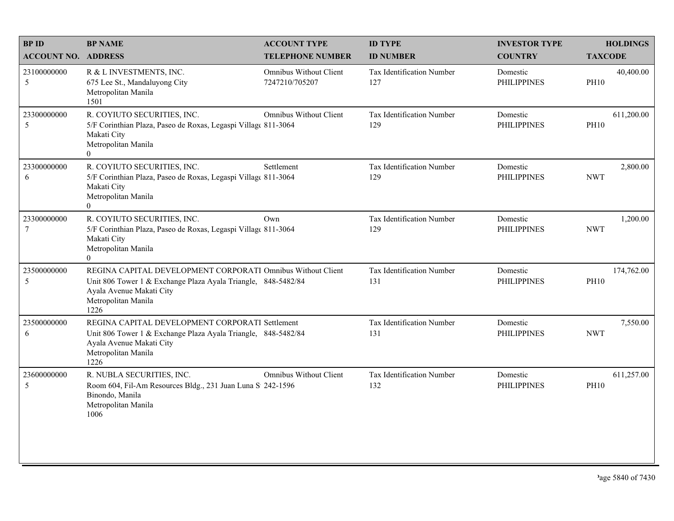| <b>BPID</b>                   | <b>BP NAME</b>                                                                                                                                                                          | <b>ACCOUNT TYPE</b>                      | <b>ID TYPE</b>                   | <b>INVESTOR TYPE</b>           | <b>HOLDINGS</b>           |
|-------------------------------|-----------------------------------------------------------------------------------------------------------------------------------------------------------------------------------------|------------------------------------------|----------------------------------|--------------------------------|---------------------------|
| <b>ACCOUNT NO. ADDRESS</b>    |                                                                                                                                                                                         | <b>TELEPHONE NUMBER</b>                  | <b>ID NUMBER</b>                 | <b>COUNTRY</b>                 | <b>TAXCODE</b>            |
| 23100000000<br>5              | R & L INVESTMENTS, INC.<br>675 Lee St., Mandaluyong City<br>Metropolitan Manila<br>1501                                                                                                 | Omnibus Without Client<br>7247210/705207 | Tax Identification Number<br>127 | Domestic<br><b>PHILIPPINES</b> | 40,400.00<br><b>PH10</b>  |
| 23300000000<br>5              | R. COYIUTO SECURITIES, INC.<br>5/F Corinthian Plaza, Paseo de Roxas, Legaspi Village 811-3064<br>Makati City<br>Metropolitan Manila<br>$\theta$                                         | Omnibus Without Client                   | Tax Identification Number<br>129 | Domestic<br><b>PHILIPPINES</b> | 611,200.00<br><b>PH10</b> |
| 23300000000<br>6              | R. COYIUTO SECURITIES, INC.<br>5/F Corinthian Plaza, Paseo de Roxas, Legaspi Village 811-3064<br>Makati City<br>Metropolitan Manila<br>$\theta$                                         | Settlement                               | Tax Identification Number<br>129 | Domestic<br><b>PHILIPPINES</b> | 2,800.00<br><b>NWT</b>    |
| 23300000000<br>$\overline{7}$ | R. COYIUTO SECURITIES, INC.<br>5/F Corinthian Plaza, Paseo de Roxas, Legaspi Village 811-3064<br>Makati City<br>Metropolitan Manila<br>$\Omega$                                         | Own                                      | Tax Identification Number<br>129 | Domestic<br><b>PHILIPPINES</b> | 1,200.00<br><b>NWT</b>    |
| 23500000000<br>5              | REGINA CAPITAL DEVELOPMENT CORPORATI Omnibus Without Client<br>Unit 806 Tower 1 & Exchange Plaza Ayala Triangle, 848-5482/84<br>Ayala Avenue Makati City<br>Metropolitan Manila<br>1226 |                                          | Tax Identification Number<br>131 | Domestic<br><b>PHILIPPINES</b> | 174,762.00<br><b>PH10</b> |
| 23500000000<br>6              | REGINA CAPITAL DEVELOPMENT CORPORATI Settlement<br>Unit 806 Tower 1 & Exchange Plaza Ayala Triangle, 848-5482/84<br>Ayala Avenue Makati City<br>Metropolitan Manila<br>1226             |                                          | Tax Identification Number<br>131 | Domestic<br><b>PHILIPPINES</b> | 7,550.00<br><b>NWT</b>    |
| 23600000000<br>5              | R. NUBLA SECURITIES, INC.<br>Room 604, Fil-Am Resources Bldg., 231 Juan Luna S 242-1596<br>Binondo, Manila<br>Metropolitan Manila<br>1006                                               | Omnibus Without Client                   | Tax Identification Number<br>132 | Domestic<br><b>PHILIPPINES</b> | 611,257.00<br><b>PH10</b> |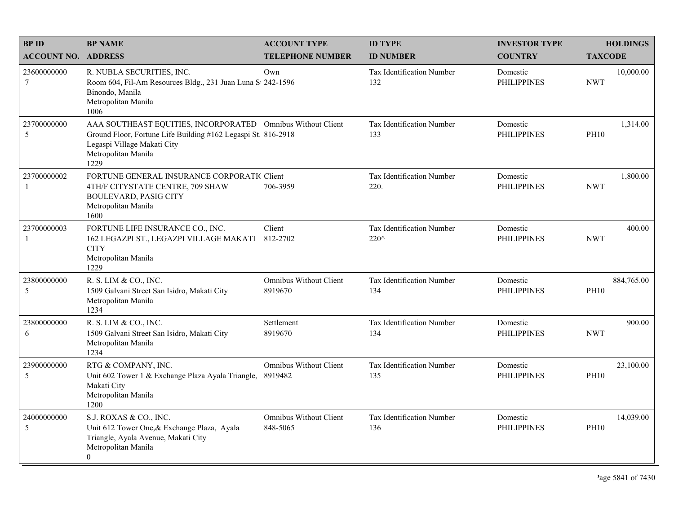| <b>BPID</b>                 | <b>BP NAME</b>                                                                                                                                                                             | <b>ACCOUNT TYPE</b>                       | <b>ID TYPE</b>                           | <b>INVESTOR TYPE</b>           | <b>HOLDINGS</b>           |
|-----------------------------|--------------------------------------------------------------------------------------------------------------------------------------------------------------------------------------------|-------------------------------------------|------------------------------------------|--------------------------------|---------------------------|
| <b>ACCOUNT NO. ADDRESS</b>  |                                                                                                                                                                                            | <b>TELEPHONE NUMBER</b>                   | <b>ID NUMBER</b>                         | <b>COUNTRY</b>                 | <b>TAXCODE</b>            |
| 23600000000<br>7            | R. NUBLA SECURITIES, INC.<br>Room 604, Fil-Am Resources Bldg., 231 Juan Luna S 242-1596<br>Binondo, Manila<br>Metropolitan Manila<br>1006                                                  | Own                                       | <b>Tax Identification Number</b><br>132  | Domestic<br><b>PHILIPPINES</b> | 10,000.00<br><b>NWT</b>   |
| 23700000000<br>5            | AAA SOUTHEAST EQUITIES, INCORPORATED Omnibus Without Client<br>Ground Floor, Fortune Life Building #162 Legaspi St. 816-2918<br>Legaspi Village Makati City<br>Metropolitan Manila<br>1229 |                                           | Tax Identification Number<br>133         | Domestic<br><b>PHILIPPINES</b> | 1,314.00<br><b>PH10</b>   |
| 23700000002<br>$\mathbf{1}$ | FORTUNE GENERAL INSURANCE CORPORATIC Client<br>4TH/F CITYSTATE CENTRE, 709 SHAW<br><b>BOULEVARD, PASIG CITY</b><br>Metropolitan Manila<br>1600                                             | 706-3959                                  | <b>Tax Identification Number</b><br>220. | Domestic<br><b>PHILIPPINES</b> | 1,800.00<br><b>NWT</b>    |
| 23700000003<br>$\mathbf{1}$ | FORTUNE LIFE INSURANCE CO., INC.<br>162 LEGAZPI ST., LEGAZPI VILLAGE MAKATI 812-2702<br><b>CITY</b><br>Metropolitan Manila<br>1229                                                         | Client                                    | Tax Identification Number<br>220^        | Domestic<br><b>PHILIPPINES</b> | 400.00<br><b>NWT</b>      |
| 23800000000<br>5            | R. S. LIM & CO., INC.<br>1509 Galvani Street San Isidro, Makati City<br>Metropolitan Manila<br>1234                                                                                        | <b>Omnibus Without Client</b><br>8919670  | Tax Identification Number<br>134         | Domestic<br><b>PHILIPPINES</b> | 884,765.00<br><b>PH10</b> |
| 23800000000<br>6            | R. S. LIM & CO., INC.<br>1509 Galvani Street San Isidro, Makati City<br>Metropolitan Manila<br>1234                                                                                        | Settlement<br>8919670                     | Tax Identification Number<br>134         | Domestic<br><b>PHILIPPINES</b> | 900.00<br><b>NWT</b>      |
| 23900000000<br>5            | RTG & COMPANY, INC.<br>Unit 602 Tower 1 & Exchange Plaza Ayala Triangle,<br>Makati City<br>Metropolitan Manila<br>1200                                                                     | <b>Omnibus Without Client</b><br>8919482  | Tax Identification Number<br>135         | Domestic<br><b>PHILIPPINES</b> | 23,100.00<br><b>PH10</b>  |
| 24000000000<br>5            | S.J. ROXAS & CO., INC.<br>Unit 612 Tower One, & Exchange Plaza, Ayala<br>Triangle, Ayala Avenue, Makati City<br>Metropolitan Manila<br>$\overline{0}$                                      | <b>Omnibus Without Client</b><br>848-5065 | Tax Identification Number<br>136         | Domestic<br><b>PHILIPPINES</b> | 14,039.00<br><b>PH10</b>  |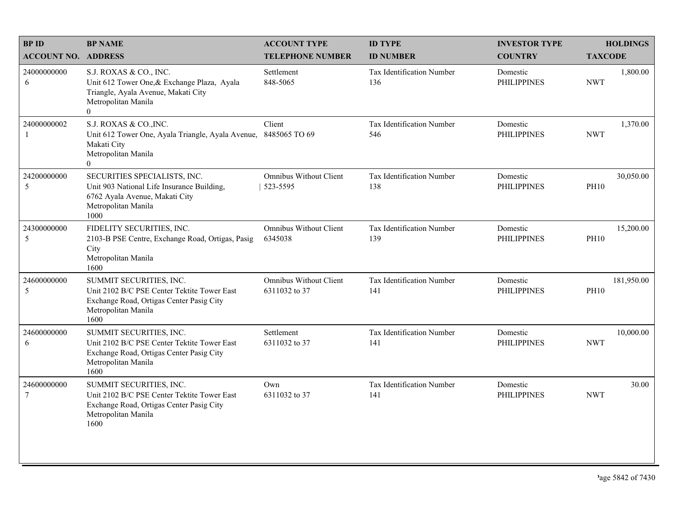| <b>BPID</b>                   | <b>BP NAME</b>                                                                                                                                        | <b>ACCOUNT TYPE</b>                            | <b>ID TYPE</b>                          | <b>INVESTOR TYPE</b>           | <b>HOLDINGS</b>           |
|-------------------------------|-------------------------------------------------------------------------------------------------------------------------------------------------------|------------------------------------------------|-----------------------------------------|--------------------------------|---------------------------|
| <b>ACCOUNT NO. ADDRESS</b>    |                                                                                                                                                       | <b>TELEPHONE NUMBER</b>                        | <b>ID NUMBER</b>                        | <b>COUNTRY</b>                 | <b>TAXCODE</b>            |
| 24000000000<br>6              | S.J. ROXAS & CO., INC.<br>Unit 612 Tower One, & Exchange Plaza, Ayala<br>Triangle, Ayala Avenue, Makati City<br>Metropolitan Manila<br>$\overline{0}$ | Settlement<br>848-5065                         | <b>Tax Identification Number</b><br>136 | Domestic<br><b>PHILIPPINES</b> | 1,800.00<br><b>NWT</b>    |
| 24000000002<br>$\mathbf{1}$   | S.J. ROXAS & CO., INC.<br>Unit 612 Tower One, Ayala Triangle, Ayala Avenue, 8485065 TO 69<br>Makati City<br>Metropolitan Manila<br>$\overline{0}$     | Client                                         | Tax Identification Number<br>546        | Domestic<br><b>PHILIPPINES</b> | 1,370.00<br><b>NWT</b>    |
| 24200000000<br>5              | SECURITIES SPECIALISTS, INC.<br>Unit 903 National Life Insurance Building,<br>6762 Ayala Avenue, Makati City<br>Metropolitan Manila<br>1000           | <b>Omnibus Without Client</b><br>523-5595      | Tax Identification Number<br>138        | Domestic<br><b>PHILIPPINES</b> | 30,050.00<br><b>PH10</b>  |
| 24300000000<br>5              | FIDELITY SECURITIES, INC.<br>2103-B PSE Centre, Exchange Road, Ortigas, Pasig<br>City<br>Metropolitan Manila<br>1600                                  | Omnibus Without Client<br>6345038              | Tax Identification Number<br>139        | Domestic<br><b>PHILIPPINES</b> | 15,200.00<br><b>PH10</b>  |
| 24600000000<br>5              | SUMMIT SECURITIES, INC.<br>Unit 2102 B/C PSE Center Tektite Tower East<br>Exchange Road, Ortigas Center Pasig City<br>Metropolitan Manila<br>1600     | <b>Omnibus Without Client</b><br>6311032 to 37 | Tax Identification Number<br>141        | Domestic<br><b>PHILIPPINES</b> | 181,950.00<br><b>PH10</b> |
| 24600000000<br>6              | SUMMIT SECURITIES, INC.<br>Unit 2102 B/C PSE Center Tektite Tower East<br>Exchange Road, Ortigas Center Pasig City<br>Metropolitan Manila<br>1600     | Settlement<br>6311032 to 37                    | Tax Identification Number<br>141        | Domestic<br><b>PHILIPPINES</b> | 10,000.00<br><b>NWT</b>   |
| 24600000000<br>$\overline{7}$ | SUMMIT SECURITIES, INC.<br>Unit 2102 B/C PSE Center Tektite Tower East<br>Exchange Road, Ortigas Center Pasig City<br>Metropolitan Manila<br>1600     | Own<br>6311032 to 37                           | Tax Identification Number<br>141        | Domestic<br><b>PHILIPPINES</b> | 30.00<br><b>NWT</b>       |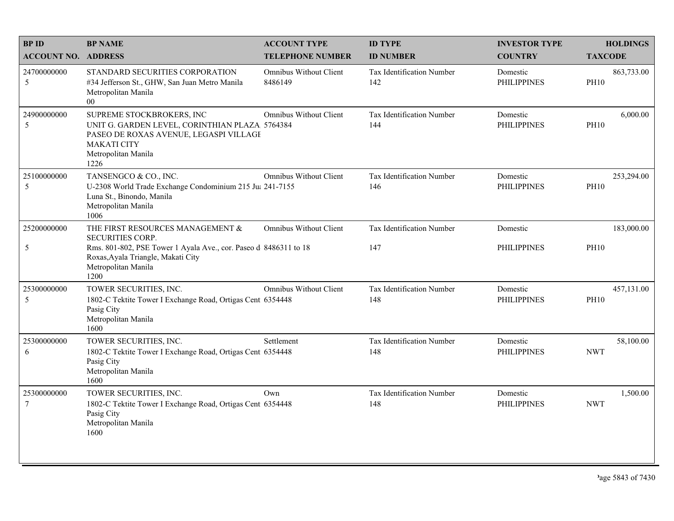| <b>BPID</b>                    | <b>BP NAME</b>                                                                                                                                                             | <b>ACCOUNT TYPE</b>               | <b>ID TYPE</b>                   | <b>INVESTOR TYPE</b>           | <b>HOLDINGS</b>           |
|--------------------------------|----------------------------------------------------------------------------------------------------------------------------------------------------------------------------|-----------------------------------|----------------------------------|--------------------------------|---------------------------|
| <b>ACCOUNT NO. ADDRESS</b>     |                                                                                                                                                                            | <b>TELEPHONE NUMBER</b>           | <b>ID NUMBER</b>                 | <b>COUNTRY</b>                 | <b>TAXCODE</b>            |
| 24700000000<br>5               | STANDARD SECURITIES CORPORATION<br>#34 Jefferson St., GHW, San Juan Metro Manila<br>Metropolitan Manila<br>$00\,$                                                          | Omnibus Without Client<br>8486149 | Tax Identification Number<br>142 | Domestic<br><b>PHILIPPINES</b> | 863,733.00<br><b>PH10</b> |
| 24900000000<br>5               | SUPREME STOCKBROKERS, INC<br>UNIT G. GARDEN LEVEL, CORINTHIAN PLAZA 5764384<br>PASEO DE ROXAS AVENUE, LEGASPI VILLAGI<br><b>MAKATI CITY</b><br>Metropolitan Manila<br>1226 | Omnibus Without Client            | Tax Identification Number<br>144 | Domestic<br><b>PHILIPPINES</b> | 6,000.00<br><b>PH10</b>   |
| 25100000000<br>5               | TANSENGCO & CO., INC.<br>U-2308 World Trade Exchange Condominium 215 Ju: 241-7155<br>Luna St., Binondo, Manila<br>Metropolitan Manila<br>1006                              | <b>Omnibus Without Client</b>     | Tax Identification Number<br>146 | Domestic<br><b>PHILIPPINES</b> | 253,294.00<br><b>PH10</b> |
| 25200000000                    | THE FIRST RESOURCES MANAGEMENT &<br><b>SECURITIES CORP.</b>                                                                                                                | <b>Omnibus Without Client</b>     | Tax Identification Number        | Domestic                       | 183,000.00                |
| 5                              | Rms. 801-802, PSE Tower 1 Ayala Ave., cor. Paseo d 8486311 to 18<br>Roxas, Ayala Triangle, Makati City<br>Metropolitan Manila<br>1200                                      |                                   | 147                              | <b>PHILIPPINES</b>             | <b>PH10</b>               |
| 25300000000<br>5               | TOWER SECURITIES, INC.<br>1802-C Tektite Tower I Exchange Road, Ortigas Cent 6354448<br>Pasig City<br>Metropolitan Manila<br>1600                                          | <b>Omnibus Without Client</b>     | Tax Identification Number<br>148 | Domestic<br><b>PHILIPPINES</b> | 457,131.00<br><b>PH10</b> |
| 25300000000<br>6               | TOWER SECURITIES, INC.<br>1802-C Tektite Tower I Exchange Road, Ortigas Cent 6354448<br>Pasig City<br>Metropolitan Manila<br>1600                                          | Settlement                        | Tax Identification Number<br>148 | Domestic<br><b>PHILIPPINES</b> | 58,100.00<br><b>NWT</b>   |
| 25300000000<br>$7\phantom{.0}$ | TOWER SECURITIES, INC.<br>1802-C Tektite Tower I Exchange Road, Ortigas Cent 6354448<br>Pasig City<br>Metropolitan Manila<br>1600                                          | Own                               | Tax Identification Number<br>148 | Domestic<br><b>PHILIPPINES</b> | 1,500.00<br><b>NWT</b>    |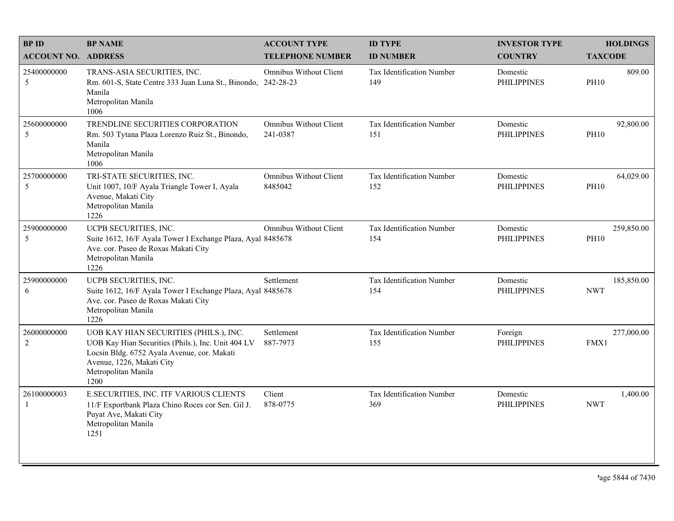| <b>BPID</b>                   | <b>BP NAME</b>                                                                                                                                                                                          | <b>ACCOUNT TYPE</b>                       | <b>ID TYPE</b>                          | <b>INVESTOR TYPE</b>           | <b>HOLDINGS</b>           |
|-------------------------------|---------------------------------------------------------------------------------------------------------------------------------------------------------------------------------------------------------|-------------------------------------------|-----------------------------------------|--------------------------------|---------------------------|
| <b>ACCOUNT NO. ADDRESS</b>    |                                                                                                                                                                                                         | <b>TELEPHONE NUMBER</b>                   | <b>ID NUMBER</b>                        | <b>COUNTRY</b>                 | <b>TAXCODE</b>            |
| 25400000000<br>5              | TRANS-ASIA SECURITIES, INC.<br>Rm. 601-S, State Centre 333 Juan Luna St., Binondo, 242-28-23<br>Manila<br>Metropolitan Manila<br>1006                                                                   | Omnibus Without Client                    | Tax Identification Number<br>149        | Domestic<br><b>PHILIPPINES</b> | 809.00<br><b>PH10</b>     |
| 25600000000<br>5              | TRENDLINE SECURITIES CORPORATION<br>Rm. 503 Tytana Plaza Lorenzo Ruiz St., Binondo,<br>Manila<br>Metropolitan Manila<br>1006                                                                            | <b>Omnibus Without Client</b><br>241-0387 | Tax Identification Number<br>151        | Domestic<br><b>PHILIPPINES</b> | 92,800.00<br><b>PH10</b>  |
| 25700000000<br>5              | TRI-STATE SECURITIES, INC.<br>Unit 1007, 10/F Ayala Triangle Tower I, Ayala<br>Avenue, Makati City<br>Metropolitan Manila<br>1226                                                                       | <b>Omnibus Without Client</b><br>8485042  | Tax Identification Number<br>152        | Domestic<br><b>PHILIPPINES</b> | 64,029.00<br><b>PH10</b>  |
| 25900000000<br>5              | UCPB SECURITIES, INC.<br>Suite 1612, 16/F Ayala Tower I Exchange Plaza, Ayal 8485678<br>Ave. cor. Paseo de Roxas Makati City<br>Metropolitan Manila<br>1226                                             | Omnibus Without Client                    | Tax Identification Number<br>154        | Domestic<br><b>PHILIPPINES</b> | 259,850.00<br><b>PH10</b> |
| 25900000000<br>6              | UCPB SECURITIES, INC.<br>Suite 1612, 16/F Ayala Tower I Exchange Plaza, Ayal 8485678<br>Ave. cor. Paseo de Roxas Makati City<br>Metropolitan Manila<br>1226                                             | Settlement                                | <b>Tax Identification Number</b><br>154 | Domestic<br><b>PHILIPPINES</b> | 185,850.00<br><b>NWT</b>  |
| 26000000000<br>$\overline{2}$ | UOB KAY HIAN SECURITIES (PHILS.), INC.<br>UOB Kay Hian Securities (Phils.), Inc. Unit 404 LV<br>Locsin Bldg. 6752 Ayala Avenue, cor. Makati<br>Avenue, 1226, Makati City<br>Metropolitan Manila<br>1200 | Settlement<br>887-7973                    | Tax Identification Number<br>155        | Foreign<br><b>PHILIPPINES</b>  | 277,000.00<br>FMX1        |
| 26100000003<br>-1             | E.SECURITIES, INC. ITF VARIOUS CLIENTS<br>11/F Exportbank Plaza Chino Roces cor Sen. Gil J.<br>Puyat Ave, Makati City<br>Metropolitan Manila<br>1251                                                    | Client<br>878-0775                        | Tax Identification Number<br>369        | Domestic<br><b>PHILIPPINES</b> | 1,400.00<br><b>NWT</b>    |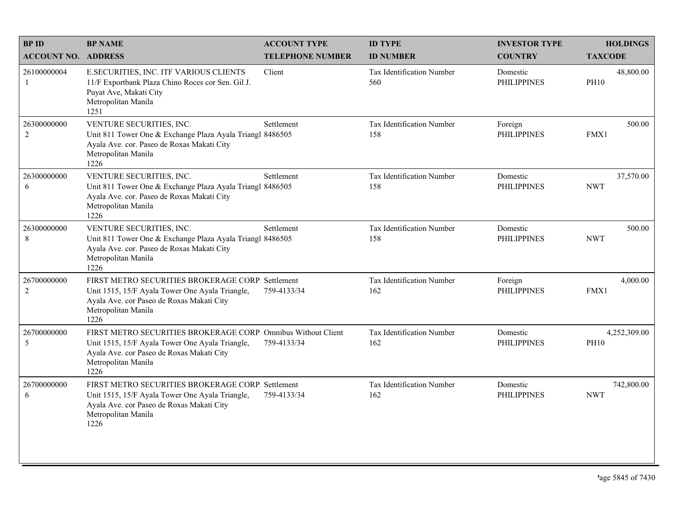| <b>BPID</b>                   | <b>BP NAME</b>                                                                                                                                                                               | <b>ACCOUNT TYPE</b>     | <b>ID TYPE</b>                   | <b>INVESTOR TYPE</b>           | <b>HOLDINGS</b>             |
|-------------------------------|----------------------------------------------------------------------------------------------------------------------------------------------------------------------------------------------|-------------------------|----------------------------------|--------------------------------|-----------------------------|
| <b>ACCOUNT NO. ADDRESS</b>    |                                                                                                                                                                                              | <b>TELEPHONE NUMBER</b> | <b>ID NUMBER</b>                 | <b>COUNTRY</b>                 | <b>TAXCODE</b>              |
| 26100000004<br>-1             | E.SECURITIES, INC. ITF VARIOUS CLIENTS<br>11/F Exportbank Plaza Chino Roces cor Sen. Gil J.<br>Puyat Ave, Makati City<br>Metropolitan Manila<br>1251                                         | Client                  | Tax Identification Number<br>560 | Domestic<br><b>PHILIPPINES</b> | 48,800.00<br><b>PH10</b>    |
| 26300000000<br>$\overline{2}$ | VENTURE SECURITIES, INC.<br>Unit 811 Tower One & Exchange Plaza Ayala Triangl 8486505<br>Ayala Ave. cor. Paseo de Roxas Makati City<br>Metropolitan Manila<br>1226                           | Settlement              | Tax Identification Number<br>158 | Foreign<br><b>PHILIPPINES</b>  | 500.00<br>FMX1              |
| 26300000000<br>6              | VENTURE SECURITIES, INC.<br>Unit 811 Tower One & Exchange Plaza Ayala Triangl 8486505<br>Ayala Ave. cor. Paseo de Roxas Makati City<br>Metropolitan Manila<br>1226                           | Settlement              | Tax Identification Number<br>158 | Domestic<br><b>PHILIPPINES</b> | 37,570.00<br><b>NWT</b>     |
| 26300000000<br>$\,$ 8 $\,$    | VENTURE SECURITIES, INC.<br>Unit 811 Tower One & Exchange Plaza Ayala Triangl 8486505<br>Ayala Ave. cor. Paseo de Roxas Makati City<br>Metropolitan Manila<br>1226                           | Settlement              | Tax Identification Number<br>158 | Domestic<br><b>PHILIPPINES</b> | 500.00<br><b>NWT</b>        |
| 26700000000<br>2              | FIRST METRO SECURITIES BROKERAGE CORP. Settlement<br>Unit 1515, 15/F Ayala Tower One Ayala Triangle,<br>Ayala Ave. cor Paseo de Roxas Makati City<br>Metropolitan Manila<br>1226             | 759-4133/34             | Tax Identification Number<br>162 | Foreign<br><b>PHILIPPINES</b>  | 4,000.00<br>FMX1            |
| 26700000000<br>5              | FIRST METRO SECURITIES BROKERAGE CORP. Omnibus Without Client<br>Unit 1515, 15/F Ayala Tower One Ayala Triangle,<br>Ayala Ave. cor Paseo de Roxas Makati City<br>Metropolitan Manila<br>1226 | 759-4133/34             | Tax Identification Number<br>162 | Domestic<br><b>PHILIPPINES</b> | 4,252,309.00<br><b>PH10</b> |
| 26700000000<br>6              | FIRST METRO SECURITIES BROKERAGE CORP. Settlement<br>Unit 1515, 15/F Ayala Tower One Ayala Triangle,<br>Ayala Ave. cor Paseo de Roxas Makati City<br>Metropolitan Manila<br>1226             | 759-4133/34             | Tax Identification Number<br>162 | Domestic<br><b>PHILIPPINES</b> | 742,800.00<br><b>NWT</b>    |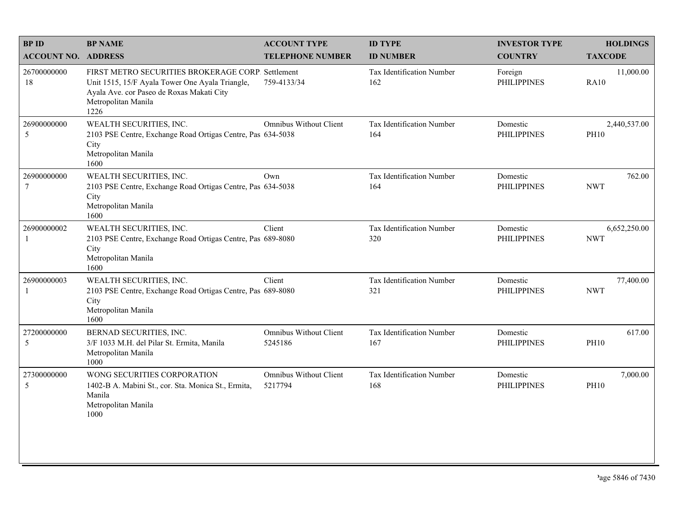| <b>BPID</b>                   | <b>BP NAME</b>                                                                                                                                                                   | <b>ACCOUNT TYPE</b>                      | <b>ID TYPE</b>                          | <b>INVESTOR TYPE</b>           | <b>HOLDINGS</b>             |
|-------------------------------|----------------------------------------------------------------------------------------------------------------------------------------------------------------------------------|------------------------------------------|-----------------------------------------|--------------------------------|-----------------------------|
| <b>ACCOUNT NO. ADDRESS</b>    |                                                                                                                                                                                  | <b>TELEPHONE NUMBER</b>                  | <b>ID NUMBER</b>                        | <b>COUNTRY</b>                 | <b>TAXCODE</b>              |
| 26700000000<br>18             | FIRST METRO SECURITIES BROKERAGE CORP. Settlement<br>Unit 1515, 15/F Ayala Tower One Ayala Triangle,<br>Ayala Ave. cor Paseo de Roxas Makati City<br>Metropolitan Manila<br>1226 | 759-4133/34                              | <b>Tax Identification Number</b><br>162 | Foreign<br><b>PHILIPPINES</b>  | 11,000.00<br><b>RA10</b>    |
| 26900000000<br>5              | WEALTH SECURITIES, INC.<br>2103 PSE Centre, Exchange Road Ortigas Centre, Pas 634-5038<br>City<br>Metropolitan Manila<br>1600                                                    | Omnibus Without Client                   | Tax Identification Number<br>164        | Domestic<br><b>PHILIPPINES</b> | 2,440,537.00<br><b>PH10</b> |
| 26900000000<br>$\overline{7}$ | WEALTH SECURITIES, INC.<br>2103 PSE Centre, Exchange Road Ortigas Centre, Pas 634-5038<br>City<br>Metropolitan Manila<br>1600                                                    | Own                                      | Tax Identification Number<br>164        | Domestic<br><b>PHILIPPINES</b> | 762.00<br><b>NWT</b>        |
| 26900000002<br>$\mathbf{1}$   | WEALTH SECURITIES, INC.<br>2103 PSE Centre, Exchange Road Ortigas Centre, Pas 689-8080<br>City<br>Metropolitan Manila<br>1600                                                    | Client                                   | Tax Identification Number<br>320        | Domestic<br><b>PHILIPPINES</b> | 6,652,250.00<br><b>NWT</b>  |
| 26900000003<br>1              | WEALTH SECURITIES, INC.<br>2103 PSE Centre, Exchange Road Ortigas Centre, Pas 689-8080<br>City<br>Metropolitan Manila<br>1600                                                    | Client                                   | Tax Identification Number<br>321        | Domestic<br><b>PHILIPPINES</b> | 77,400.00<br><b>NWT</b>     |
| 27200000000<br>5              | BERNAD SECURITIES, INC.<br>3/F 1033 M.H. del Pilar St. Ermita, Manila<br>Metropolitan Manila<br>1000                                                                             | <b>Omnibus Without Client</b><br>5245186 | Tax Identification Number<br>167        | Domestic<br><b>PHILIPPINES</b> | 617.00<br><b>PH10</b>       |
| 27300000000<br>5              | WONG SECURITIES CORPORATION<br>1402-B A. Mabini St., cor. Sta. Monica St., Ermita,<br>Manila<br>Metropolitan Manila<br>1000                                                      | <b>Omnibus Without Client</b><br>5217794 | Tax Identification Number<br>168        | Domestic<br><b>PHILIPPINES</b> | 7,000.00<br><b>PH10</b>     |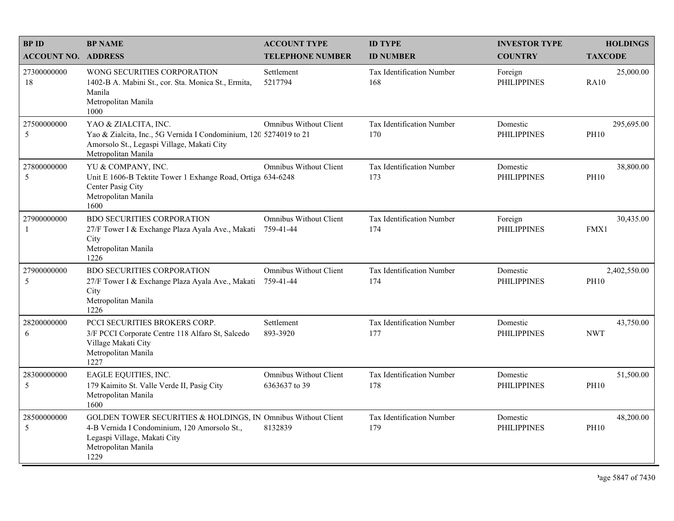| <b>BPID</b>                | <b>BP NAME</b>                                                                                                                                                               | <b>ACCOUNT TYPE</b>                            | <b>ID TYPE</b>                   | <b>INVESTOR TYPE</b>           | <b>HOLDINGS</b>             |
|----------------------------|------------------------------------------------------------------------------------------------------------------------------------------------------------------------------|------------------------------------------------|----------------------------------|--------------------------------|-----------------------------|
| <b>ACCOUNT NO. ADDRESS</b> |                                                                                                                                                                              | <b>TELEPHONE NUMBER</b>                        | <b>ID NUMBER</b>                 | <b>COUNTRY</b>                 | <b>TAXCODE</b>              |
| 27300000000<br>18          | WONG SECURITIES CORPORATION<br>1402-B A. Mabini St., cor. Sta. Monica St., Ermita,<br>Manila<br>Metropolitan Manila<br>1000                                                  | Settlement<br>5217794                          | Tax Identification Number<br>168 | Foreign<br><b>PHILIPPINES</b>  | 25,000.00<br><b>RA10</b>    |
| 27500000000<br>5           | YAO & ZIALCITA, INC.<br>Yao & Zialcita, Inc., 5G Vernida I Condominium, 120 5274019 to 21<br>Amorsolo St., Legaspi Village, Makati City<br>Metropolitan Manila               | <b>Omnibus Without Client</b>                  | Tax Identification Number<br>170 | Domestic<br><b>PHILIPPINES</b> | 295,695.00<br><b>PH10</b>   |
| 27800000000<br>5           | YU & COMPANY, INC.<br>Unit E 1606-B Tektite Tower 1 Exhange Road, Ortiga 634-6248<br>Center Pasig City<br>Metropolitan Manila<br>1600                                        | <b>Omnibus Without Client</b>                  | Tax Identification Number<br>173 | Domestic<br><b>PHILIPPINES</b> | 38,800.00<br><b>PH10</b>    |
| 27900000000<br>-1          | <b>BDO SECURITIES CORPORATION</b><br>27/F Tower I & Exchange Plaza Ayala Ave., Makati 759-41-44<br>City<br>Metropolitan Manila<br>1226                                       | <b>Omnibus Without Client</b>                  | Tax Identification Number<br>174 | Foreign<br><b>PHILIPPINES</b>  | 30,435.00<br>FMX1           |
| 27900000000<br>5           | <b>BDO SECURITIES CORPORATION</b><br>27/F Tower I & Exchange Plaza Ayala Ave., Makati<br>City<br>Metropolitan Manila<br>1226                                                 | <b>Omnibus Without Client</b><br>759-41-44     | Tax Identification Number<br>174 | Domestic<br><b>PHILIPPINES</b> | 2,402,550.00<br><b>PH10</b> |
| 28200000000<br>6           | PCCI SECURITIES BROKERS CORP.<br>3/F PCCI Corporate Centre 118 Alfaro St, Salcedo<br>Village Makati City<br>Metropolitan Manila<br>1227                                      | Settlement<br>893-3920                         | Tax Identification Number<br>177 | Domestic<br><b>PHILIPPINES</b> | 43,750.00<br><b>NWT</b>     |
| 28300000000<br>5           | EAGLE EQUITIES, INC.<br>179 Kaimito St. Valle Verde II, Pasig City<br>Metropolitan Manila<br>1600                                                                            | <b>Omnibus Without Client</b><br>6363637 to 39 | Tax Identification Number<br>178 | Domestic<br><b>PHILIPPINES</b> | 51,500.00<br><b>PH10</b>    |
| 28500000000<br>5           | GOLDEN TOWER SECURITIES & HOLDINGS, IN Omnibus Without Client<br>4-B Vernida I Condominium, 120 Amorsolo St.,<br>Legaspi Village, Makati City<br>Metropolitan Manila<br>1229 | 8132839                                        | Tax Identification Number<br>179 | Domestic<br><b>PHILIPPINES</b> | 48,200.00<br><b>PH10</b>    |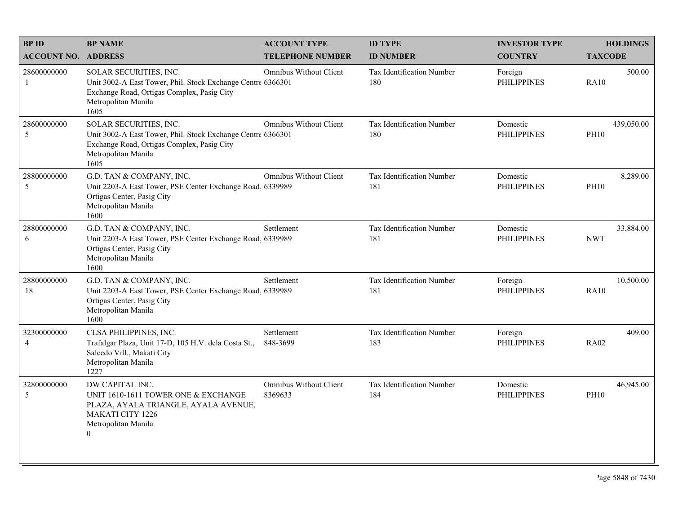| <b>BPID</b>                   | <b>BP NAME</b>                                                                                                                                                     | <b>ACCOUNT TYPE</b>                      | <b>ID TYPE</b>                          | <b>INVESTOR TYPE</b>           | <b>HOLDINGS</b>           |
|-------------------------------|--------------------------------------------------------------------------------------------------------------------------------------------------------------------|------------------------------------------|-----------------------------------------|--------------------------------|---------------------------|
| <b>ACCOUNT NO. ADDRESS</b>    |                                                                                                                                                                    | <b>TELEPHONE NUMBER</b>                  | <b>ID NUMBER</b>                        | <b>COUNTRY</b>                 | <b>TAXCODE</b>            |
| 28600000000<br>-1             | SOLAR SECURITIES, INC.<br>Unit 3002-A East Tower, Phil. Stock Exchange Centre 6366301<br>Exchange Road, Ortigas Complex, Pasig City<br>Metropolitan Manila<br>1605 | <b>Omnibus Without Client</b>            | Tax Identification Number<br>180        | Foreign<br><b>PHILIPPINES</b>  | 500.00<br><b>RA10</b>     |
| 28600000000<br>5              | SOLAR SECURITIES, INC.<br>Unit 3002-A East Tower, Phil. Stock Exchange Centre 6366301<br>Exchange Road, Ortigas Complex, Pasig City<br>Metropolitan Manila<br>1605 | <b>Omnibus Without Client</b>            | <b>Tax Identification Number</b><br>180 | Domestic<br><b>PHILIPPINES</b> | 439,050.00<br><b>PH10</b> |
| 28800000000<br>5              | G.D. TAN & COMPANY, INC.<br>Unit 2203-A East Tower, PSE Center Exchange Road 6339989<br>Ortigas Center, Pasig City<br>Metropolitan Manila<br>1600                  | <b>Omnibus Without Client</b>            | Tax Identification Number<br>181        | Domestic<br><b>PHILIPPINES</b> | 8,289.00<br><b>PH10</b>   |
| 28800000000<br>6              | G.D. TAN & COMPANY, INC.<br>Unit 2203-A East Tower, PSE Center Exchange Road 6339989<br>Ortigas Center, Pasig City<br>Metropolitan Manila<br>1600                  | Settlement                               | Tax Identification Number<br>181        | Domestic<br><b>PHILIPPINES</b> | 33,884.00<br><b>NWT</b>   |
| 28800000000<br>18             | G.D. TAN & COMPANY, INC.<br>Unit 2203-A East Tower, PSE Center Exchange Road, 6339989<br>Ortigas Center, Pasig City<br>Metropolitan Manila<br>1600                 | Settlement                               | Tax Identification Number<br>181        | Foreign<br><b>PHILIPPINES</b>  | 10,500.00<br>RA10         |
| 32300000000<br>$\overline{4}$ | CLSA PHILIPPINES, INC.<br>Trafalgar Plaza, Unit 17-D, 105 H.V. dela Costa St.,<br>Salcedo Vill., Makati City<br>Metropolitan Manila<br>1227                        | Settlement<br>848-3699                   | Tax Identification Number<br>183        | Foreign<br><b>PHILIPPINES</b>  | 409.00<br><b>RA02</b>     |
| 32800000000<br>5              | DW CAPITAL INC.<br>UNIT 1610-1611 TOWER ONE & EXCHANGE<br>PLAZA, AYALA TRIANGLE, AYALA AVENUE,<br><b>MAKATI CITY 1226</b><br>Metropolitan Manila<br>$\overline{0}$ | <b>Omnibus Without Client</b><br>8369633 | Tax Identification Number<br>184        | Domestic<br><b>PHILIPPINES</b> | 46,945.00<br><b>PH10</b>  |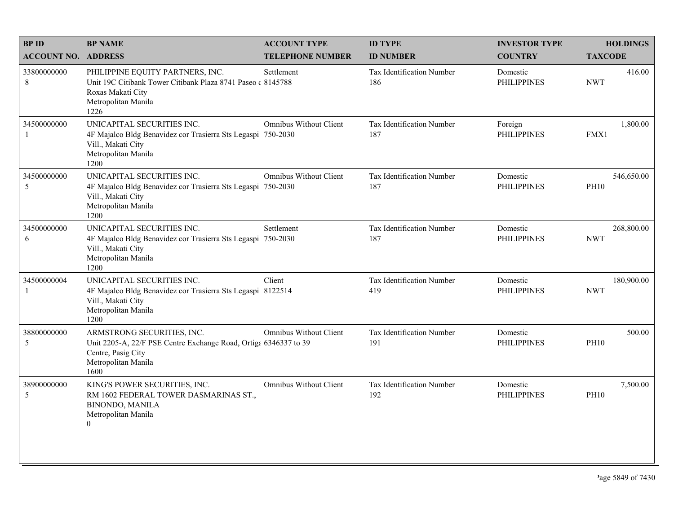| <b>BPID</b>                | <b>BP NAME</b>                                                                                                                                      | <b>ACCOUNT TYPE</b>           | <b>ID TYPE</b>                   | <b>INVESTOR TYPE</b>           | <b>HOLDINGS</b>           |
|----------------------------|-----------------------------------------------------------------------------------------------------------------------------------------------------|-------------------------------|----------------------------------|--------------------------------|---------------------------|
| <b>ACCOUNT NO. ADDRESS</b> |                                                                                                                                                     | <b>TELEPHONE NUMBER</b>       | <b>ID NUMBER</b>                 | <b>COUNTRY</b>                 | <b>TAXCODE</b>            |
| 33800000000<br>8           | PHILIPPINE EQUITY PARTNERS, INC.<br>Unit 19C Citibank Tower Citibank Plaza 8741 Paseo (8145788)<br>Roxas Makati City<br>Metropolitan Manila<br>1226 | Settlement                    | Tax Identification Number<br>186 | Domestic<br><b>PHILIPPINES</b> | 416.00<br><b>NWT</b>      |
| 34500000000                | UNICAPITAL SECURITIES INC.<br>4F Majalco Bldg Benavidez cor Trasierra Sts Legaspi 750-2030<br>Vill., Makati City<br>Metropolitan Manila<br>1200     | <b>Omnibus Without Client</b> | Tax Identification Number<br>187 | Foreign<br><b>PHILIPPINES</b>  | 1,800.00<br>FMX1          |
| 34500000000<br>5           | UNICAPITAL SECURITIES INC.<br>4F Majalco Bldg Benavidez cor Trasierra Sts Legaspi 750-2030<br>Vill., Makati City<br>Metropolitan Manila<br>1200     | Omnibus Without Client        | Tax Identification Number<br>187 | Domestic<br><b>PHILIPPINES</b> | 546,650.00<br><b>PH10</b> |
| 34500000000<br>6           | UNICAPITAL SECURITIES INC.<br>4F Majalco Bldg Benavidez cor Trasierra Sts Legaspi 750-2030<br>Vill., Makati City<br>Metropolitan Manila<br>1200     | Settlement                    | Tax Identification Number<br>187 | Domestic<br><b>PHILIPPINES</b> | 268,800.00<br><b>NWT</b>  |
| 34500000004<br>-1          | UNICAPITAL SECURITIES INC.<br>4F Majalco Bldg Benavidez cor Trasierra Sts Legaspi 8122514<br>Vill., Makati City<br>Metropolitan Manila<br>1200      | Client                        | Tax Identification Number<br>419 | Domestic<br><b>PHILIPPINES</b> | 180,900.00<br><b>NWT</b>  |
| 38800000000<br>5           | ARMSTRONG SECURITIES, INC.<br>Unit 2205-A, 22/F PSE Centre Exchange Road, Ortiga 6346337 to 39<br>Centre, Pasig City<br>Metropolitan Manila<br>1600 | <b>Omnibus Without Client</b> | Tax Identification Number<br>191 | Domestic<br><b>PHILIPPINES</b> | 500.00<br><b>PH10</b>     |
| 38900000000<br>5           | KING'S POWER SECURITIES, INC.<br>RM 1602 FEDERAL TOWER DASMARINAS ST.,<br><b>BINONDO, MANILA</b><br>Metropolitan Manila<br>$\theta$                 | <b>Omnibus Without Client</b> | Tax Identification Number<br>192 | Domestic<br><b>PHILIPPINES</b> | 7,500.00<br><b>PH10</b>   |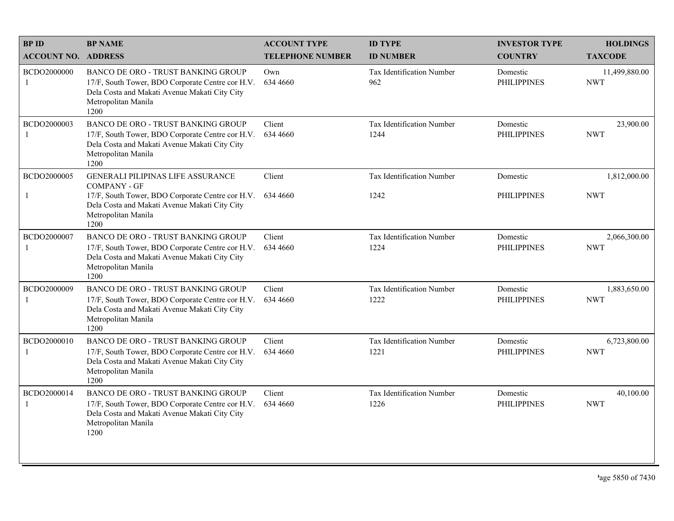| <b>BPID</b>                   | <b>BP NAME</b>                                                                                                                                                                | <b>ACCOUNT TYPE</b>     | <b>ID TYPE</b>                           | <b>INVESTOR TYPE</b>           | <b>HOLDINGS</b>             |
|-------------------------------|-------------------------------------------------------------------------------------------------------------------------------------------------------------------------------|-------------------------|------------------------------------------|--------------------------------|-----------------------------|
| <b>ACCOUNT NO. ADDRESS</b>    |                                                                                                                                                                               | <b>TELEPHONE NUMBER</b> | <b>ID NUMBER</b>                         | <b>COUNTRY</b>                 | <b>TAXCODE</b>              |
| BCDO2000000<br>-1             | <b>BANCO DE ORO - TRUST BANKING GROUP</b><br>17/F, South Tower, BDO Corporate Centre cor H.V.<br>Dela Costa and Makati Avenue Makati City City<br>Metropolitan Manila<br>1200 | Own<br>634 4660         | <b>Tax Identification Number</b><br>962  | Domestic<br><b>PHILIPPINES</b> | 11,499,880.00<br><b>NWT</b> |
| BCDO2000003                   | BANCO DE ORO - TRUST BANKING GROUP<br>17/F, South Tower, BDO Corporate Centre cor H.V.<br>Dela Costa and Makati Avenue Makati City City<br>Metropolitan Manila<br>1200        | Client<br>634 4660      | Tax Identification Number<br>1244        | Domestic<br><b>PHILIPPINES</b> | 23,900.00<br><b>NWT</b>     |
| BCDO2000005                   | <b>GENERALI PILIPINAS LIFE ASSURANCE</b><br><b>COMPANY - GF</b>                                                                                                               | Client                  | Tax Identification Number                | Domestic                       | 1,812,000.00                |
| -1                            | 17/F, South Tower, BDO Corporate Centre cor H.V.<br>Dela Costa and Makati Avenue Makati City City<br>Metropolitan Manila<br>1200                                              | 634 4660                | 1242                                     | <b>PHILIPPINES</b>             | <b>NWT</b>                  |
| BCDO2000007<br>$\mathbf{1}$   | <b>BANCO DE ORO - TRUST BANKING GROUP</b><br>17/F, South Tower, BDO Corporate Centre cor H.V.<br>Dela Costa and Makati Avenue Makati City City<br>Metropolitan Manila<br>1200 | Client<br>634 4660      | <b>Tax Identification Number</b><br>1224 | Domestic<br><b>PHILIPPINES</b> | 2,066,300.00<br><b>NWT</b>  |
| BCDO2000009<br>$\overline{1}$ | BANCO DE ORO - TRUST BANKING GROUP<br>17/F, South Tower, BDO Corporate Centre cor H.V.<br>Dela Costa and Makati Avenue Makati City City<br>Metropolitan Manila<br>1200        | Client<br>634 4660      | Tax Identification Number<br>1222        | Domestic<br><b>PHILIPPINES</b> | 1,883,650.00<br><b>NWT</b>  |
| BCDO2000010<br>-1             | BANCO DE ORO - TRUST BANKING GROUP<br>17/F, South Tower, BDO Corporate Centre cor H.V.<br>Dela Costa and Makati Avenue Makati City City<br>Metropolitan Manila<br>1200        | Client<br>634 4660      | Tax Identification Number<br>1221        | Domestic<br><b>PHILIPPINES</b> | 6,723,800.00<br><b>NWT</b>  |
| BCDO2000014<br>$\mathbf{1}$   | BANCO DE ORO - TRUST BANKING GROUP<br>17/F, South Tower, BDO Corporate Centre cor H.V.<br>Dela Costa and Makati Avenue Makati City City<br>Metropolitan Manila<br>1200        | Client<br>634 4660      | Tax Identification Number<br>1226        | Domestic<br><b>PHILIPPINES</b> | 40,100.00<br><b>NWT</b>     |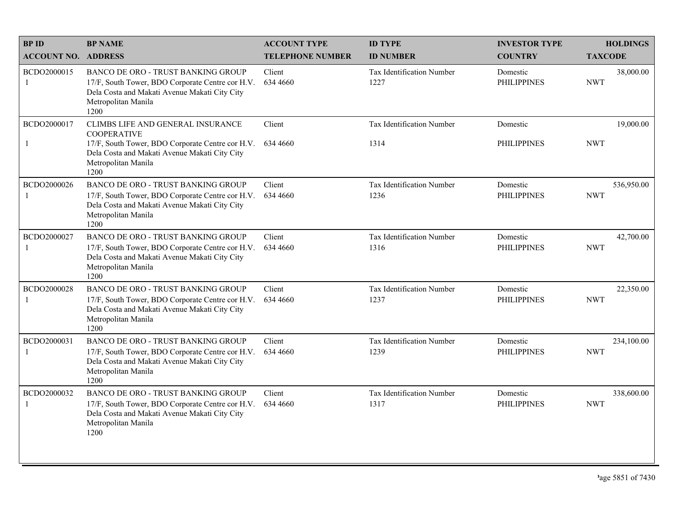| <b>BPID</b>                 | <b>BP NAME</b>                                                                                                                                                                              | <b>ACCOUNT TYPE</b>     | <b>ID TYPE</b>                    | <b>INVESTOR TYPE</b>           | <b>HOLDINGS</b>          |
|-----------------------------|---------------------------------------------------------------------------------------------------------------------------------------------------------------------------------------------|-------------------------|-----------------------------------|--------------------------------|--------------------------|
| <b>ACCOUNT NO. ADDRESS</b>  |                                                                                                                                                                                             | <b>TELEPHONE NUMBER</b> | <b>ID NUMBER</b>                  | <b>COUNTRY</b>                 | <b>TAXCODE</b>           |
| BCDO2000015<br>-1           | <b>BANCO DE ORO - TRUST BANKING GROUP</b><br>17/F, South Tower, BDO Corporate Centre cor H.V.<br>Dela Costa and Makati Avenue Makati City City<br>Metropolitan Manila<br>1200               | Client<br>634 4660      | Tax Identification Number<br>1227 | Domestic<br><b>PHILIPPINES</b> | 38,000.00<br><b>NWT</b>  |
| BCDO2000017<br>-1           | CLIMBS LIFE AND GENERAL INSURANCE<br><b>COOPERATIVE</b><br>17/F, South Tower, BDO Corporate Centre cor H.V.<br>Dela Costa and Makati Avenue Makati City City<br>Metropolitan Manila<br>1200 | Client<br>634 4660      | Tax Identification Number<br>1314 | Domestic<br><b>PHILIPPINES</b> | 19,000.00<br><b>NWT</b>  |
| BCDO2000026<br>-1           | <b>BANCO DE ORO - TRUST BANKING GROUP</b><br>17/F, South Tower, BDO Corporate Centre cor H.V.<br>Dela Costa and Makati Avenue Makati City City<br>Metropolitan Manila<br>1200               | Client<br>634 4660      | Tax Identification Number<br>1236 | Domestic<br><b>PHILIPPINES</b> | 536,950.00<br><b>NWT</b> |
| BCDO2000027<br>$\mathbf{1}$ | <b>BANCO DE ORO - TRUST BANKING GROUP</b><br>17/F, South Tower, BDO Corporate Centre cor H.V.<br>Dela Costa and Makati Avenue Makati City City<br>Metropolitan Manila<br>1200               | Client<br>634 4660      | Tax Identification Number<br>1316 | Domestic<br><b>PHILIPPINES</b> | 42,700.00<br><b>NWT</b>  |
| BCDO2000028<br>-1           | BANCO DE ORO - TRUST BANKING GROUP<br>17/F, South Tower, BDO Corporate Centre cor H.V.<br>Dela Costa and Makati Avenue Makati City City<br>Metropolitan Manila<br>1200                      | Client<br>634 4660      | Tax Identification Number<br>1237 | Domestic<br><b>PHILIPPINES</b> | 22,350.00<br><b>NWT</b>  |
| BCDO2000031<br>-1           | <b>BANCO DE ORO - TRUST BANKING GROUP</b><br>17/F, South Tower, BDO Corporate Centre cor H.V.<br>Dela Costa and Makati Avenue Makati City City<br>Metropolitan Manila<br>1200               | Client<br>634 4660      | Tax Identification Number<br>1239 | Domestic<br><b>PHILIPPINES</b> | 234,100.00<br><b>NWT</b> |
| BCDO2000032<br>$\mathbf{1}$ | BANCO DE ORO - TRUST BANKING GROUP<br>17/F, South Tower, BDO Corporate Centre cor H.V.<br>Dela Costa and Makati Avenue Makati City City<br>Metropolitan Manila<br>1200                      | Client<br>634 4660      | Tax Identification Number<br>1317 | Domestic<br><b>PHILIPPINES</b> | 338,600.00<br><b>NWT</b> |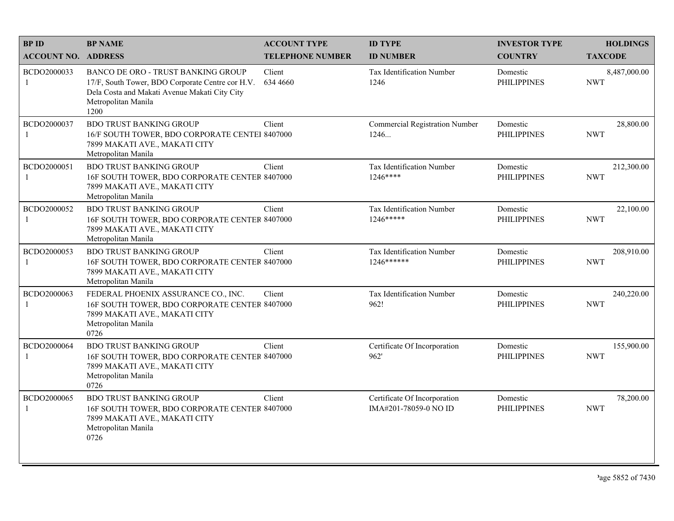| <b>BPID</b>                | <b>BP NAME</b>                                                                                                                                                                | <b>ACCOUNT TYPE</b>     | <b>ID TYPE</b>                                        | <b>INVESTOR TYPE</b>           | <b>HOLDINGS</b>            |
|----------------------------|-------------------------------------------------------------------------------------------------------------------------------------------------------------------------------|-------------------------|-------------------------------------------------------|--------------------------------|----------------------------|
| <b>ACCOUNT NO. ADDRESS</b> |                                                                                                                                                                               | <b>TELEPHONE NUMBER</b> | <b>ID NUMBER</b>                                      | <b>COUNTRY</b>                 | <b>TAXCODE</b>             |
| BCDO2000033<br>-1          | <b>BANCO DE ORO - TRUST BANKING GROUP</b><br>17/F, South Tower, BDO Corporate Centre cor H.V.<br>Dela Costa and Makati Avenue Makati City City<br>Metropolitan Manila<br>1200 | Client<br>634 4660      | Tax Identification Number<br>1246                     | Domestic<br><b>PHILIPPINES</b> | 8,487,000.00<br><b>NWT</b> |
| BCDO2000037<br>-1          | <b>BDO TRUST BANKING GROUP</b><br>16/F SOUTH TOWER, BDO CORPORATE CENTEI 8407000<br>7899 MAKATI AVE., MAKATI CITY<br>Metropolitan Manila                                      | Client                  | <b>Commercial Registration Number</b><br>1246         | Domestic<br><b>PHILIPPINES</b> | 28,800.00<br><b>NWT</b>    |
| BCDO2000051<br>-1          | <b>BDO TRUST BANKING GROUP</b><br>16F SOUTH TOWER, BDO CORPORATE CENTER 8407000<br>7899 MAKATI AVE., MAKATI CITY<br>Metropolitan Manila                                       | Client                  | Tax Identification Number<br>$1246***$                | Domestic<br><b>PHILIPPINES</b> | 212,300.00<br><b>NWT</b>   |
| BCDO2000052<br>-1          | <b>BDO TRUST BANKING GROUP</b><br>16F SOUTH TOWER, BDO CORPORATE CENTER 8407000<br>7899 MAKATI AVE., MAKATI CITY<br>Metropolitan Manila                                       | Client                  | Tax Identification Number<br>$1246*****$              | Domestic<br><b>PHILIPPINES</b> | 22,100.00<br><b>NWT</b>    |
| BCDO2000053<br>-1          | <b>BDO TRUST BANKING GROUP</b><br>16F SOUTH TOWER, BDO CORPORATE CENTER 8407000<br>7899 MAKATI AVE., MAKATI CITY<br>Metropolitan Manila                                       | Client                  | Tax Identification Number<br>1246 ******              | Domestic<br><b>PHILIPPINES</b> | 208,910.00<br><b>NWT</b>   |
| BCDO2000063<br>-1          | FEDERAL PHOENIX ASSURANCE CO., INC.<br>16F SOUTH TOWER, BDO CORPORATE CENTER 8407000<br>7899 MAKATI AVE., MAKATI CITY<br>Metropolitan Manila<br>0726                          | Client                  | Tax Identification Number<br>962!                     | Domestic<br><b>PHILIPPINES</b> | 240,220.00<br><b>NWT</b>   |
| BCDO2000064<br>-1          | <b>BDO TRUST BANKING GROUP</b><br>16F SOUTH TOWER, BDO CORPORATE CENTER 8407000<br>7899 MAKATI AVE., MAKATI CITY<br>Metropolitan Manila<br>0726                               | Client                  | Certificate Of Incorporation<br>962'                  | Domestic<br><b>PHILIPPINES</b> | 155,900.00<br><b>NWT</b>   |
| BCDO2000065<br>-1          | <b>BDO TRUST BANKING GROUP</b><br>16F SOUTH TOWER, BDO CORPORATE CENTER 8407000<br>7899 MAKATI AVE., MAKATI CITY<br>Metropolitan Manila<br>0726                               | Client                  | Certificate Of Incorporation<br>IMA#201-78059-0 NO ID | Domestic<br><b>PHILIPPINES</b> | 78,200.00<br><b>NWT</b>    |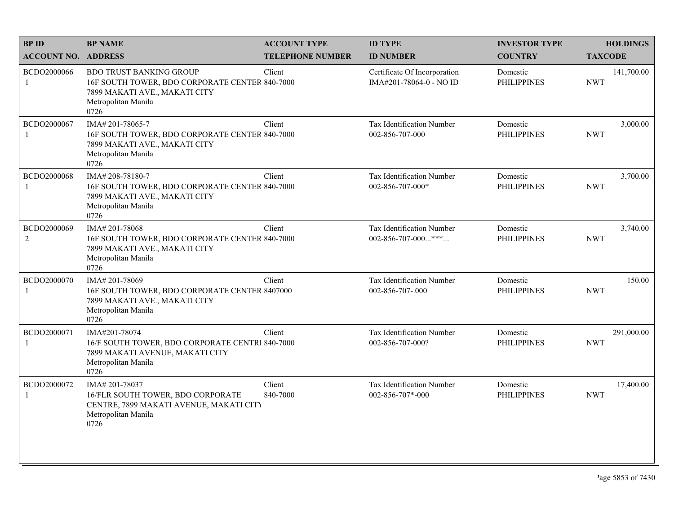| <b>BPID</b>                   | <b>BP NAME</b>                                                                                                                                   | <b>ACCOUNT TYPE</b>     | <b>ID TYPE</b>                                          | <b>INVESTOR TYPE</b>           | <b>HOLDINGS</b>          |
|-------------------------------|--------------------------------------------------------------------------------------------------------------------------------------------------|-------------------------|---------------------------------------------------------|--------------------------------|--------------------------|
| <b>ACCOUNT NO. ADDRESS</b>    |                                                                                                                                                  | <b>TELEPHONE NUMBER</b> | <b>ID NUMBER</b>                                        | <b>COUNTRY</b>                 | <b>TAXCODE</b>           |
| BCDO2000066<br>1              | <b>BDO TRUST BANKING GROUP</b><br>16F SOUTH TOWER, BDO CORPORATE CENTER 840-7000<br>7899 MAKATI AVE., MAKATI CITY<br>Metropolitan Manila<br>0726 | Client                  | Certificate Of Incorporation<br>IMA#201-78064-0 - NO ID | Domestic<br><b>PHILIPPINES</b> | 141,700.00<br><b>NWT</b> |
| BCDO2000067                   | IMA#201-78065-7<br>16F SOUTH TOWER, BDO CORPORATE CENTER 840-7000<br>7899 MAKATI AVE., MAKATI CITY<br>Metropolitan Manila<br>0726                | Client                  | Tax Identification Number<br>002-856-707-000            | Domestic<br><b>PHILIPPINES</b> | 3,000.00<br><b>NWT</b>   |
| BCDO2000068                   | IMA#208-78180-7<br>16F SOUTH TOWER, BDO CORPORATE CENTER 840-7000<br>7899 MAKATI AVE., MAKATI CITY<br>Metropolitan Manila<br>0726                | Client                  | Tax Identification Number<br>002-856-707-000*           | Domestic<br><b>PHILIPPINES</b> | 3,700.00<br><b>NWT</b>   |
| BCDO2000069<br>$\overline{2}$ | IMA# 201-78068<br>16F SOUTH TOWER, BDO CORPORATE CENTER 840-7000<br>7899 MAKATI AVE., MAKATI CITY<br>Metropolitan Manila<br>0726                 | Client                  | Tax Identification Number<br>002-856-707-000***         | Domestic<br><b>PHILIPPINES</b> | 3,740.00<br><b>NWT</b>   |
| BCDO2000070                   | IMA# 201-78069<br>16F SOUTH TOWER, BDO CORPORATE CENTER 8407000<br>7899 MAKATI AVE., MAKATI CITY<br>Metropolitan Manila<br>0726                  | Client                  | Tax Identification Number<br>002-856-707-.000           | Domestic<br><b>PHILIPPINES</b> | 150.00<br><b>NWT</b>     |
| BCDO2000071<br>1              | IMA#201-78074<br>16/F SOUTH TOWER, BDO CORPORATE CENTRI 840-7000<br>7899 MAKATI AVENUE, MAKATI CITY<br>Metropolitan Manila<br>0726               | Client                  | Tax Identification Number<br>002-856-707-000?           | Domestic<br><b>PHILIPPINES</b> | 291,000.00<br><b>NWT</b> |
| BCDO2000072                   | IMA#201-78037<br>16/FLR SOUTH TOWER, BDO CORPORATE<br>CENTRE, 7899 MAKATI AVENUE, MAKATI CITY<br>Metropolitan Manila<br>0726                     | Client<br>840-7000      | Tax Identification Number<br>002-856-707*-000           | Domestic<br><b>PHILIPPINES</b> | 17,400.00<br><b>NWT</b>  |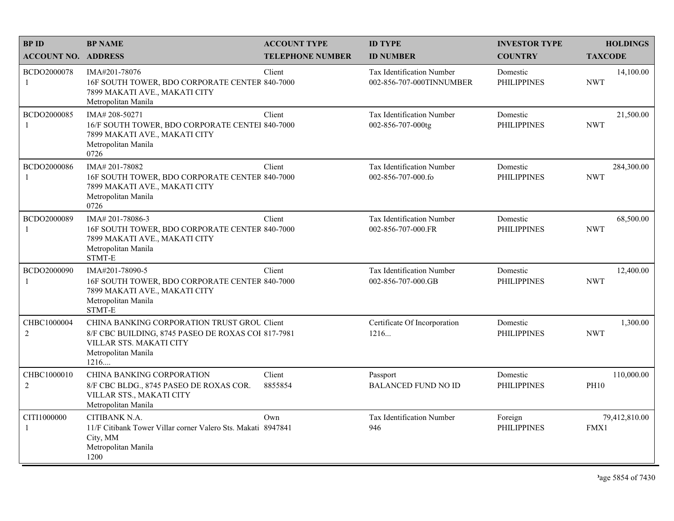| <b>BPID</b>                   | <b>BP NAME</b>                                                                                                                                                     | <b>ACCOUNT TYPE</b>     | <b>ID TYPE</b>                                               | <b>INVESTOR TYPE</b>           | <b>HOLDINGS</b>           |
|-------------------------------|--------------------------------------------------------------------------------------------------------------------------------------------------------------------|-------------------------|--------------------------------------------------------------|--------------------------------|---------------------------|
| <b>ACCOUNT NO. ADDRESS</b>    |                                                                                                                                                                    | <b>TELEPHONE NUMBER</b> | <b>ID NUMBER</b>                                             | <b>COUNTRY</b>                 | <b>TAXCODE</b>            |
| BCDO2000078<br>1              | IMA#201-78076<br>16F SOUTH TOWER, BDO CORPORATE CENTER 840-7000<br>7899 MAKATI AVE., MAKATI CITY<br>Metropolitan Manila                                            | Client                  | <b>Tax Identification Number</b><br>002-856-707-000TINNUMBER | Domestic<br><b>PHILIPPINES</b> | 14,100.00<br><b>NWT</b>   |
| BCDO2000085                   | IMA# 208-50271<br>16/F SOUTH TOWER, BDO CORPORATE CENTEI 840-7000<br>7899 MAKATI AVE., MAKATI CITY<br>Metropolitan Manila<br>0726                                  | Client                  | Tax Identification Number<br>002-856-707-000tg               | Domestic<br><b>PHILIPPINES</b> | 21,500.00<br><b>NWT</b>   |
| BCDO2000086                   | IMA#201-78082<br>16F SOUTH TOWER, BDO CORPORATE CENTER 840-7000<br>7899 MAKATI AVE., MAKATI CITY<br>Metropolitan Manila<br>0726                                    | Client                  | Tax Identification Number<br>002-856-707-000.fo              | Domestic<br><b>PHILIPPINES</b> | 284,300.00<br><b>NWT</b>  |
| BCDO2000089                   | IMA# 201-78086-3<br>16F SOUTH TOWER, BDO CORPORATE CENTER 840-7000<br>7899 MAKATI AVE., MAKATI CITY<br>Metropolitan Manila<br>STMT-E                               | Client                  | Tax Identification Number<br>002-856-707-000.FR              | Domestic<br><b>PHILIPPINES</b> | 68,500.00<br><b>NWT</b>   |
| BCDO2000090                   | IMA#201-78090-5<br>16F SOUTH TOWER, BDO CORPORATE CENTER 840-7000<br>7899 MAKATI AVE., MAKATI CITY<br>Metropolitan Manila<br>STMT-E                                | Client                  | Tax Identification Number<br>002-856-707-000.GB              | Domestic<br><b>PHILIPPINES</b> | 12,400.00<br><b>NWT</b>   |
| CHBC1000004<br>$\overline{2}$ | CHINA BANKING CORPORATION TRUST GROU Client<br>8/F CBC BUILDING, 8745 PASEO DE ROXAS COI 817-7981<br><b>VILLAR STS. MAKATI CITY</b><br>Metropolitan Manila<br>1216 |                         | Certificate Of Incorporation<br>1216                         | Domestic<br><b>PHILIPPINES</b> | 1,300.00<br><b>NWT</b>    |
| CHBC1000010<br>$\sqrt{2}$     | CHINA BANKING CORPORATION<br>8/F CBC BLDG., 8745 PASEO DE ROXAS COR.<br>VILLAR STS., MAKATI CITY<br>Metropolitan Manila                                            | Client<br>8855854       | Passport<br><b>BALANCED FUND NO ID</b>                       | Domestic<br><b>PHILIPPINES</b> | 110,000.00<br><b>PH10</b> |
| CITI1000000<br>-1             | CITIBANK N.A.<br>11/F Citibank Tower Villar corner Valero Sts. Makati 8947841<br>City, MM<br>Metropolitan Manila<br>1200                                           | Own                     | <b>Tax Identification Number</b><br>946                      | Foreign<br><b>PHILIPPINES</b>  | 79,412,810.00<br>FMX1     |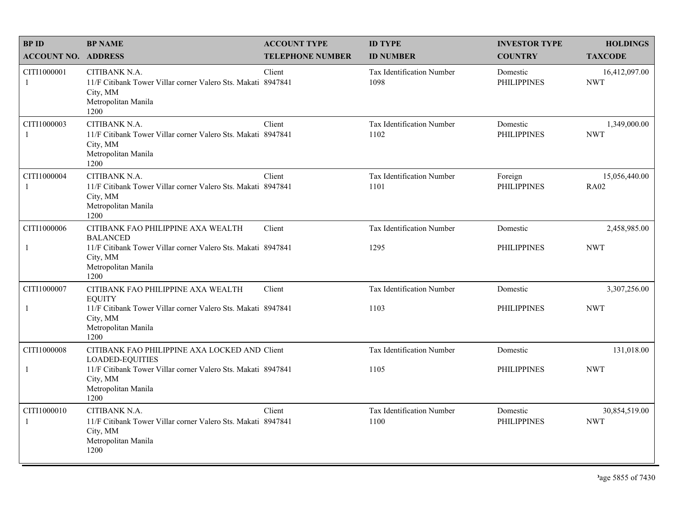| <b>BPID</b>                 | <b>BP NAME</b>                                                                                                           | <b>ACCOUNT TYPE</b>     | <b>ID TYPE</b>                           | <b>INVESTOR TYPE</b>           | <b>HOLDINGS</b>              |
|-----------------------------|--------------------------------------------------------------------------------------------------------------------------|-------------------------|------------------------------------------|--------------------------------|------------------------------|
| <b>ACCOUNT NO. ADDRESS</b>  |                                                                                                                          | <b>TELEPHONE NUMBER</b> | <b>ID NUMBER</b>                         | <b>COUNTRY</b>                 | <b>TAXCODE</b>               |
| CITI1000001<br>-1           | CITIBANK N.A.<br>11/F Citibank Tower Villar corner Valero Sts. Makati 8947841<br>City, MM<br>Metropolitan Manila<br>1200 | Client                  | <b>Tax Identification Number</b><br>1098 | Domestic<br><b>PHILIPPINES</b> | 16,412,097.00<br><b>NWT</b>  |
| CITI1000003<br>$\mathbf{1}$ | CITIBANK N.A.<br>11/F Citibank Tower Villar corner Valero Sts. Makati 8947841<br>City, MM<br>Metropolitan Manila<br>1200 | Client                  | Tax Identification Number<br>1102        | Domestic<br><b>PHILIPPINES</b> | 1,349,000.00<br><b>NWT</b>   |
| CITI1000004<br>$\mathbf{1}$ | CITIBANK N.A.<br>11/F Citibank Tower Villar corner Valero Sts. Makati 8947841<br>City, MM<br>Metropolitan Manila<br>1200 | Client                  | Tax Identification Number<br>1101        | Foreign<br><b>PHILIPPINES</b>  | 15,056,440.00<br><b>RA02</b> |
| CITI1000006                 | CITIBANK FAO PHILIPPINE AXA WEALTH<br><b>BALANCED</b>                                                                    | Client                  | Tax Identification Number                | Domestic                       | 2,458,985.00                 |
| -1                          | 11/F Citibank Tower Villar corner Valero Sts. Makati 8947841<br>City, MM<br>Metropolitan Manila<br>1200                  |                         | 1295                                     | <b>PHILIPPINES</b>             | <b>NWT</b>                   |
| CITI1000007                 | CITIBANK FAO PHILIPPINE AXA WEALTH<br><b>EQUITY</b>                                                                      | Client                  | Tax Identification Number                | Domestic                       | 3,307,256.00                 |
| $\mathbf{1}$                | 11/F Citibank Tower Villar corner Valero Sts. Makati 8947841<br>City, MM<br>Metropolitan Manila<br>1200                  |                         | 1103                                     | <b>PHILIPPINES</b>             | <b>NWT</b>                   |
| CITI1000008                 | CITIBANK FAO PHILIPPINE AXA LOCKED AND Client<br><b>LOADED-EQUITIES</b>                                                  |                         | Tax Identification Number                | Domestic                       | 131,018.00                   |
| $\mathbf{1}$                | 11/F Citibank Tower Villar corner Valero Sts. Makati 8947841<br>City, MM<br>Metropolitan Manila<br>1200                  |                         | 1105                                     | <b>PHILIPPINES</b>             | <b>NWT</b>                   |
| CITI1000010<br>$\mathbf{1}$ | CITIBANK N.A.<br>11/F Citibank Tower Villar corner Valero Sts. Makati 8947841<br>City, MM<br>Metropolitan Manila<br>1200 | Client                  | Tax Identification Number<br>1100        | Domestic<br><b>PHILIPPINES</b> | 30,854,519.00<br><b>NWT</b>  |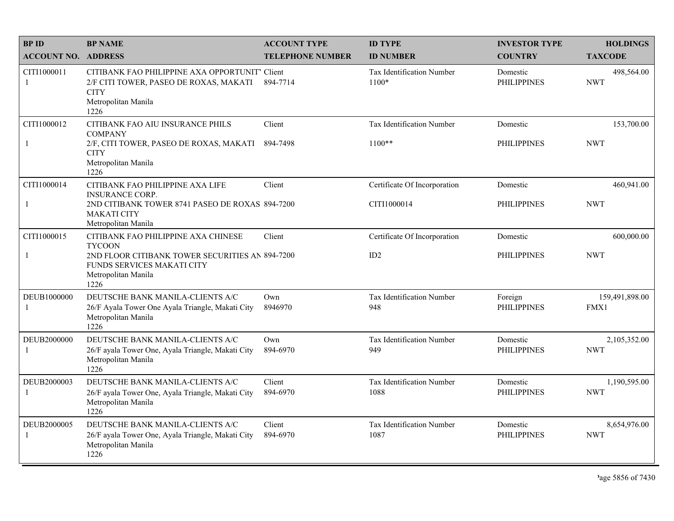| <b>BPID</b>                 | <b>BP NAME</b>                                                                                                                         | <b>ACCOUNT TYPE</b>     | <b>ID TYPE</b>                          | <b>INVESTOR TYPE</b>           | <b>HOLDINGS</b>            |
|-----------------------------|----------------------------------------------------------------------------------------------------------------------------------------|-------------------------|-----------------------------------------|--------------------------------|----------------------------|
| <b>ACCOUNT NO. ADDRESS</b>  |                                                                                                                                        | <b>TELEPHONE NUMBER</b> | <b>ID NUMBER</b>                        | <b>COUNTRY</b>                 | <b>TAXCODE</b>             |
| CITI1000011<br>-1           | CITIBANK FAO PHILIPPINE AXA OPPORTUNIT' Client<br>2/F CITI TOWER, PASEO DE ROXAS, MAKATI<br><b>CITY</b><br>Metropolitan Manila<br>1226 | 894-7714                | Tax Identification Number<br>1100*      | Domestic<br><b>PHILIPPINES</b> | 498,564.00<br><b>NWT</b>   |
| CITI1000012<br>-1           | CITIBANK FAO AIU INSURANCE PHILS<br><b>COMPANY</b><br>2/F, CITI TOWER, PASEO DE ROXAS, MAKATI<br><b>CITY</b>                           | Client<br>894-7498      | Tax Identification Number<br>$1100**$   | Domestic<br><b>PHILIPPINES</b> | 153,700.00<br><b>NWT</b>   |
|                             | Metropolitan Manila<br>1226                                                                                                            |                         |                                         |                                |                            |
| CITI1000014                 | CITIBANK FAO PHILIPPINE AXA LIFE<br><b>INSURANCE CORP.</b>                                                                             | Client                  | Certificate Of Incorporation            | Domestic                       | 460,941.00                 |
| $\mathbf{1}$                | 2ND CITIBANK TOWER 8741 PASEO DE ROXAS 894-7200<br><b>MAKATI CITY</b><br>Metropolitan Manila                                           |                         | CITI1000014                             | <b>PHILIPPINES</b>             | <b>NWT</b>                 |
| CITI1000015                 | CITIBANK FAO PHILIPPINE AXA CHINESE<br><b>TYCOON</b>                                                                                   | Client                  | Certificate Of Incorporation            | Domestic                       | 600,000.00                 |
| $\mathbf{1}$                | 2ND FLOOR CITIBANK TOWER SECURITIES AN 894-7200<br>FUNDS SERVICES MAKATI CITY<br>Metropolitan Manila<br>1226                           |                         | ID2                                     | <b>PHILIPPINES</b>             | <b>NWT</b>                 |
| DEUB1000000<br>$\mathbf{1}$ | DEUTSCHE BANK MANILA-CLIENTS A/C<br>26/F Ayala Tower One Ayala Triangle, Makati City<br>Metropolitan Manila<br>1226                    | Own<br>8946970          | <b>Tax Identification Number</b><br>948 | Foreign<br><b>PHILIPPINES</b>  | 159,491,898.00<br>FMX1     |
| DEUB2000000<br>-1           | DEUTSCHE BANK MANILA-CLIENTS A/C<br>26/F ayala Tower One, Ayala Triangle, Makati City<br>Metropolitan Manila<br>1226                   | Own<br>894-6970         | Tax Identification Number<br>949        | Domestic<br><b>PHILIPPINES</b> | 2,105,352.00<br><b>NWT</b> |
| DEUB2000003<br>-1           | DEUTSCHE BANK MANILA-CLIENTS A/C<br>26/F ayala Tower One, Ayala Triangle, Makati City<br>Metropolitan Manila<br>1226                   | Client<br>894-6970      | Tax Identification Number<br>1088       | Domestic<br><b>PHILIPPINES</b> | 1,190,595.00<br><b>NWT</b> |
| DEUB2000005<br>$\mathbf{1}$ | DEUTSCHE BANK MANILA-CLIENTS A/C<br>26/F ayala Tower One, Ayala Triangle, Makati City<br>Metropolitan Manila<br>1226                   | Client<br>894-6970      | Tax Identification Number<br>1087       | Domestic<br><b>PHILIPPINES</b> | 8,654,976.00<br><b>NWT</b> |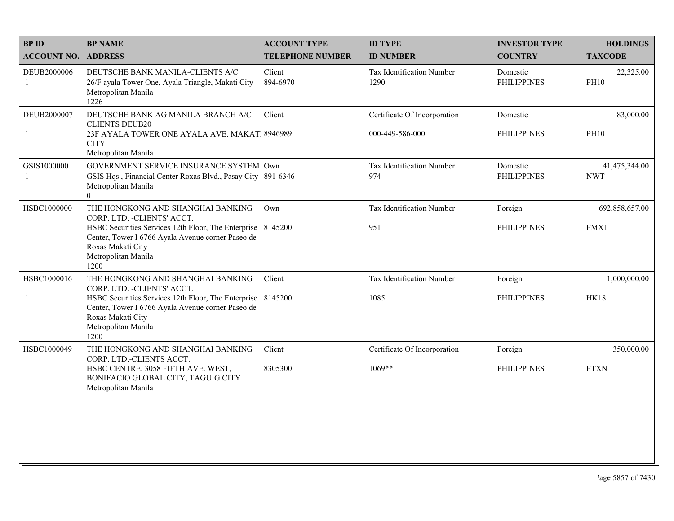| <b>BPID</b>                 | <b>BP NAME</b>                                                                                                                                                                                                                           | <b>ACCOUNT TYPE</b>     | <b>ID TYPE</b>                                  | <b>INVESTOR TYPE</b>           | <b>HOLDINGS</b>             |
|-----------------------------|------------------------------------------------------------------------------------------------------------------------------------------------------------------------------------------------------------------------------------------|-------------------------|-------------------------------------------------|--------------------------------|-----------------------------|
| <b>ACCOUNT NO. ADDRESS</b>  |                                                                                                                                                                                                                                          | <b>TELEPHONE NUMBER</b> | <b>ID NUMBER</b>                                | <b>COUNTRY</b>                 | <b>TAXCODE</b>              |
| DEUB2000006<br>1            | DEUTSCHE BANK MANILA-CLIENTS A/C<br>26/F ayala Tower One, Ayala Triangle, Makati City<br>Metropolitan Manila<br>1226                                                                                                                     | Client<br>894-6970      | Tax Identification Number<br>1290               | Domestic<br><b>PHILIPPINES</b> | 22,325.00<br><b>PH10</b>    |
| DEUB2000007<br>$\mathbf{1}$ | DEUTSCHE BANK AG MANILA BRANCH A/C<br><b>CLIENTS DEUB20</b><br>23F AYALA TOWER ONE AYALA AVE. MAKAT. 8946989<br><b>CITY</b><br>Metropolitan Manila                                                                                       | Client                  | Certificate Of Incorporation<br>000-449-586-000 | Domestic<br><b>PHILIPPINES</b> | 83,000.00<br><b>PH10</b>    |
| GSIS1000000<br>1            | GOVERNMENT SERVICE INSURANCE SYSTEM Own<br>GSIS Hqs., Financial Center Roxas Blvd., Pasay City 891-6346<br>Metropolitan Manila<br>$\overline{0}$                                                                                         |                         | Tax Identification Number<br>974                | Domestic<br><b>PHILIPPINES</b> | 41,475,344.00<br><b>NWT</b> |
| HSBC1000000                 | THE HONGKONG AND SHANGHAI BANKING<br>CORP. LTD. - CLIENTS' ACCT.<br>HSBC Securities Services 12th Floor, The Enterprise 8145200<br>Center, Tower I 6766 Ayala Avenue corner Paseo de<br>Roxas Makati City<br>Metropolitan Manila<br>1200 | Own                     | Tax Identification Number<br>951                | Foreign<br><b>PHILIPPINES</b>  | 692,858,657.00<br>FMX1      |
| HSBC1000016<br>1            | THE HONGKONG AND SHANGHAI BANKING<br>CORP. LTD. - CLIENTS' ACCT.<br>HSBC Securities Services 12th Floor, The Enterprise 8145200<br>Center, Tower I 6766 Ayala Avenue corner Paseo de<br>Roxas Makati City<br>Metropolitan Manila<br>1200 | Client                  | Tax Identification Number<br>1085               | Foreign<br><b>PHILIPPINES</b>  | 1,000,000.00<br><b>HK18</b> |
| HSBC1000049                 | THE HONGKONG AND SHANGHAI BANKING<br>CORP. LTD.-CLIENTS ACCT.<br>HSBC CENTRE, 3058 FIFTH AVE. WEST,<br>BONIFACIO GLOBAL CITY, TAGUIG CITY<br>Metropolitan Manila                                                                         | Client<br>8305300       | Certificate Of Incorporation<br>$1069**$        | Foreign<br><b>PHILIPPINES</b>  | 350,000.00<br><b>FTXN</b>   |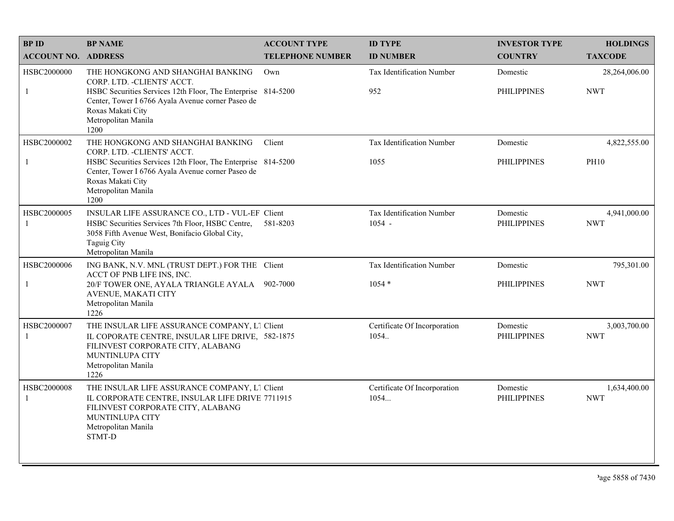| <b>BPID</b>                 | <b>BP NAME</b>                                                                                                                                                                                                                            | <b>ACCOUNT TYPE</b>     | <b>ID TYPE</b>                               | <b>INVESTOR TYPE</b>           | <b>HOLDINGS</b>             |
|-----------------------------|-------------------------------------------------------------------------------------------------------------------------------------------------------------------------------------------------------------------------------------------|-------------------------|----------------------------------------------|--------------------------------|-----------------------------|
| <b>ACCOUNT NO. ADDRESS</b>  |                                                                                                                                                                                                                                           | <b>TELEPHONE NUMBER</b> | <b>ID NUMBER</b>                             | <b>COUNTRY</b>                 | <b>TAXCODE</b>              |
| HSBC2000000<br>$\mathbf{1}$ | THE HONGKONG AND SHANGHAI BANKING<br>CORP. LTD. - CLIENTS' ACCT.<br>HSBC Securities Services 12th Floor, The Enterprise 814-5200<br>Center, Tower I 6766 Ayala Avenue corner Paseo de<br>Roxas Makati City<br>Metropolitan Manila<br>1200 | Own                     | Tax Identification Number<br>952             | Domestic<br><b>PHILIPPINES</b> | 28,264,006.00<br><b>NWT</b> |
| HSBC2000002<br>$\mathbf{1}$ | THE HONGKONG AND SHANGHAI BANKING<br>CORP. LTD. - CLIENTS' ACCT.<br>HSBC Securities Services 12th Floor, The Enterprise 814-5200<br>Center, Tower I 6766 Ayala Avenue corner Paseo de<br>Roxas Makati City<br>Metropolitan Manila<br>1200 | Client                  | Tax Identification Number<br>1055            | Domestic<br><b>PHILIPPINES</b> | 4,822,555.00<br><b>PH10</b> |
| HSBC2000005<br>$\mathbf{1}$ | INSULAR LIFE ASSURANCE CO., LTD - VUL-EF Client<br>HSBC Securities Services 7th Floor, HSBC Centre,<br>3058 Fifth Avenue West, Bonifacio Global City,<br><b>Taguig City</b><br>Metropolitan Manila                                        | 581-8203                | <b>Tax Identification Number</b><br>$1054 -$ | Domestic<br><b>PHILIPPINES</b> | 4,941,000.00<br><b>NWT</b>  |
| HSBC2000006<br>-1           | ING BANK, N.V. MNL (TRUST DEPT.) FOR THE Client<br>ACCT OF PNB LIFE INS, INC.<br>20/F TOWER ONE, AYALA TRIANGLE AYALA 902-7000<br>AVENUE, MAKATI CITY<br>Metropolitan Manila<br>1226                                                      |                         | Tax Identification Number<br>$1054*$         | Domestic<br><b>PHILIPPINES</b> | 795,301.00<br><b>NWT</b>    |
| HSBC2000007<br>-1           | THE INSULAR LIFE ASSURANCE COMPANY, L1 Client<br>IL COPORATE CENTRE, INSULAR LIFE DRIVE, 582-1875<br>FILINVEST CORPORATE CITY, ALABANG<br><b>MUNTINLUPA CITY</b><br>Metropolitan Manila<br>1226                                           |                         | Certificate Of Incorporation<br>1054.        | Domestic<br><b>PHILIPPINES</b> | 3,003,700.00<br><b>NWT</b>  |
| HSBC2000008<br>-1           | THE INSULAR LIFE ASSURANCE COMPANY, L1 Client<br>IL CORPORATE CENTRE, INSULAR LIFE DRIVE 7711915<br>FILINVEST CORPORATE CITY, ALABANG<br>MUNTINLUPA CITY<br>Metropolitan Manila<br>STMT-D                                                 |                         | Certificate Of Incorporation<br>1054         | Domestic<br><b>PHILIPPINES</b> | 1,634,400.00<br><b>NWT</b>  |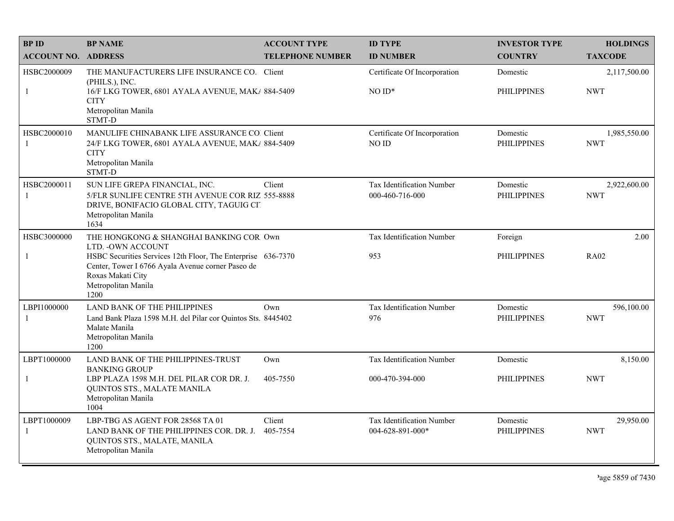| <b>BPID</b>                 | <b>BP NAME</b>                                                                                                                                                        | <b>ACCOUNT TYPE</b>     | <b>ID TYPE</b>                                | <b>INVESTOR TYPE</b>           | <b>HOLDINGS</b>            |
|-----------------------------|-----------------------------------------------------------------------------------------------------------------------------------------------------------------------|-------------------------|-----------------------------------------------|--------------------------------|----------------------------|
| <b>ACCOUNT NO. ADDRESS</b>  |                                                                                                                                                                       | <b>TELEPHONE NUMBER</b> | <b>ID NUMBER</b>                              | <b>COUNTRY</b>                 | <b>TAXCODE</b>             |
| HSBC2000009                 | THE MANUFACTURERS LIFE INSURANCE CO. Client<br>(PHILS.), INC.                                                                                                         |                         | Certificate Of Incorporation                  | Domestic                       | 2,117,500.00               |
| 1                           | 16/F LKG TOWER, 6801 AYALA AVENUE, MAK/ 884-5409<br><b>CITY</b><br>Metropolitan Manila<br>STMT-D                                                                      |                         | $NOID*$                                       | <b>PHILIPPINES</b>             | <b>NWT</b>                 |
| HSBC2000010<br>$\mathbf{1}$ | MANULIFE CHINABANK LIFE ASSURANCE CO. Client<br>24/F LKG TOWER, 6801 AYALA AVENUE, MAK/ 884-5409<br><b>CITY</b><br>Metropolitan Manila<br>STMT-D                      |                         | Certificate Of Incorporation<br>NO ID         | Domestic<br><b>PHILIPPINES</b> | 1,985,550.00<br><b>NWT</b> |
| HSBC2000011<br>-1           | SUN LIFE GREPA FINANCIAL, INC.<br>5/FLR SUNLIFE CENTRE 5TH AVENUE COR RIZ 555-8888<br>DRIVE, BONIFACIO GLOBAL CITY, TAGUIG CIT<br>Metropolitan Manila<br>1634         | Client                  | Tax Identification Number<br>000-460-716-000  | Domestic<br><b>PHILIPPINES</b> | 2,922,600.00<br><b>NWT</b> |
| HSBC3000000                 | THE HONGKONG & SHANGHAI BANKING COR Own<br>LTD. - OWN ACCOUNT                                                                                                         |                         | Tax Identification Number                     | Foreign                        | 2.00                       |
| -1                          | HSBC Securities Services 12th Floor, The Enterprise 636-7370<br>Center, Tower I 6766 Ayala Avenue corner Paseo de<br>Roxas Makati City<br>Metropolitan Manila<br>1200 |                         | 953                                           | <b>PHILIPPINES</b>             | <b>RA02</b>                |
| LBPI1000000<br>$\mathbf{1}$ | <b>LAND BANK OF THE PHILIPPINES</b><br>Land Bank Plaza 1598 M.H. del Pilar cor Quintos Sts. 8445402<br>Malate Manila<br>Metropolitan Manila<br>1200                   | Own                     | Tax Identification Number<br>976              | Domestic<br><b>PHILIPPINES</b> | 596,100.00<br><b>NWT</b>   |
| LBPT1000000                 | LAND BANK OF THE PHILIPPINES-TRUST<br><b>BANKING GROUP</b>                                                                                                            | Own                     | Tax Identification Number                     | Domestic                       | 8,150.00                   |
| $\mathbf{1}$                | LBP PLAZA 1598 M.H. DEL PILAR COR DR. J.<br>QUINTOS STS., MALATE MANILA<br>Metropolitan Manila<br>1004                                                                | 405-7550                | 000-470-394-000                               | <b>PHILIPPINES</b>             | <b>NWT</b>                 |
| LBPT1000009<br>-1           | LBP-TBG AS AGENT FOR 28568 TA 01<br>LAND BANK OF THE PHILIPPINES COR. DR. J.<br>QUINTOS STS., MALATE, MANILA<br>Metropolitan Manila                                   | Client<br>405-7554      | Tax Identification Number<br>004-628-891-000* | Domestic<br><b>PHILIPPINES</b> | 29,950.00<br><b>NWT</b>    |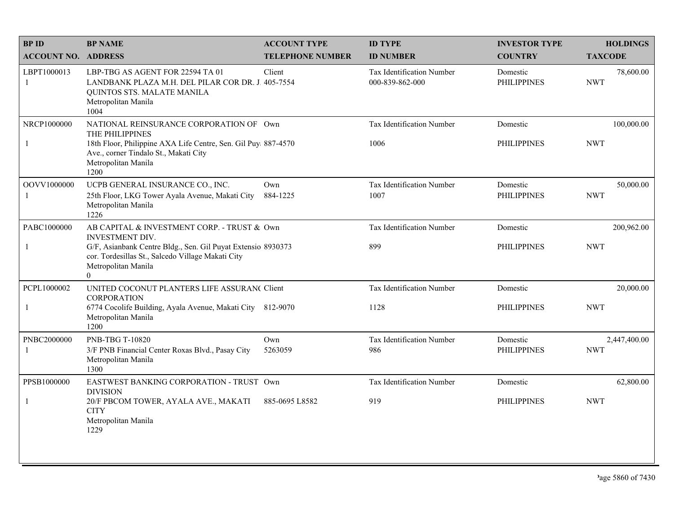| <b>BPID</b>                | <b>BP NAME</b>                                                                                                                                                                                      | <b>ACCOUNT TYPE</b>     | <b>ID TYPE</b>                               | <b>INVESTOR TYPE</b>           | <b>HOLDINGS</b>            |
|----------------------------|-----------------------------------------------------------------------------------------------------------------------------------------------------------------------------------------------------|-------------------------|----------------------------------------------|--------------------------------|----------------------------|
| <b>ACCOUNT NO. ADDRESS</b> |                                                                                                                                                                                                     | <b>TELEPHONE NUMBER</b> | <b>ID NUMBER</b>                             | <b>COUNTRY</b>                 | <b>TAXCODE</b>             |
| LBPT1000013<br>1           | LBP-TBG AS AGENT FOR 22594 TA 01<br>LANDBANK PLAZA M.H. DEL PILAR COR DR. J. 405-7554<br>QUINTOS STS. MALATE MANILA<br>Metropolitan Manila<br>1004                                                  | Client                  | Tax Identification Number<br>000-839-862-000 | Domestic<br><b>PHILIPPINES</b> | 78,600.00<br><b>NWT</b>    |
| NRCP1000000<br>-1          | NATIONAL REINSURANCE CORPORATION OF Own<br>THE PHILIPPINES<br>18th Floor, Philippine AXA Life Centre, Sen. Gil Puy 887-4570<br>Ave., corner Tindalo St., Makati City<br>Metropolitan Manila<br>1200 |                         | Tax Identification Number<br>1006            | Domestic<br><b>PHILIPPINES</b> | 100,000.00<br><b>NWT</b>   |
| OOVV1000000<br>1           | UCPB GENERAL INSURANCE CO., INC.<br>25th Floor, LKG Tower Ayala Avenue, Makati City<br>Metropolitan Manila<br>1226                                                                                  | Own<br>884-1225         | Tax Identification Number<br>1007            | Domestic<br><b>PHILIPPINES</b> | 50,000.00<br><b>NWT</b>    |
| PABC1000000                | AB CAPITAL & INVESTMENT CORP. - TRUST & Own<br><b>INVESTMENT DIV.</b>                                                                                                                               |                         | Tax Identification Number                    | Domestic                       | 200,962.00                 |
| 1                          | G/F, Asianbank Centre Bldg., Sen. Gil Puyat Extensio 8930373<br>cor. Tordesillas St., Salcedo Village Makati City<br>Metropolitan Manila<br>$\overline{0}$                                          |                         | 899                                          | <b>PHILIPPINES</b>             | <b>NWT</b>                 |
| PCPL1000002                | UNITED COCONUT PLANTERS LIFE ASSURAN( Client<br><b>CORPORATION</b>                                                                                                                                  |                         | Tax Identification Number                    | Domestic                       | 20,000.00                  |
|                            | 6774 Cocolife Building, Ayala Avenue, Makati City 812-9070<br>Metropolitan Manila<br>1200                                                                                                           |                         | 1128                                         | <b>PHILIPPINES</b>             | <b>NWT</b>                 |
| PNBC2000000                | <b>PNB-TBG T-10820</b><br>3/F PNB Financial Center Roxas Blvd., Pasay City<br>Metropolitan Manila<br>1300                                                                                           | Own<br>5263059          | Tax Identification Number<br>986             | Domestic<br><b>PHILIPPINES</b> | 2,447,400.00<br><b>NWT</b> |
| PPSB1000000                | EASTWEST BANKING CORPORATION - TRUST Own<br><b>DIVISION</b>                                                                                                                                         |                         | Tax Identification Number                    | Domestic                       | 62,800.00                  |
|                            | 20/F PBCOM TOWER, AYALA AVE., MAKATI<br><b>CITY</b><br>Metropolitan Manila<br>1229                                                                                                                  | 885-0695 L8582          | 919                                          | <b>PHILIPPINES</b>             | <b>NWT</b>                 |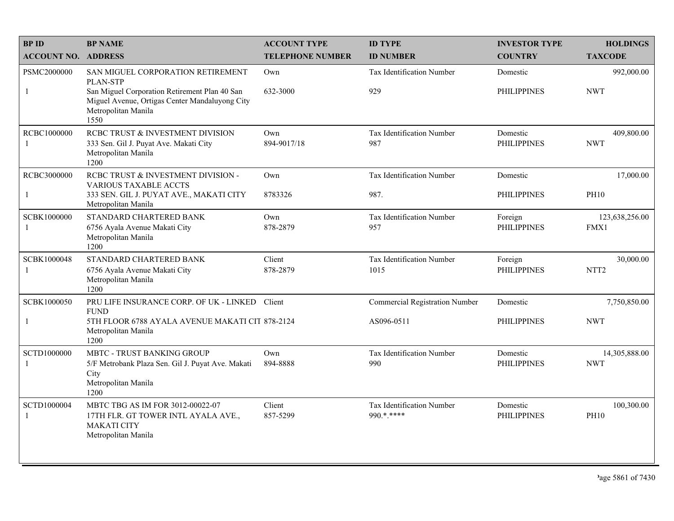| <b>BP ID</b>                  | <b>BP NAME</b>                                                                                                                                                                         | <b>ACCOUNT TYPE</b>     | <b>ID TYPE</b>                            | <b>INVESTOR TYPE</b>           | <b>HOLDINGS</b>               |
|-------------------------------|----------------------------------------------------------------------------------------------------------------------------------------------------------------------------------------|-------------------------|-------------------------------------------|--------------------------------|-------------------------------|
| <b>ACCOUNT NO. ADDRESS</b>    |                                                                                                                                                                                        | <b>TELEPHONE NUMBER</b> | <b>ID NUMBER</b>                          | <b>COUNTRY</b>                 | <b>TAXCODE</b>                |
| PSMC2000000<br>$\mathbf{1}$   | SAN MIGUEL CORPORATION RETIREMENT<br><b>PLAN-STP</b><br>San Miguel Corporation Retirement Plan 40 San<br>Miguel Avenue, Ortigas Center Mandaluyong City<br>Metropolitan Manila<br>1550 | Own<br>632-3000         | <b>Tax Identification Number</b><br>929   | Domestic<br><b>PHILIPPINES</b> | 992,000.00<br><b>NWT</b>      |
| RCBC1000000<br>-1             | RCBC TRUST & INVESTMENT DIVISION<br>333 Sen. Gil J. Puyat Ave. Makati City<br>Metropolitan Manila<br>1200                                                                              | Own<br>894-9017/18      | Tax Identification Number<br>987          | Domestic<br><b>PHILIPPINES</b> | 409,800.00<br><b>NWT</b>      |
| RCBC3000000<br>1              | RCBC TRUST & INVESTMENT DIVISION -<br><b>VARIOUS TAXABLE ACCTS</b><br>333 SEN. GIL J. PUYAT AVE., MAKATI CITY<br>Metropolitan Manila                                                   | Own<br>8783326          | Tax Identification Number<br>987.         | Domestic<br><b>PHILIPPINES</b> | 17,000.00<br><b>PH10</b>      |
| SCBK1000000<br>$\overline{1}$ | STANDARD CHARTERED BANK<br>6756 Ayala Avenue Makati City<br>Metropolitan Manila<br>1200                                                                                                | Own<br>878-2879         | Tax Identification Number<br>957          | Foreign<br><b>PHILIPPINES</b>  | 123,638,256.00<br>FMX1        |
| SCBK1000048<br>$\mathbf{1}$   | STANDARD CHARTERED BANK<br>6756 Ayala Avenue Makati City<br>Metropolitan Manila<br>1200                                                                                                | Client<br>878-2879      | Tax Identification Number<br>1015         | Foreign<br><b>PHILIPPINES</b>  | 30,000.00<br>NTT <sub>2</sub> |
| SCBK1000050                   | PRU LIFE INSURANCE CORP. OF UK - LINKED Client                                                                                                                                         |                         | <b>Commercial Registration Number</b>     | Domestic                       | 7,750,850.00                  |
| $\mathbf{1}$                  | <b>FUND</b><br>5TH FLOOR 6788 AYALA AVENUE MAKATI CIT 878-2124<br>Metropolitan Manila<br>1200                                                                                          |                         | AS096-0511                                | <b>PHILIPPINES</b>             | <b>NWT</b>                    |
| SCTD1000000<br>$\mathbf{1}$   | <b>MBTC - TRUST BANKING GROUP</b><br>5/F Metrobank Plaza Sen. Gil J. Puyat Ave. Makati<br>City<br>Metropolitan Manila<br>1200                                                          | Own<br>894-8888         | Tax Identification Number<br>990          | Domestic<br><b>PHILIPPINES</b> | 14,305,888.00<br><b>NWT</b>   |
| SCTD1000004<br>$\overline{1}$ | MBTC TBG AS IM FOR 3012-00022-07<br>17TH FLR. GT TOWER INTL AYALA AVE.,<br><b>MAKATI CITY</b><br>Metropolitan Manila                                                                   | Client<br>857-5299      | Tax Identification Number<br>$990$ * **** | Domestic<br><b>PHILIPPINES</b> | 100,300.00<br><b>PH10</b>     |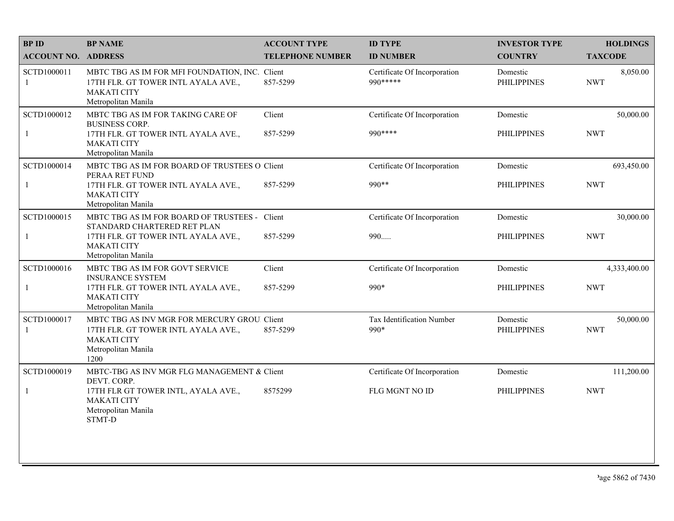| <b>BPID</b>                | <b>BP NAME</b>                                                                                                                           | <b>ACCOUNT TYPE</b>     | <b>ID TYPE</b>                            | <b>INVESTOR TYPE</b>           | <b>HOLDINGS</b>         |
|----------------------------|------------------------------------------------------------------------------------------------------------------------------------------|-------------------------|-------------------------------------------|--------------------------------|-------------------------|
| <b>ACCOUNT NO. ADDRESS</b> |                                                                                                                                          | <b>TELEPHONE NUMBER</b> | <b>ID NUMBER</b>                          | <b>COUNTRY</b>                 | <b>TAXCODE</b>          |
| SCTD1000011<br>1           | MBTC TBG AS IM FOR MFI FOUNDATION, INC. Client<br>17TH FLR. GT TOWER INTL AYALA AVE.,<br><b>MAKATI CITY</b><br>Metropolitan Manila       | 857-5299                | Certificate Of Incorporation<br>990 ***** | Domestic<br><b>PHILIPPINES</b> | 8,050.00<br><b>NWT</b>  |
| SCTD1000012                | MBTC TBG AS IM FOR TAKING CARE OF<br><b>BUSINESS CORP.</b>                                                                               | Client                  | Certificate Of Incorporation              | Domestic                       | 50,000.00               |
| 1                          | 17TH FLR. GT TOWER INTL AYALA AVE.,<br><b>MAKATI CITY</b><br>Metropolitan Manila                                                         | 857-5299                | 990 ****                                  | <b>PHILIPPINES</b>             | <b>NWT</b>              |
| SCTD1000014                | MBTC TBG AS IM FOR BOARD OF TRUSTEES O Client<br>PERAA RET FUND                                                                          |                         | Certificate Of Incorporation              | Domestic                       | 693,450.00              |
|                            | 17TH FLR. GT TOWER INTL AYALA AVE.,<br><b>MAKATI CITY</b><br>Metropolitan Manila                                                         | 857-5299                | 990**                                     | <b>PHILIPPINES</b>             | <b>NWT</b>              |
| SCTD1000015                | MBTC TBG AS IM FOR BOARD OF TRUSTEES - Client<br>STANDARD CHARTERED RET PLAN                                                             |                         | Certificate Of Incorporation              | Domestic                       | 30,000.00               |
| 1                          | 17TH FLR. GT TOWER INTL AYALA AVE.,<br><b>MAKATI CITY</b><br>Metropolitan Manila                                                         | 857-5299                | 990                                       | <b>PHILIPPINES</b>             | <b>NWT</b>              |
| SCTD1000016                | MBTC TBG AS IM FOR GOVT SERVICE<br><b>INSURANCE SYSTEM</b>                                                                               | Client                  | Certificate Of Incorporation              | Domestic                       | 4,333,400.00            |
| 1                          | 17TH FLR. GT TOWER INTL AYALA AVE.,<br><b>MAKATI CITY</b><br>Metropolitan Manila                                                         | 857-5299                | 990*                                      | <b>PHILIPPINES</b>             | <b>NWT</b>              |
| SCTD1000017<br>1           | MBTC TBG AS INV MGR FOR MERCURY GROU. Client<br>17TH FLR. GT TOWER INTL AYALA AVE.,<br><b>MAKATI CITY</b><br>Metropolitan Manila<br>1200 | 857-5299                | Tax Identification Number<br>990*         | Domestic<br><b>PHILIPPINES</b> | 50,000.00<br><b>NWT</b> |
| SCTD1000019                | MBTC-TBG AS INV MGR FLG MANAGEMENT & Client<br>DEVT. CORP.                                                                               |                         | Certificate Of Incorporation              | Domestic                       | 111,200.00              |
|                            | 17TH FLR GT TOWER INTL, AYALA AVE.,<br><b>MAKATI CITY</b><br>Metropolitan Manila<br>STMT-D                                               | 8575299                 | FLG MGNT NO ID                            | <b>PHILIPPINES</b>             | <b>NWT</b>              |
|                            |                                                                                                                                          |                         |                                           |                                |                         |